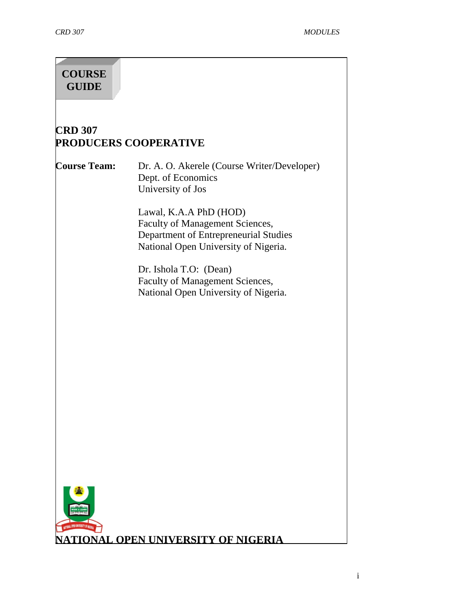# **COURSE GUIDE**

# **CRD 307 PRODUCERS COOPERATIVE**

**Course Team:** Dr. A. O. Akerele (Course Writer/Developer) Dept. of Economics University of Jos

> Lawal, K.A.A PhD (HOD) Faculty of Management Sciences, Department of Entrepreneurial Studies National Open University of Nigeria.

Dr. Ishola T.O: (Dean) Faculty of Management Sciences, National Open University of Nigeria.

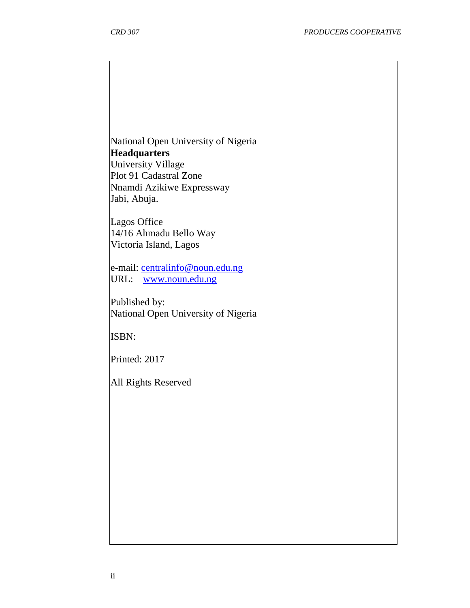National Open University of Nigeria **Headquarters** University Village Plot 91 Cadastral Zone Nnamdi Azikiwe Expressway Jabi, Abuja.

Lagos Office 14/16 Ahmadu Bello Way Victoria Island, Lagos

e-mail: [centralinfo@noun.edu.ng](mailto:centralinfo@noun.edu.ng) URL: [www.noun.edu.ng](http://www.noun.edu.ng/)

Published by: National Open University of Nigeria

ISBN:

Printed: 2017

All Rights Reserved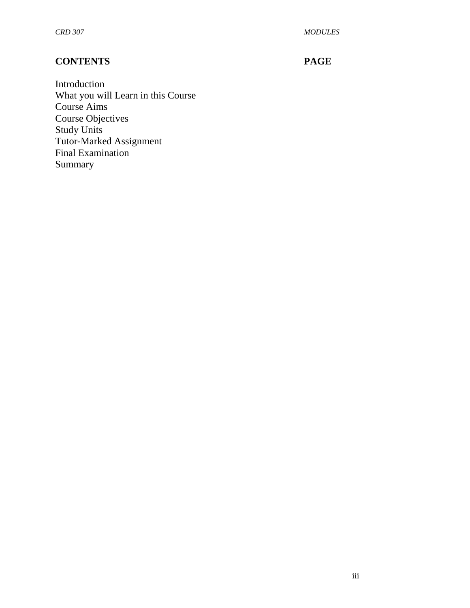# **CONTENTS PAGE**

Introduction What you will Learn in this Course Course Aims Course Objectives Study Units Tutor-Marked Assignment Final Examination Summary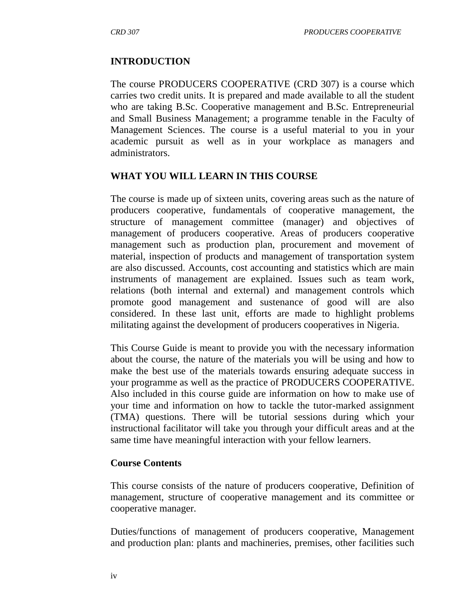### **INTRODUCTION**

The course PRODUCERS COOPERATIVE (CRD 307) is a course which carries two credit units. It is prepared and made available to all the student who are taking B.Sc. Cooperative management and B.Sc. Entrepreneurial and Small Business Management; a programme tenable in the Faculty of Management Sciences. The course is a useful material to you in your academic pursuit as well as in your workplace as managers and administrators.

#### **WHAT YOU WILL LEARN IN THIS COURSE**

The course is made up of sixteen units, covering areas such as the nature of producers cooperative, fundamentals of cooperative management, the structure of management committee (manager) and objectives of management of producers cooperative. Areas of producers cooperative management such as production plan, procurement and movement of material, inspection of products and management of transportation system are also discussed. Accounts, cost accounting and statistics which are main instruments of management are explained. Issues such as team work, relations (both internal and external) and management controls which promote good management and sustenance of good will are also considered. In these last unit, efforts are made to highlight problems militating against the development of producers cooperatives in Nigeria.

This Course Guide is meant to provide you with the necessary information about the course, the nature of the materials you will be using and how to make the best use of the materials towards ensuring adequate success in your programme as well as the practice of PRODUCERS COOPERATIVE. Also included in this course guide are information on how to make use of your time and information on how to tackle the tutor-marked assignment (TMA) questions. There will be tutorial sessions during which your instructional facilitator will take you through your difficult areas and at the same time have meaningful interaction with your fellow learners.

#### **Course Contents**

This course consists of the nature of producers cooperative, Definition of management, structure of cooperative management and its committee or cooperative manager.

Duties/functions of management of producers cooperative, Management and production plan: plants and machineries, premises, other facilities such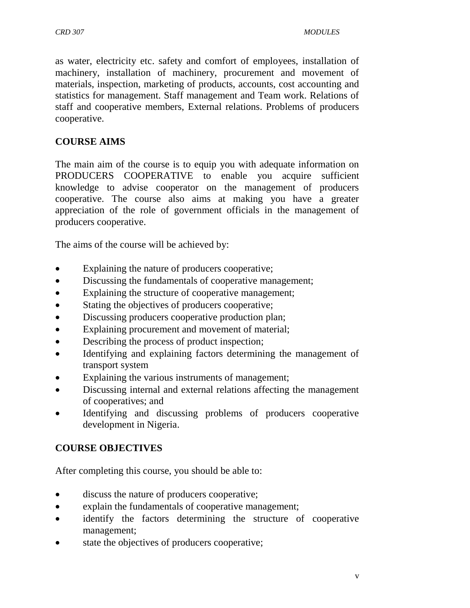as water, electricity etc. safety and comfort of employees, installation of machinery, installation of machinery, procurement and movement of materials, inspection, marketing of products, accounts, cost accounting and statistics for management. Staff management and Team work. Relations of staff and cooperative members, External relations. Problems of producers cooperative.

#### **COURSE AIMS**

The main aim of the course is to equip you with adequate information on PRODUCERS COOPERATIVE to enable you acquire sufficient knowledge to advise cooperator on the management of producers cooperative. The course also aims at making you have a greater appreciation of the role of government officials in the management of producers cooperative.

The aims of the course will be achieved by:

- Explaining the nature of producers cooperative;
- Discussing the fundamentals of cooperative management;
- Explaining the structure of cooperative management;
- Stating the objectives of producers cooperative;
- Discussing producers cooperative production plan;
- Explaining procurement and movement of material;
- Describing the process of product inspection;
- Identifying and explaining factors determining the management of transport system
- Explaining the various instruments of management;
- Discussing internal and external relations affecting the management of cooperatives; and
- Identifying and discussing problems of producers cooperative development in Nigeria.

#### **COURSE OBJECTIVES**

After completing this course, you should be able to:

- discuss the nature of producers cooperative;
- explain the fundamentals of cooperative management;
- identify the factors determining the structure of cooperative management;
- state the objectives of producers cooperative;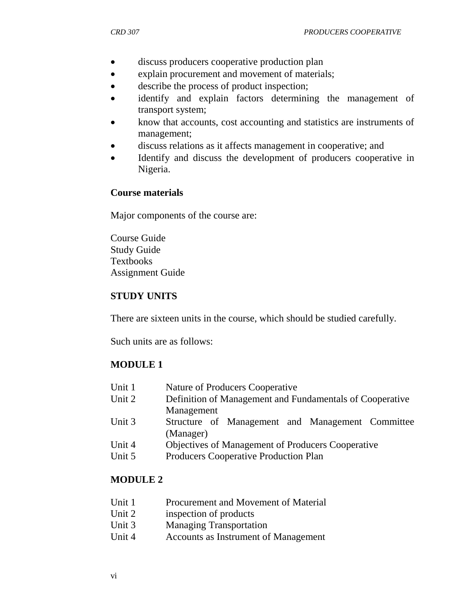- discuss producers cooperative production plan
- explain procurement and movement of materials;
- describe the process of product inspection;
- identify and explain factors determining the management of transport system;
- know that accounts, cost accounting and statistics are instruments of management;
- discuss relations as it affects management in cooperative; and
- Identify and discuss the development of producers cooperative in Nigeria.

#### **Course materials**

Major components of the course are:

Course Guide Study Guide **Textbooks** Assignment Guide

#### **STUDY UNITS**

There are sixteen units in the course, which should be studied carefully.

Such units are as follows:

### **MODULE 1**

Unit 1 Nature of Producers Cooperative Unit 2 Definition of Management and Fundamentals of Cooperative Management Unit 3 Structure of Management and Management Committee (Manager) Unit 4 Objectives of Management of Producers Cooperative Unit 5 Producers Cooperative Production Plan

### **MODULE 2**

- Unit 1 Procurement and Movement of Material
- Unit 2 inspection of products
- Unit 3 Managing Transportation
- Unit 4 Accounts as Instrument of Management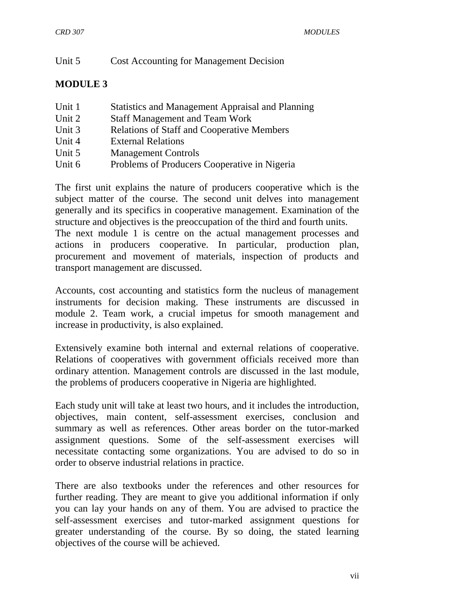#### Unit 5 Cost Accounting for Management Decision

### **MODULE 3**

- Unit 1 Statistics and Management Appraisal and Planning
- Unit 2 Staff Management and Team Work
- Unit 3 Relations of Staff and Cooperative Members
- Unit 4 External Relations
- Unit 5 Management Controls
- Unit 6 Problems of Producers Cooperative in Nigeria

The first unit explains the nature of producers cooperative which is the subject matter of the course. The second unit delves into management generally and its specifics in cooperative management. Examination of the structure and objectives is the preoccupation of the third and fourth units. The next module 1 is centre on the actual management processes and actions in producers cooperative. In particular, production plan, procurement and movement of materials, inspection of products and

transport management are discussed.

Accounts, cost accounting and statistics form the nucleus of management instruments for decision making. These instruments are discussed in module 2. Team work, a crucial impetus for smooth management and increase in productivity, is also explained.

Extensively examine both internal and external relations of cooperative. Relations of cooperatives with government officials received more than ordinary attention. Management controls are discussed in the last module, the problems of producers cooperative in Nigeria are highlighted.

Each study unit will take at least two hours, and it includes the introduction, objectives, main content, self-assessment exercises, conclusion and summary as well as references. Other areas border on the tutor-marked assignment questions. Some of the self-assessment exercises will necessitate contacting some organizations. You are advised to do so in order to observe industrial relations in practice.

There are also textbooks under the references and other resources for further reading. They are meant to give you additional information if only you can lay your hands on any of them. You are advised to practice the self-assessment exercises and tutor-marked assignment questions for greater understanding of the course. By so doing, the stated learning objectives of the course will be achieved.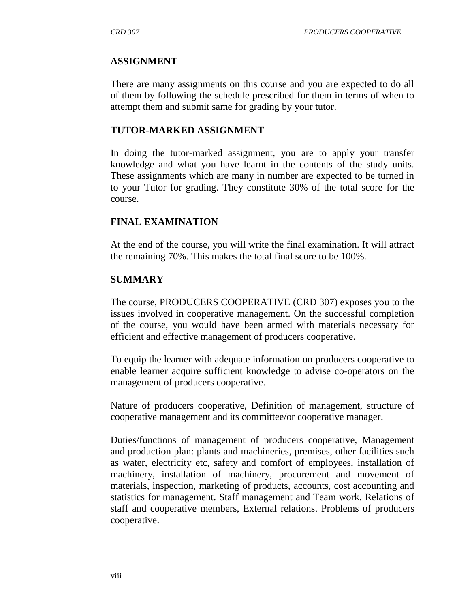#### **ASSIGNMENT**

There are many assignments on this course and you are expected to do all of them by following the schedule prescribed for them in terms of when to attempt them and submit same for grading by your tutor.

#### **TUTOR-MARKED ASSIGNMENT**

In doing the tutor-marked assignment, you are to apply your transfer knowledge and what you have learnt in the contents of the study units. These assignments which are many in number are expected to be turned in to your Tutor for grading. They constitute 30% of the total score for the course.

#### **FINAL EXAMINATION**

At the end of the course, you will write the final examination. It will attract the remaining 70%. This makes the total final score to be 100%.

#### **SUMMARY**

The course, PRODUCERS COOPERATIVE (CRD 307) exposes you to the issues involved in cooperative management. On the successful completion of the course, you would have been armed with materials necessary for efficient and effective management of producers cooperative.

To equip the learner with adequate information on producers cooperative to enable learner acquire sufficient knowledge to advise co-operators on the management of producers cooperative.

Nature of producers cooperative, Definition of management, structure of cooperative management and its committee/or cooperative manager.

Duties/functions of management of producers cooperative, Management and production plan: plants and machineries, premises, other facilities such as water, electricity etc, safety and comfort of employees, installation of machinery, installation of machinery, procurement and movement of materials, inspection, marketing of products, accounts, cost accounting and statistics for management. Staff management and Team work. Relations of staff and cooperative members, External relations. Problems of producers cooperative.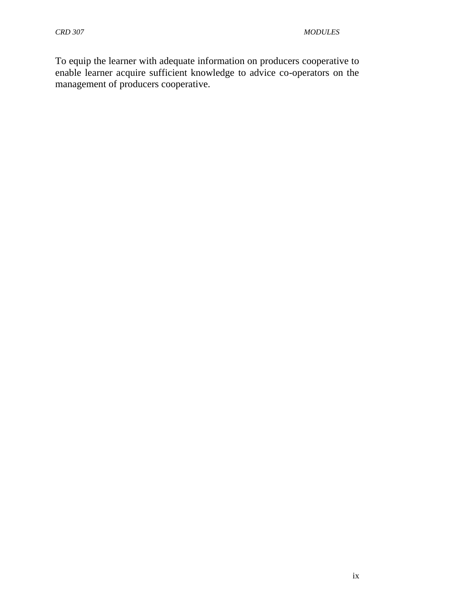To equip the learner with adequate information on producers cooperative to enable learner acquire sufficient knowledge to advice co-operators on the management of producers cooperative.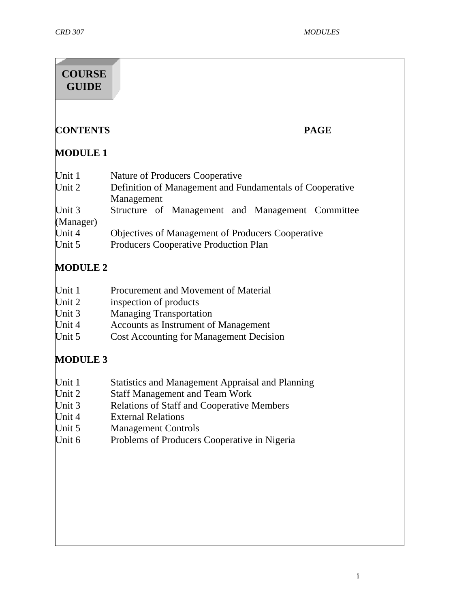# **COURSE GUIDE**

# **CONTENTS PAGE**

# **MODULE 1**

| Unit 1    | Nature of Producers Cooperative                          |  |  |
|-----------|----------------------------------------------------------|--|--|
| Unit 2    | Definition of Management and Fundamentals of Cooperative |  |  |
|           | Management                                               |  |  |
| Unit 3    | Structure of Management and Management Committee         |  |  |
| (Manager) |                                                          |  |  |
| Unit 4    | <b>Objectives of Management of Producers Cooperative</b> |  |  |
| Unit 5    | Producers Cooperative Production Plan                    |  |  |

# **MODULE 2**

| Unit 1 | Procurement and Movement of Material |  |
|--------|--------------------------------------|--|
|        |                                      |  |

- Unit 2 inspection of products
- Unit 3 Managing Transportation
- Unit 4 Accounts as Instrument of Management
- Unit 5 Cost Accounting for Management Decision

# **MODULE 3**

- Unit 1 Statistics and Management Appraisal and Planning
- Unit 2 Staff Management and Team Work
- Unit 3 Relations of Staff and Cooperative Members
- Unit 4 External Relations
- Unit 5 Management Controls
- Unit 6 Problems of Producers Cooperative in Nigeria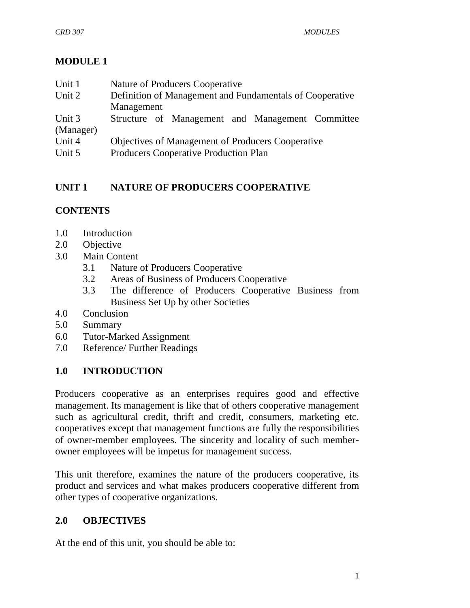### **MODULE 1**

| Unit 1    | Nature of Producers Cooperative                          |  |  |
|-----------|----------------------------------------------------------|--|--|
| Unit 2    | Definition of Management and Fundamentals of Cooperative |  |  |
|           | Management                                               |  |  |
| Unit 3    | Structure of Management and Management Committee         |  |  |
| (Manager) |                                                          |  |  |
| Unit 4    | <b>Objectives of Management of Producers Cooperative</b> |  |  |
| Unit 5    | Producers Cooperative Production Plan                    |  |  |

### **UNIT 1 NATURE OF PRODUCERS COOPERATIVE**

#### **CONTENTS**

- 1.0 Introduction
- 2.0 Objective
- 3.0 Main Content
	- 3.1 Nature of Producers Cooperative
	- 3.2 Areas of Business of Producers Cooperative
	- 3.3 The difference of Producers Cooperative Business from Business Set Up by other Societies
- 4.0 Conclusion
- 5.0 Summary
- 6.0 Tutor-Marked Assignment
- 7.0 Reference/ Further Readings

### **1.0 INTRODUCTION**

Producers cooperative as an enterprises requires good and effective management. Its management is like that of others cooperative management such as agricultural credit, thrift and credit, consumers, marketing etc. cooperatives except that management functions are fully the responsibilities of owner-member employees. The sincerity and locality of such memberowner employees will be impetus for management success.

This unit therefore, examines the nature of the producers cooperative, its product and services and what makes producers cooperative different from other types of cooperative organizations.

### **2.0 OBJECTIVES**

At the end of this unit, you should be able to: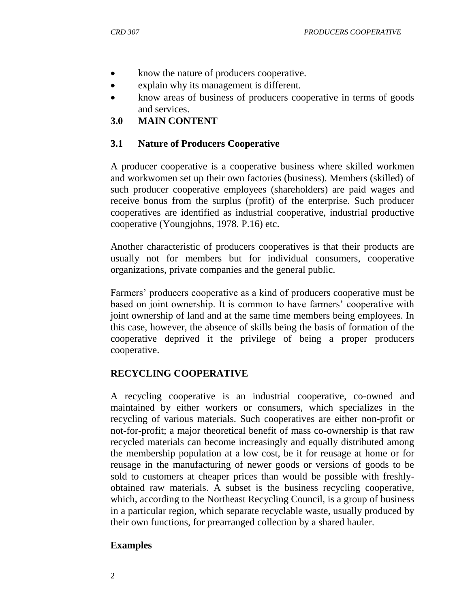- know the nature of producers cooperative.
- explain why its management is different.
- know areas of business of producers cooperative in terms of goods and services.
- **3.0 MAIN CONTENT**

## **3.1 Nature of Producers Cooperative**

A producer cooperative is a cooperative business where skilled workmen and workwomen set up their own factories (business). Members (skilled) of such producer cooperative employees (shareholders) are paid wages and receive bonus from the surplus (profit) of the enterprise. Such producer cooperatives are identified as industrial cooperative, industrial productive cooperative (Youngjohns, 1978. P.16) etc.

Another characteristic of producers cooperatives is that their products are usually not for members but for individual consumers, cooperative organizations, private companies and the general public.

Farmers' producers cooperative as a kind of producers cooperative must be based on joint ownership. It is common to have farmers" cooperative with joint ownership of land and at the same time members being employees. In this case, however, the absence of skills being the basis of formation of the cooperative deprived it the privilege of being a proper producers cooperative.

### **RECYCLING COOPERATIVE**

A recycling cooperative is an industrial [cooperative, c](http://en.wikipedia.org/wiki/Cooperative)o-owned and maintained by either workers or consumers, which specializes in the [recycling o](http://en.wikipedia.org/wiki/Recycling)f various materials. Such cooperatives are either [non-profit o](http://en.wikipedia.org/wiki/Non-profit)r [not-for-profit; a](http://en.wikipedia.org/wiki/Not-for-profit) major theoretical benefit of mass co-ownership is that raw recycled materials can become increasingly and equally distributed among the membership population at a low cost, be it for reusage at home or for reusage in the manufacturing of newer goods or versions of goods to be sold to customers at cheaper prices than would be possible with freshlyobtained raw materials. A subset is the business recycling cooperative, which, according to the [Northeast Recycling Council, i](http://en.wikipedia.org/w/index.php?title=Northeast_Recycling_Council&action=edit&redlink=1)s a group of business in a particular region, which separate recyclable waste, usually produced by their own functions, for prearranged collection by a shared hauler.

### **Examples**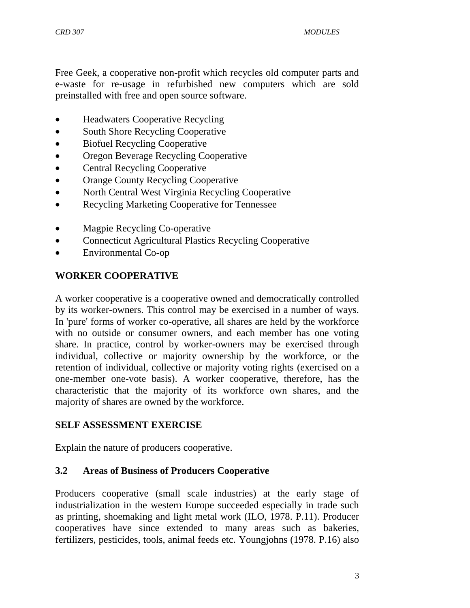[Free Geek, a](http://en.wikipedia.org/wiki/Free_Geek) cooperative non-profit which recycles old computer parts and [e-waste f](http://en.wikipedia.org/wiki/E-waste)or re-usage in refurbished new computers which are sold preinstalled with [free and open source software.](http://en.wikipedia.org/wiki/Free_and_open_source_software)

- [Headwaters Cooperative Recycling](http://en.wikipedia.org/w/index.php?title=Headwaters_Cooperative_Recycling&action=edit&redlink=1)
- [South Shore Recycling Cooperative](http://en.wikipedia.org/w/index.php?title=South_Shore_Recycling_Cooperative&action=edit&redlink=1)
- [Biofuel Recycling Cooperative](http://en.wikipedia.org/w/index.php?title=Biofuel_Recycling_Cooperative&action=edit&redlink=1)
- [Oregon Beverage Recycling Cooperative](http://en.wikipedia.org/w/index.php?title=Oregon_Beverage_Recycling_Cooperative&action=edit&redlink=1)
- [Central Recycling Cooperative](http://en.wikipedia.org/w/index.php?title=Central_Recycling_Cooperative&action=edit&redlink=1)
- [Orange County Recycling Cooperative](http://en.wikipedia.org/w/index.php?title=Orange_County_Recycling_Cooperative&action=edit&redlink=1)
- [North Central West Virginia Recycling Cooperative](http://en.wikipedia.org/w/index.php?title=North_Central_West_Virginia_Recycling_Cooperative&action=edit&redlink=1)
- [Recycling Marketing Cooperative for Tennessee](http://en.wikipedia.org/w/index.php?title=Recycling_Marketing_Cooperative_for_Tennessee&action=edit&redlink=1)
- [Magpie Recycling Co-operative](http://en.wikipedia.org/w/index.php?title=Magpie_Recycling_Co-operative&action=edit&redlink=1)
- [Connecticut Agricultural Plastics Recycling Cooperative](http://en.wikipedia.org/w/index.php?title=Connecticut_Agricultural_Plastics_Recycling_Cooperative&action=edit&redlink=1)
- [Environmental Co-op](http://en.wikipedia.org/w/index.php?title=Environmental_Co-op&action=edit&redlink=1)

#### **WORKER COOPERATIVE**

A worker cooperative is a [cooperative o](http://en.wikipedia.org/wiki/Cooperative)wned and democratically controlled by its worker-owners. This control may be exercised in a number of ways. In 'pure' forms of worker co-operative, all shares are held by the workforce with no outside or consumer owners, and each member has one voting share. In practice, control by worker-owners may be exercised through individual, collective or majority ownership by the workforce, or the retention of individual, collective or majority voting rights (exercised on a one-member one-vote basis). A worker cooperative, therefore, has the characteristic that the majority of its workforce own shares, and the majority of shares are owned by the workforce.

#### **SELF ASSESSMENT EXERCISE**

Explain the nature of producers cooperative.

#### **3.2 Areas of Business of Producers Cooperative**

Producers cooperative (small scale industries) at the early stage of industrialization in the western Europe succeeded especially in trade such as printing, shoemaking and light metal work (ILO, 1978. P.11). Producer cooperatives have since extended to many areas such as bakeries, fertilizers, pesticides, tools, animal feeds etc. Youngjohns (1978. P.16) also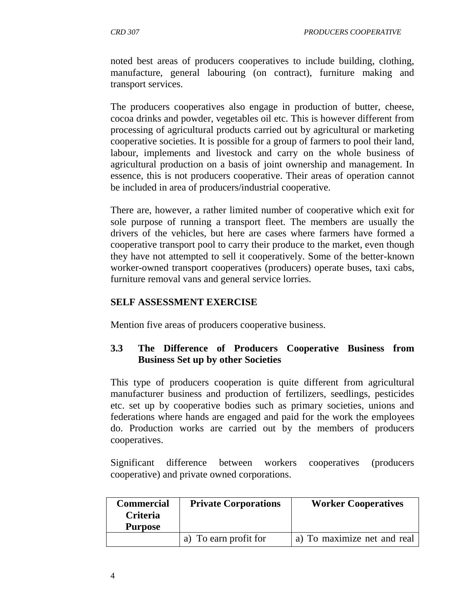noted best areas of producers cooperatives to include building, clothing, manufacture, general labouring (on contract), furniture making and transport services.

The producers cooperatives also engage in production of butter, cheese, cocoa drinks and powder, vegetables oil etc. This is however different from processing of agricultural products carried out by agricultural or marketing cooperative societies. It is possible for a group of farmers to pool their land, labour, implements and livestock and carry on the whole business of agricultural production on a basis of joint ownership and management. In essence, this is not producers cooperative. Their areas of operation cannot be included in area of producers/industrial cooperative.

There are, however, a rather limited number of cooperative which exit for sole purpose of running a transport fleet. The members are usually the drivers of the vehicles, but here are cases where farmers have formed a cooperative transport pool to carry their produce to the market, even though they have not attempted to sell it cooperatively. Some of the better-known worker-owned transport cooperatives (producers) operate buses, taxi cabs, furniture removal vans and general service lorries.

#### **SELF ASSESSMENT EXERCISE**

Mention five areas of producers cooperative business.

### **3.3 The Difference of Producers Cooperative Business from Business Set up by other Societies**

This type of producers cooperation is quite different from agricultural manufacturer business and production of fertilizers, seedlings, pesticides etc. set up by cooperative bodies such as primary societies, unions and federations where hands are engaged and paid for the work the employees do. Production works are carried out by the members of producers cooperatives.

Significant difference between workers cooperatives (producers cooperative) and private owned corporations.

| <b>Commercial</b><br><b>Criteria</b><br><b>Purpose</b> | <b>Private Corporations</b> | <b>Worker Cooperatives</b>  |
|--------------------------------------------------------|-----------------------------|-----------------------------|
|                                                        | a) To earn profit for       | a) To maximize net and real |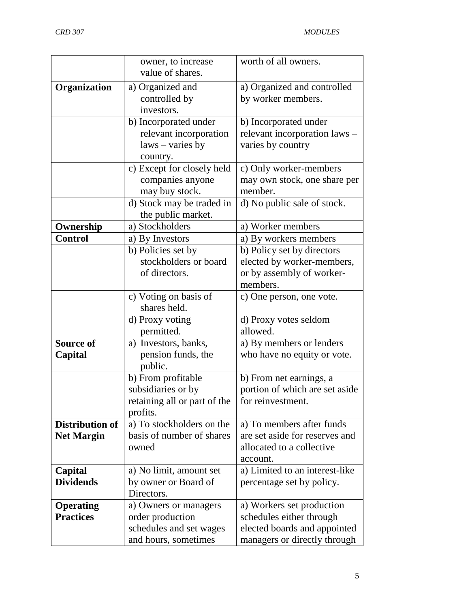|                        | owner, to increase           | worth of all owners.           |
|------------------------|------------------------------|--------------------------------|
|                        | value of shares.             |                                |
| Organization           | a) Organized and             | a) Organized and controlled    |
|                        | controlled by                | by worker members.             |
|                        | investors.                   |                                |
|                        | b) Incorporated under        | b) Incorporated under          |
|                        | relevant incorporation       | relevant incorporation laws -  |
|                        | $laws - varies by$           | varies by country              |
|                        | country.                     |                                |
|                        | c) Except for closely held   | c) Only worker-members         |
|                        | companies anyone             | may own stock, one share per   |
|                        | may buy stock.               | member.                        |
|                        | d) Stock may be traded in    | d) No public sale of stock.    |
|                        | the public market.           |                                |
| Ownership              | a) Stockholders              | a) Worker members              |
| <b>Control</b>         | a) By Investors              | a) By workers members          |
|                        | b) Policies set by           | b) Policy set by directors     |
|                        | stockholders or board        | elected by worker-members,     |
|                        | of directors.                | or by assembly of worker-      |
|                        |                              | members.                       |
|                        | c) Voting on basis of        | c) One person, one vote.       |
|                        | shares held.                 |                                |
|                        | d) Proxy voting              | d) Proxy votes seldom          |
|                        | permitted.                   | allowed.                       |
| <b>Source of</b>       | a) Investors, banks,         | a) By members or lenders       |
| Capital                | pension funds, the           | who have no equity or vote.    |
|                        | public.                      |                                |
|                        | b) From profitable           | b) From net earnings, a        |
|                        | subsidiaries or by           | portion of which are set aside |
|                        | retaining all or part of the | for reinvestment.              |
|                        | profits.                     |                                |
| <b>Distribution of</b> | a) To stockholders on the    | a) To members after funds      |
| <b>Net Margin</b>      | basis of number of shares    | are set aside for reserves and |
|                        | owned                        | allocated to a collective      |
|                        |                              | account.                       |
| Capital                | a) No limit, amount set      | a) Limited to an interest-like |
| <b>Dividends</b>       | by owner or Board of         | percentage set by policy.      |
|                        | Directors.                   |                                |
| <b>Operating</b>       | a) Owners or managers        | a) Workers set production      |
| <b>Practices</b>       | order production             | schedules either through       |
|                        | schedules and set wages      | elected boards and appointed   |
|                        | and hours, sometimes         | managers or directly through   |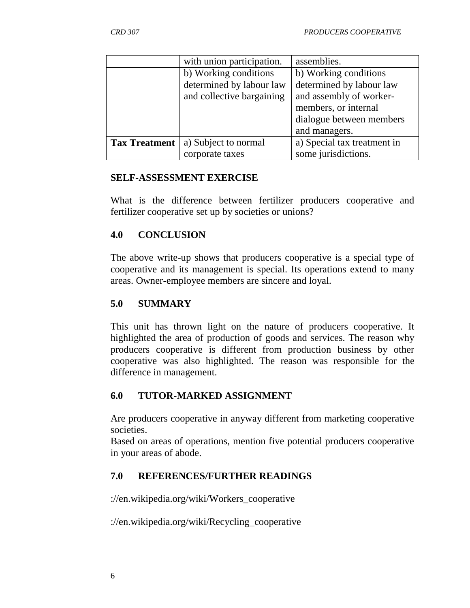|                      | with union participation. | assemblies.                 |
|----------------------|---------------------------|-----------------------------|
|                      | b) Working conditions     | b) Working conditions       |
|                      | determined by labour law  | determined by labour law    |
|                      | and collective bargaining | and assembly of worker-     |
|                      |                           | members, or internal        |
|                      |                           | dialogue between members    |
|                      |                           | and managers.               |
| <b>Tax Treatment</b> | a) Subject to normal      | a) Special tax treatment in |
|                      | corporate taxes           | some jurisdictions.         |

#### **SELF-ASSESSMENT EXERCISE**

What is the difference between fertilizer producers cooperative and fertilizer cooperative set up by societies or unions?

#### **4.0 CONCLUSION**

The above write-up shows that producers cooperative is a special type of cooperative and its management is special. Its operations extend to many areas. Owner-employee members are sincere and loyal.

### **5.0 SUMMARY**

This unit has thrown light on the nature of producers cooperative. It highlighted the area of production of goods and services. The reason why producers cooperative is different from production business by other cooperative was also highlighted. The reason was responsible for the difference in management.

#### **6.0 TUTOR-MARKED ASSIGNMENT**

Are producers cooperative in anyway different from marketing cooperative societies.

Based on areas of operations, mention five potential producers cooperative in your areas of abode.

#### **7.0 REFERENCES/FURTHER READINGS**

[://en.wikipedia.org/wiki/Workers\\_cooperative](http://en.wikipedia.org/wiki/Workers_cooperative)

[://en.wikipedia.org/wiki/Recycling\\_cooperative](http://en.wikipedia.org/wiki/Recycling_cooperative)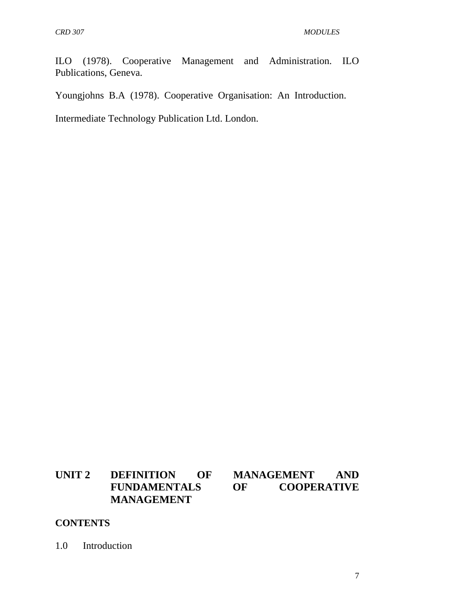ILO (1978). Cooperative Management and Administration. ILO Publications, Geneva.

Youngjohns B.A (1978). Cooperative Organisation: An Introduction.

Intermediate Technology Publication Ltd. London.

# **UNIT 2 DEFINITION OF MANAGEMENT AND FUNDAMENTALS OF COOPERATIVE MANAGEMENT**

# **CONTENTS**

1.0 Introduction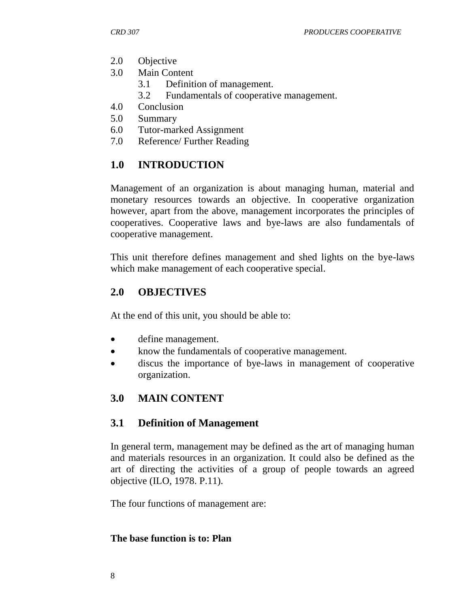- 2.0 Objective
- 3.0 Main Content
	- 3.1 Definition of management.
	- 3.2 Fundamentals of cooperative management.
- 4.0 Conclusion
- 5.0 Summary
- 6.0 Tutor-marked Assignment
- 7.0 Reference/ Further Reading

# **1.0 INTRODUCTION**

Management of an organization is about managing human, material and monetary resources towards an objective. In cooperative organization however, apart from the above, management incorporates the principles of cooperatives. Cooperative laws and bye-laws are also fundamentals of cooperative management.

This unit therefore defines management and shed lights on the bye-laws which make management of each cooperative special.

# **2.0 OBJECTIVES**

At the end of this unit, you should be able to:

- define management.
- know the fundamentals of cooperative management.
- discus the importance of bye-laws in management of cooperative organization.

# **3.0 MAIN CONTENT**

# **3.1 Definition of Management**

In general term, management may be defined as the art of managing human and materials resources in an organization. It could also be defined as the art of directing the activities of a group of people towards an agreed objective (ILO, 1978. P.11).

The four functions of management are:

#### **The base function is to: Plan**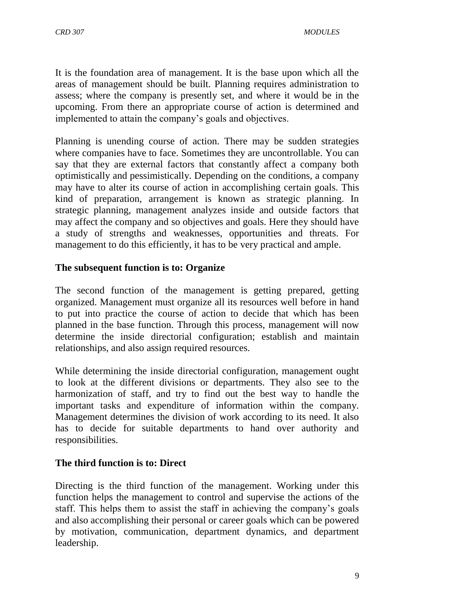It is the foundation area of management. It is the base upon which all the areas of management should be built. Planning requires administration to assess; where the company is presently set, and where it would be in the upcoming. From there an appropriate course of action is determined and implemented to attain the company"s goals and objectives.

Planning is unending course of action. There may be sudden strategies where companies have to face. Sometimes they are uncontrollable. You can say that they are external factors that constantly affect a company both optimistically and pessimistically. Depending on the conditions, a company may have to alter its course of action in accomplishing certain goals. This kind of preparation, arrangement is known as strategic planning. In strategic planning, management analyzes inside and outside factors that may affect the company and so objectives and goals. Here they should have a study of strengths and weaknesses, opportunities and threats. For management to do this efficiently, it has to be very practical and ample.

#### **The subsequent function is to: Organize**

The second function of the management is getting prepared, getting organized. Management must organize all its resources well before in hand to put into practice the course of action to decide that which has been planned in the base function. Through this process, management will now determine the inside directorial configuration; establish and maintain relationships, and also assign required resources.

While determining the inside directorial configuration, management ought to look at the different divisions or departments. They also see to the harmonization of staff, and try to find out the best way to handle the important tasks and expenditure of information within the company. Management determines the division of work according to its need. It also has to decide for suitable departments to hand over authority and responsibilities.

#### **The third function is to: Direct**

Directing is the third function of the management. Working under this function helps the management to control and supervise the actions of the staff. This helps them to assist the staff in achieving the company"s goals and also accomplishing their personal or career goals which can be powered by motivation, communication, department dynamics, and department leadership.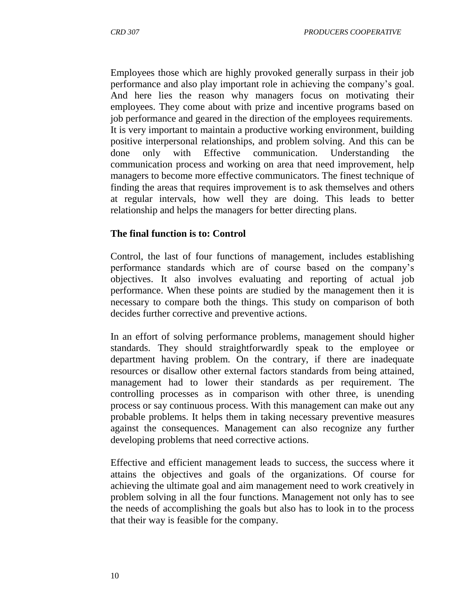Employees those which are highly provoked generally surpass in their job performance and also play important role in achieving the company"s goal. And here lies the reason why managers focus on motivating their employees. They come about with prize and incentive programs based on job performance and geared in the direction of the employees requirements. It is very important to maintain a productive working environment, building positive interpersonal relationships, and problem solving. And this can be done only with Effective communication. Understanding the communication process and working on area that need improvement, help managers to become more effective communicators. The finest technique of finding the areas that requires improvement is to ask themselves and others at regular intervals, how well they are doing. This leads to better relationship and helps the managers for better directing plans.

#### **The final function is to: Control**

Control, the last of four functions of management, includes establishing performance standards which are of course based on the company"s objectives. It also involves evaluating and reporting of actual job performance. When these points are studied by the management then it is necessary to compare both the things. This study on comparison of both decides further corrective and preventive actions.

In an effort of solving performance problems, management should higher standards. They should straightforwardly speak to the employee or department having problem. On the contrary, if there are inadequate resources or disallow other external factors standards from being attained, management had to lower their standards as per requirement. The controlling processes as in comparison with other three, is unending process or say continuous process. With this management can make out any probable problems. It helps them in taking necessary preventive measures against the consequences. Management can also recognize any further developing problems that need corrective actions.

Effective and efficient management leads to success, the success where it attains the objectives and goals of the organizations. Of course for achieving the ultimate goal and aim management need to work creatively in problem solving in all the four functions. Management not only has to see the needs of accomplishing the goals but also has to look in to the process that their way is feasible for the company.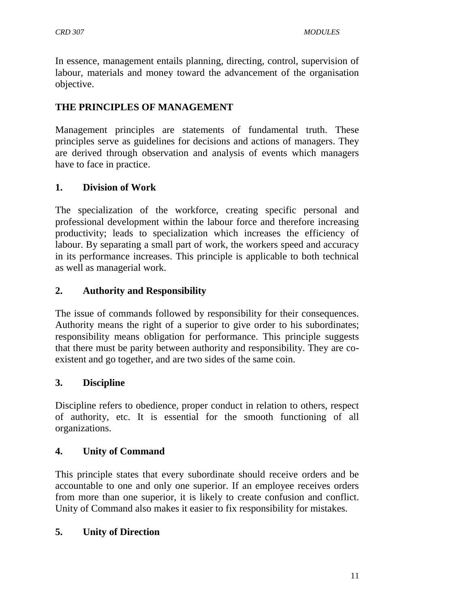In essence, management entails planning, directing, control, supervision of labour, materials and money toward the advancement of the organisation objective.

### **THE PRINCIPLES OF MANAGEMENT**

Management principles are statements of fundamental truth. These principles serve as guidelines for decisions and actions of managers. They are derived through observation and analysis of events which managers have to face in practice.

#### **1. Division of Work**

The specialization of the workforce, creating specific personal and professional development within the labour force and therefore increasing productivity; leads to specialization which increases the efficiency of labour. By separating a small part of work, the workers speed and accuracy in its performance increases. This principle is applicable to both technical as well as managerial work.

### **2. Authority and Responsibility**

The issue of commands followed by responsibility for their consequences. Authority means the right of a superior to give order to his subordinates; responsibility means obligation for performance. This principle suggests that there must be parity between authority and responsibility. They are coexistent and go together, and are two sides of the same coin.

#### **3. Discipline**

Discipline refers to obedience, proper conduct in relation to others, respect of authority, etc. It is essential for the smooth functioning of all organizations.

#### **4. Unity of Command**

This principle states that every subordinate should receive orders and be accountable to one and only one superior. If an employee receives orders from more than one superior, it is likely to create confusion and conflict. Unity of Command also makes it easier to fix responsibility for mistakes.

#### **5. Unity of Direction**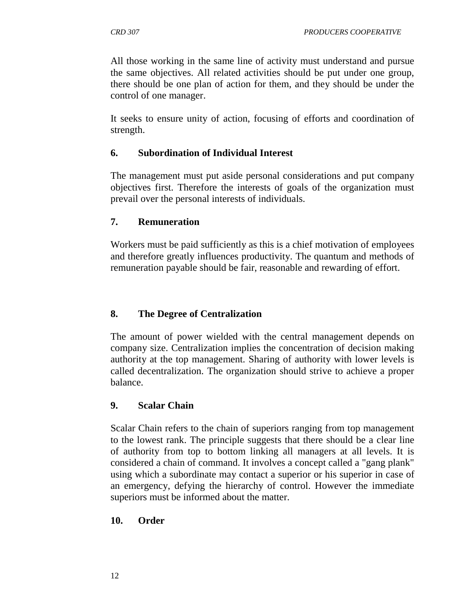All those working in the same line of activity must understand and pursue the same objectives. All related activities should be put under one group, there should be one plan of action for them, and they should be under the control of one manager.

It seeks to ensure unity of action, focusing of efforts and coordination of strength.

### **6. Subordination of Individual Interest**

The management must put aside personal considerations and put company objectives first. Therefore the interests of goals of the organization must prevail over the personal interests of individuals.

#### **7. Remuneration**

Workers must be paid sufficiently as this is a chief motivation of employees and therefore greatly influences productivity. The quantum and methods of remuneration payable should be fair, reasonable and rewarding of effort.

### **8. The Degree of Centralization**

The amount of power wielded with the central management depends on company size. Centralization implies the concentration of decision making authority at the top management. Sharing of authority with lower levels is called decentralization. The organization should strive to achieve a proper balance.

#### **9. Scalar Chain**

Scalar Chain refers to the chain of superiors ranging from top management to the lowest rank. The principle suggests that there should be a clear line of authority from top to bottom linking all managers at all levels. It is considered a chain of command. It involves a concept called a "gang plank" using which a subordinate may contact a superior or his superior in case of an emergency, defying the hierarchy of control. However the immediate superiors must be informed about the matter.

#### **10. Order**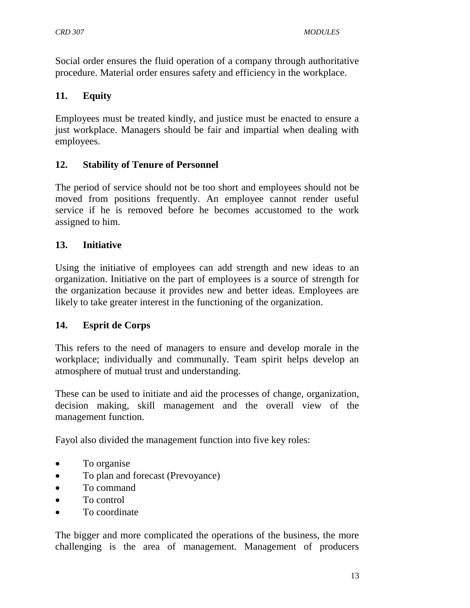Social order ensures the fluid operation of a company through authoritative procedure. Material order ensures safety and efficiency in the workplace.

#### **11. Equity**

Employees must be treated kindly, and justice must be enacted to ensure a just workplace. Managers should be fair and impartial when dealing with employees.

#### **12. Stability of Tenure of Personnel**

The period of service should not be too short and employees should not be moved from positions frequently. An employee cannot render useful service if he is removed before he becomes accustomed to the work assigned to him.

### **13. Initiative**

Using the initiative of employees can add strength and new ideas to an organization. Initiative on the part of employees is a source of strength for the organization because it provides new and better ideas. Employees are likely to take greater interest in the functioning of the organization.

#### **14. Esprit de Corps**

This refers to the need of managers to ensure and develop morale in the workplace; individually and communally. Team spirit helps develop an atmosphere of mutual trust and understanding.

These can be used to initiate and aid the processes of change, organization, decision making, skill management and the overall view of the management function.

Fayol also divided the management function into five key roles:

- To organise
- To plan and forecast (Prevoyance)
- To command
- To control
- To coordinate

The bigger and more complicated the operations of the business, the more challenging is the area of management. Management of producers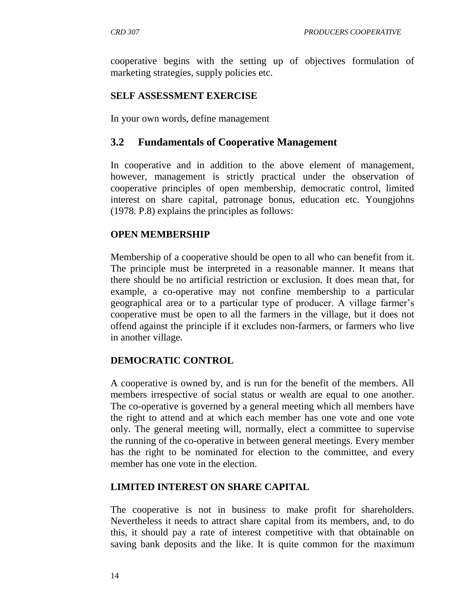cooperative begins with the setting up of objectives formulation of marketing strategies, supply policies etc.

#### **SELF ASSESSMENT EXERCISE**

In your own words, define management

### **3.2 Fundamentals of Cooperative Management**

In cooperative and in addition to the above element of management, however, management is strictly practical under the observation of cooperative principles of open membership, democratic control, limited interest on share capital, patronage bonus, education etc. Youngjohns (1978. P.8) explains the principles as follows:

#### **OPEN MEMBERSHIP**

Membership of a cooperative should be open to all who can benefit from it. The principle must be interpreted in a reasonable manner. It means that there should be no artificial restriction or exclusion. It does mean that, for example, a co-operative may not confine membership to a particular geographical area or to a particular type of producer. A village farmer"s cooperative must be open to all the farmers in the village, but it does not offend against the principle if it excludes non-farmers, or farmers who live in another village.

#### **DEMOCRATIC CONTROL**

A cooperative is owned by, and is run for the benefit of the members. All members irrespective of social status or wealth are equal to one another. The co-operative is governed by a general meeting which all members have the right to attend and at which each member has one vote and one vote only. The general meeting will, normally, elect a committee to supervise the running of the co-operative in between general meetings. Every member has the right to be nominated for election to the committee, and every member has one vote in the election.

#### **LIMITED INTEREST ON SHARE CAPITAL**

The cooperative is not in business to make profit for shareholders. Nevertheless it needs to attract share capital from its members, and, to do this, it should pay a rate of interest competitive with that obtainable on saving bank deposits and the like. It is quite common for the maximum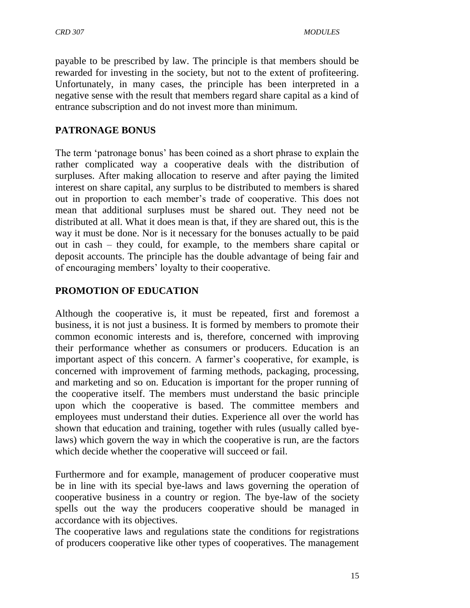payable to be prescribed by law. The principle is that members should be rewarded for investing in the society, but not to the extent of profiteering. Unfortunately, in many cases, the principle has been interpreted in a negative sense with the result that members regard share capital as a kind of entrance subscription and do not invest more than minimum.

#### **PATRONAGE BONUS**

The term 'patronage bonus' has been coined as a short phrase to explain the rather complicated way a cooperative deals with the distribution of surpluses. After making allocation to reserve and after paying the limited interest on share capital, any surplus to be distributed to members is shared out in proportion to each member"s trade of cooperative. This does not mean that additional surpluses must be shared out. They need not be distributed at all. What it does mean is that, if they are shared out, this is the way it must be done. Nor is it necessary for the bonuses actually to be paid out in cash – they could, for example, to the members share capital or deposit accounts. The principle has the double advantage of being fair and of encouraging members" loyalty to their cooperative.

### **PROMOTION OF EDUCATION**

Although the cooperative is, it must be repeated, first and foremost a business, it is not just a business. It is formed by members to promote their common economic interests and is, therefore, concerned with improving their performance whether as consumers or producers. Education is an important aspect of this concern. A farmer's cooperative, for example, is concerned with improvement of farming methods, packaging, processing, and marketing and so on. Education is important for the proper running of the cooperative itself. The members must understand the basic principle upon which the cooperative is based. The committee members and employees must understand their duties. Experience all over the world has shown that education and training, together with rules (usually called byelaws) which govern the way in which the cooperative is run, are the factors which decide whether the cooperative will succeed or fail.

Furthermore and for example, management of producer cooperative must be in line with its special bye-laws and laws governing the operation of cooperative business in a country or region. The bye-law of the society spells out the way the producers cooperative should be managed in accordance with its objectives.

The cooperative laws and regulations state the conditions for registrations of producers cooperative like other types of cooperatives. The management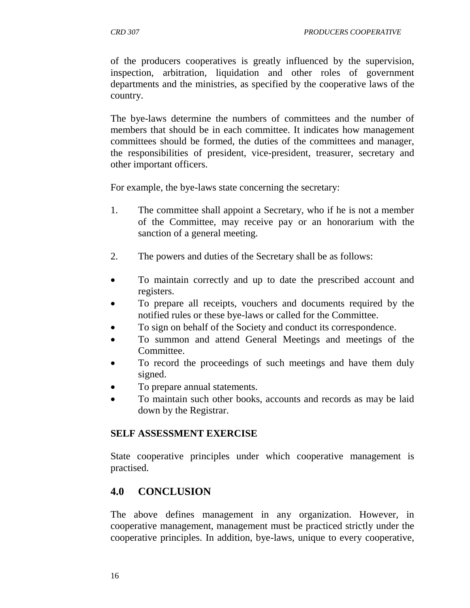of the producers cooperatives is greatly influenced by the supervision, inspection, arbitration, liquidation and other roles of government departments and the ministries, as specified by the cooperative laws of the country.

The bye-laws determine the numbers of committees and the number of members that should be in each committee. It indicates how management committees should be formed, the duties of the committees and manager, the responsibilities of president, vice-president, treasurer, secretary and other important officers.

For example, the bye-laws state concerning the secretary:

- 1. The committee shall appoint a Secretary, who if he is not a member of the Committee, may receive pay or an honorarium with the sanction of a general meeting.
- 2. The powers and duties of the Secretary shall be as follows:
- To maintain correctly and up to date the prescribed account and registers.
- To prepare all receipts, vouchers and documents required by the notified rules or these bye-laws or called for the Committee.
- To sign on behalf of the Society and conduct its correspondence.
- To summon and attend General Meetings and meetings of the Committee.
- To record the proceedings of such meetings and have them duly signed.
- To prepare annual statements.
- To maintain such other books, accounts and records as may be laid down by the Registrar.

#### **SELF ASSESSMENT EXERCISE**

State cooperative principles under which cooperative management is practised.

### **4.0 CONCLUSION**

The above defines management in any organization. However, in cooperative management, management must be practiced strictly under the cooperative principles. In addition, bye-laws, unique to every cooperative,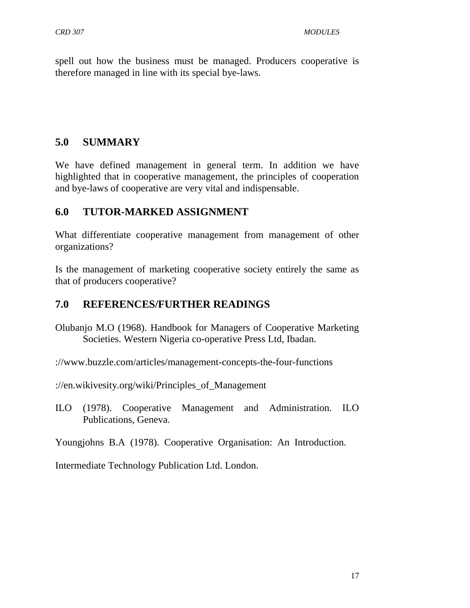spell out how the business must be managed. Producers cooperative is therefore managed in line with its special bye-laws.

# **5.0 SUMMARY**

We have defined management in general term. In addition we have highlighted that in cooperative management, the principles of cooperation and bye-laws of cooperative are very vital and indispensable.

# **6.0 TUTOR-MARKED ASSIGNMENT**

What differentiate cooperative management from management of other organizations?

Is the management of marketing cooperative society entirely the same as that of producers cooperative?

# **7.0 REFERENCES/FURTHER READINGS**

- Olubanjo M.O (1968). Handbook for Managers of Cooperative Marketing Societies. Western Nigeria co-operative Press Ltd, Ibadan.
- [://www.buzzle.com/articles/management-concepts-the-four-functions](http://www.buzzle.com/articles/management-concepts-the-four-functions)

[://en.wikivesity.org/wiki/Principles\\_of\\_Management](http://en.wikivesity.org/wiki/Principles_of_Management)

ILO (1978). Cooperative Management and Administration. ILO Publications, Geneva.

Youngjohns B.A (1978). Cooperative Organisation: An Introduction.

Intermediate Technology Publication Ltd. London.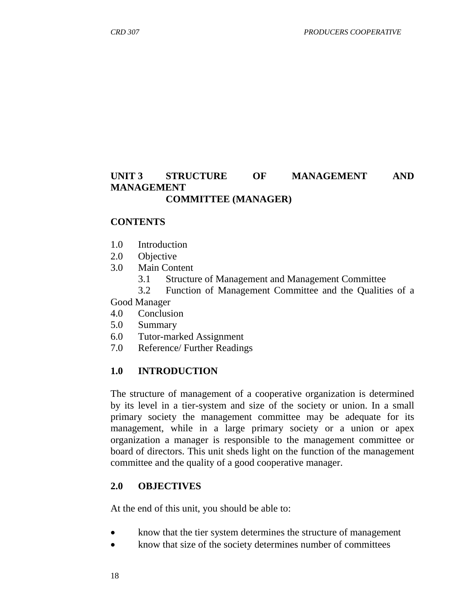# **UNIT 3 STRUCTURE OF MANAGEMENT AND MANAGEMENT**

#### **COMMITTEE (MANAGER)**

#### **CONTENTS**

- 1.0 Introduction
- 2.0 Objective
- 3.0 Main Content
	- 3.1 Structure of Management and Management Committee
	- 3.2 Function of Management Committee and the Qualities of a

#### Good Manager

- 4.0 Conclusion
- 5.0 Summary
- 6.0 Tutor-marked Assignment
- 7.0 Reference/ Further Readings

#### **1.0 INTRODUCTION**

The structure of management of a cooperative organization is determined by its level in a tier-system and size of the society or union. In a small primary society the management committee may be adequate for its management, while in a large primary society or a union or apex organization a manager is responsible to the management committee or board of directors. This unit sheds light on the function of the management committee and the quality of a good cooperative manager.

#### **2.0 OBJECTIVES**

At the end of this unit, you should be able to:

- know that the tier system determines the structure of management
- know that size of the society determines number of committees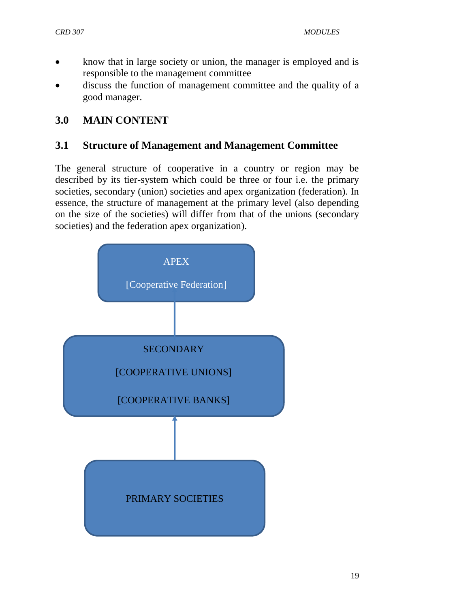- know that in large society or union, the manager is employed and is responsible to the management committee
- discuss the function of management committee and the quality of a good manager.

# **3.0 MAIN CONTENT**

### **3.1 Structure of Management and Management Committee**

The general structure of cooperative in a country or region may be described by its tier-system which could be three or four i.e. the primary societies, secondary (union) societies and apex organization (federation). In essence, the structure of management at the primary level (also depending on the size of the societies) will differ from that of the unions (secondary societies) and the federation apex organization).

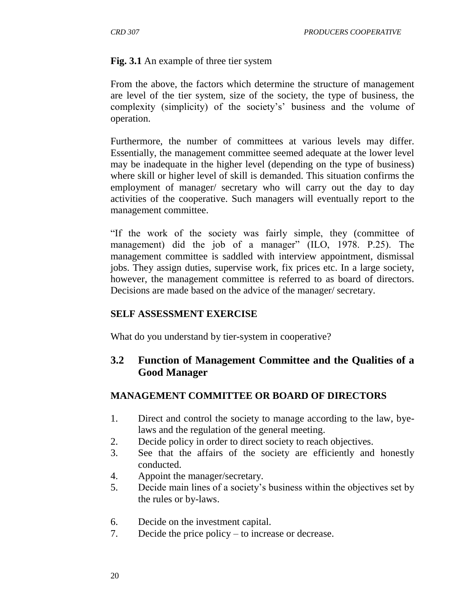#### **Fig. 3.1** An example of three tier system

From the above, the factors which determine the structure of management are level of the tier system, size of the society, the type of business, the complexity (simplicity) of the society's' business and the volume of operation.

Furthermore, the number of committees at various levels may differ. Essentially, the management committee seemed adequate at the lower level may be inadequate in the higher level (depending on the type of business) where skill or higher level of skill is demanded. This situation confirms the employment of manager/ secretary who will carry out the day to day activities of the cooperative. Such managers will eventually report to the management committee.

"If the work of the society was fairly simple, they (committee of management) did the job of a manager" (ILO, 1978. P.25). The management committee is saddled with interview appointment, dismissal jobs. They assign duties, supervise work, fix prices etc. In a large society, however, the management committee is referred to as board of directors. Decisions are made based on the advice of the manager/ secretary.

#### **SELF ASSESSMENT EXERCISE**

What do you understand by tier-system in cooperative?

## **3.2 Function of Management Committee and the Qualities of a Good Manager**

#### **MANAGEMENT COMMITTEE OR BOARD OF DIRECTORS**

- 1. Direct and control the society to manage according to the law, byelaws and the regulation of the general meeting.
- 2. Decide policy in order to direct society to reach objectives.
- 3. See that the affairs of the society are efficiently and honestly conducted.
- 4. Appoint the manager/secretary.
- 5. Decide main lines of a society"s business within the objectives set by the rules or by-laws.
- 6. Decide on the investment capital.
- 7. Decide the price policy to increase or decrease.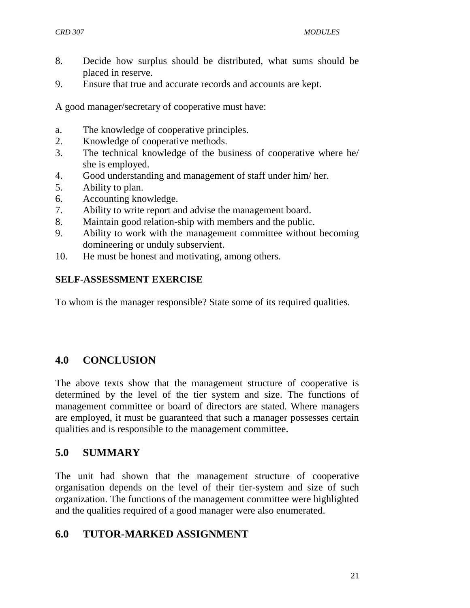- 8. Decide how surplus should be distributed, what sums should be placed in reserve.
- 9. Ensure that true and accurate records and accounts are kept.

A good manager/secretary of cooperative must have:

- a. The knowledge of cooperative principles.
- 2. Knowledge of cooperative methods.
- 3. The technical knowledge of the business of cooperative where he/ she is employed.
- 4. Good understanding and management of staff under him/ her.
- 5. Ability to plan.
- 6. Accounting knowledge.
- 7. Ability to write report and advise the management board.
- 8. Maintain good relation-ship with members and the public.
- 9. Ability to work with the management committee without becoming domineering or unduly subservient.
- 10. He must be honest and motivating, among others.

#### **SELF-ASSESSMENT EXERCISE**

To whom is the manager responsible? State some of its required qualities.

# **4.0 CONCLUSION**

The above texts show that the management structure of cooperative is determined by the level of the tier system and size. The functions of management committee or board of directors are stated. Where managers are employed, it must be guaranteed that such a manager possesses certain qualities and is responsible to the management committee.

### **5.0 SUMMARY**

The unit had shown that the management structure of cooperative organisation depends on the level of their tier-system and size of such organization. The functions of the management committee were highlighted and the qualities required of a good manager were also enumerated.

### **6.0 TUTOR-MARKED ASSIGNMENT**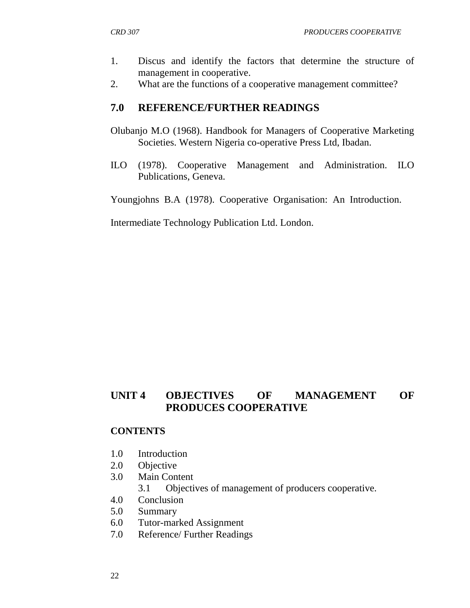- 1. Discus and identify the factors that determine the structure of management in cooperative.
- 2. What are the functions of a cooperative management committee?

# **7.0 REFERENCE/FURTHER READINGS**

- Olubanjo M.O (1968). Handbook for Managers of Cooperative Marketing Societies. Western Nigeria co-operative Press Ltd, Ibadan.
- ILO (1978). Cooperative Management and Administration. ILO Publications, Geneva.

Youngjohns B.A (1978). Cooperative Organisation: An Introduction.

Intermediate Technology Publication Ltd. London.

# **UNIT 4 OBJECTIVES OF MANAGEMENT OF PRODUCES COOPERATIVE**

### **CONTENTS**

- 1.0 Introduction
- 2.0 Objective
- 3.0 Main Content
	- 3.1 Objectives of management of producers cooperative.
- 4.0 Conclusion
- 5.0 Summary
- 6.0 Tutor-marked Assignment
- 7.0 Reference/ Further Readings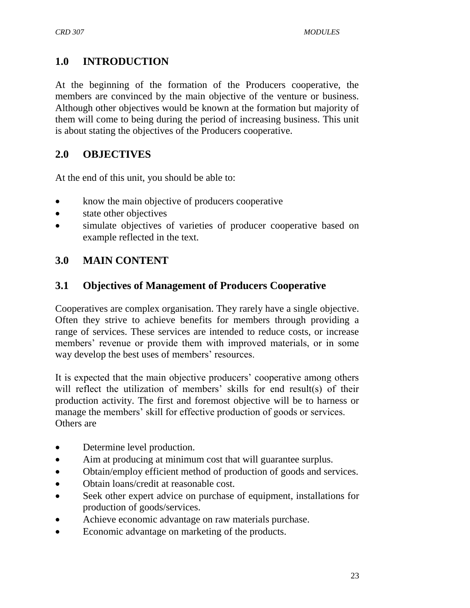# **1.0 INTRODUCTION**

At the beginning of the formation of the Producers cooperative, the members are convinced by the main objective of the venture or business. Although other objectives would be known at the formation but majority of them will come to being during the period of increasing business. This unit is about stating the objectives of the Producers cooperative.

## **2.0 OBJECTIVES**

At the end of this unit, you should be able to:

- know the main objective of producers cooperative
- state other objectives
- simulate objectives of varieties of producer cooperative based on example reflected in the text.

# **3.0 MAIN CONTENT**

## **3.1 Objectives of Management of Producers Cooperative**

Cooperatives are complex organisation. They rarely have a single objective. Often they strive to achieve benefits for members through providing a range of services. These services are intended to reduce costs, or increase members' revenue or provide them with improved materials, or in some way develop the best uses of members' resources.

It is expected that the main objective producers' cooperative among others will reflect the utilization of members' skills for end result(s) of their production activity. The first and foremost objective will be to harness or manage the members' skill for effective production of goods or services. Others are

- Determine level production.
- Aim at producing at minimum cost that will guarantee surplus.
- Obtain/employ efficient method of production of goods and services.
- Obtain loans/credit at reasonable cost.
- Seek other expert advice on purchase of equipment, installations for production of goods/services.
- Achieve economic advantage on raw materials purchase.
- Economic advantage on marketing of the products.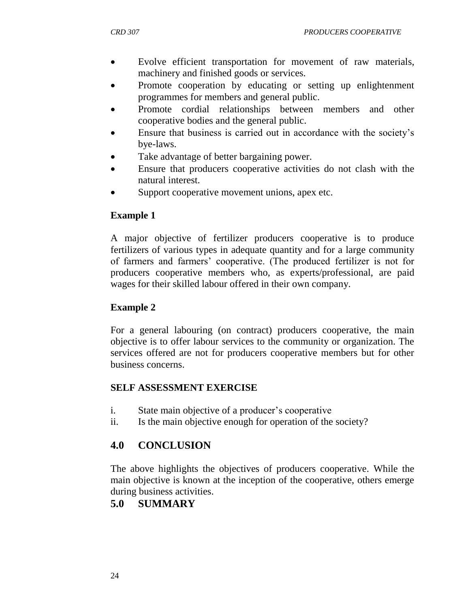- Evolve efficient transportation for movement of raw materials, machinery and finished goods or services.
- Promote cooperation by educating or setting up enlightenment programmes for members and general public.
- Promote cordial relationships between members and other cooperative bodies and the general public.
- Ensure that business is carried out in accordance with the society"s bye-laws.
- Take advantage of better bargaining power.
- Ensure that producers cooperative activities do not clash with the natural interest.
- Support cooperative movement unions, apex etc.

#### **Example 1**

A major objective of fertilizer producers cooperative is to produce fertilizers of various types in adequate quantity and for a large community of farmers and farmers" cooperative. (The produced fertilizer is not for producers cooperative members who, as experts/professional, are paid wages for their skilled labour offered in their own company.

#### **Example 2**

For a general labouring (on contract) producers cooperative, the main objective is to offer labour services to the community or organization. The services offered are not for producers cooperative members but for other business concerns.

#### **SELF ASSESSMENT EXERCISE**

- i. State main objective of a producer"s cooperative
- ii. Is the main objective enough for operation of the society?

# **4.0 CONCLUSION**

The above highlights the objectives of producers cooperative. While the main objective is known at the inception of the cooperative, others emerge during business activities.

# **5.0 SUMMARY**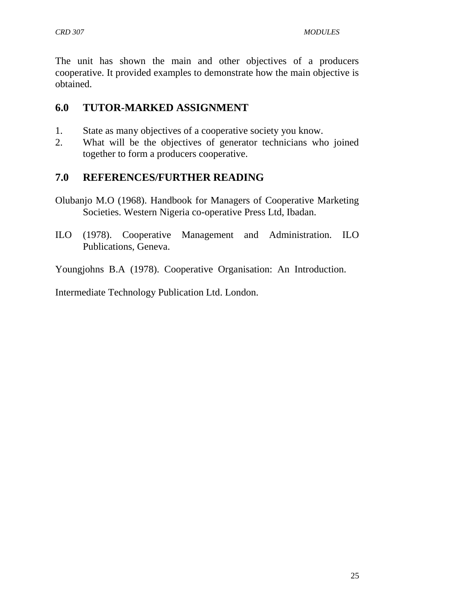The unit has shown the main and other objectives of a producers cooperative. It provided examples to demonstrate how the main objective is obtained.

#### **6.0 TUTOR-MARKED ASSIGNMENT**

- 1. State as many objectives of a cooperative society you know.
- 2. What will be the objectives of generator technicians who joined together to form a producers cooperative.

#### **7.0 REFERENCES/FURTHER READING**

- Olubanjo M.O (1968). Handbook for Managers of Cooperative Marketing Societies. Western Nigeria co-operative Press Ltd, Ibadan.
- ILO (1978). Cooperative Management and Administration. ILO Publications, Geneva.

Youngjohns B.A (1978). Cooperative Organisation: An Introduction.

Intermediate Technology Publication Ltd. London.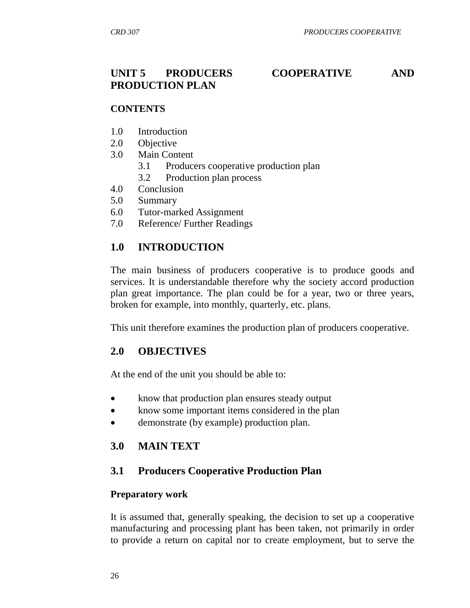# **UNIT 5 PRODUCERS COOPERATIVE AND PRODUCTION PLAN**

#### **CONTENTS**

- 1.0 Introduction
- 2.0 Objective
- 3.0 Main Content
	- 3.1 Producers cooperative production plan
	- 3.2 Production plan process
- 4.0 Conclusion
- 5.0 Summary
- 6.0 Tutor-marked Assignment
- 7.0 Reference/ Further Readings

## **1.0 INTRODUCTION**

The main business of producers cooperative is to produce goods and services. It is understandable therefore why the society accord production plan great importance. The plan could be for a year, two or three years, broken for example, into monthly, quarterly, etc. plans.

This unit therefore examines the production plan of producers cooperative.

## **2.0 OBJECTIVES**

At the end of the unit you should be able to:

- know that production plan ensures steady output
- know some important items considered in the plan
- demonstrate (by example) production plan.

#### **3.0 MAIN TEXT**

## **3.1 Producers Cooperative Production Plan**

#### **Preparatory work**

It is assumed that, generally speaking, the decision to set up a cooperative manufacturing and processing plant has been taken, not primarily in order to provide a return on capital nor to create employment, but to serve the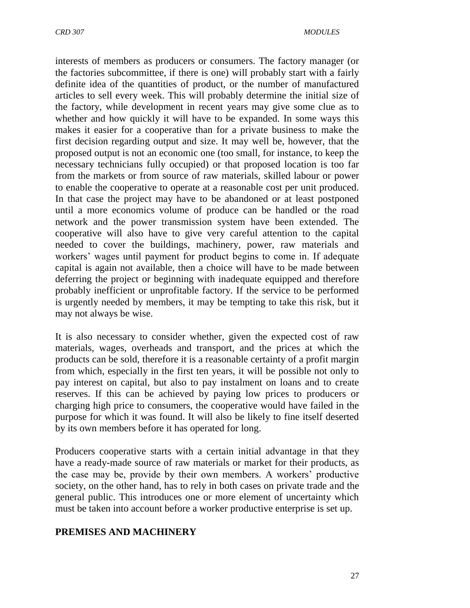interests of members as producers or consumers. The factory manager (or the factories subcommittee, if there is one) will probably start with a fairly definite idea of the quantities of product, or the number of manufactured articles to sell every week. This will probably determine the initial size of the factory, while development in recent years may give some clue as to whether and how quickly it will have to be expanded. In some ways this makes it easier for a cooperative than for a private business to make the first decision regarding output and size. It may well be, however, that the proposed output is not an economic one (too small, for instance, to keep the necessary technicians fully occupied) or that proposed location is too far from the markets or from source of raw materials, skilled labour or power to enable the cooperative to operate at a reasonable cost per unit produced. In that case the project may have to be abandoned or at least postponed until a more economics volume of produce can be handled or the road network and the power transmission system have been extended. The cooperative will also have to give very careful attention to the capital needed to cover the buildings, machinery, power, raw materials and workers' wages until payment for product begins to come in. If adequate capital is again not available, then a choice will have to be made between deferring the project or beginning with inadequate equipped and therefore probably inefficient or unprofitable factory. If the service to be performed is urgently needed by members, it may be tempting to take this risk, but it may not always be wise.

It is also necessary to consider whether, given the expected cost of raw materials, wages, overheads and transport, and the prices at which the products can be sold, therefore it is a reasonable certainty of a profit margin from which, especially in the first ten years, it will be possible not only to pay interest on capital, but also to pay instalment on loans and to create reserves. If this can be achieved by paying low prices to producers or charging high price to consumers, the cooperative would have failed in the purpose for which it was found. It will also be likely to fine itself deserted by its own members before it has operated for long.

Producers cooperative starts with a certain initial advantage in that they have a ready-made source of raw materials or market for their products, as the case may be, provide by their own members. A workers" productive society, on the other hand, has to rely in both cases on private trade and the general public. This introduces one or more element of uncertainty which must be taken into account before a worker productive enterprise is set up.

#### **PREMISES AND MACHINERY**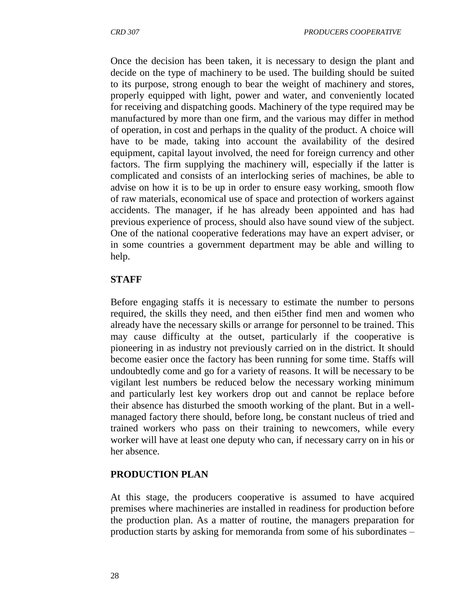Once the decision has been taken, it is necessary to design the plant and decide on the type of machinery to be used. The building should be suited to its purpose, strong enough to bear the weight of machinery and stores, properly equipped with light, power and water, and conveniently located for receiving and dispatching goods. Machinery of the type required may be manufactured by more than one firm, and the various may differ in method of operation, in cost and perhaps in the quality of the product. A choice will have to be made, taking into account the availability of the desired equipment, capital layout involved, the need for foreign currency and other factors. The firm supplying the machinery will, especially if the latter is complicated and consists of an interlocking series of machines, be able to advise on how it is to be up in order to ensure easy working, smooth flow of raw materials, economical use of space and protection of workers against accidents. The manager, if he has already been appointed and has had previous experience of process, should also have sound view of the subject. One of the national cooperative federations may have an expert adviser, or in some countries a government department may be able and willing to help.

#### **STAFF**

Before engaging staffs it is necessary to estimate the number to persons required, the skills they need, and then ei5ther find men and women who already have the necessary skills or arrange for personnel to be trained. This may cause difficulty at the outset, particularly if the cooperative is pioneering in as industry not previously carried on in the district. It should become easier once the factory has been running for some time. Staffs will undoubtedly come and go for a variety of reasons. It will be necessary to be vigilant lest numbers be reduced below the necessary working minimum and particularly lest key workers drop out and cannot be replace before their absence has disturbed the smooth working of the plant. But in a wellmanaged factory there should, before long, be constant nucleus of tried and trained workers who pass on their training to newcomers, while every worker will have at least one deputy who can, if necessary carry on in his or her absence.

#### **PRODUCTION PLAN**

At this stage, the producers cooperative is assumed to have acquired premises where machineries are installed in readiness for production before the production plan. As a matter of routine, the managers preparation for production starts by asking for memoranda from some of his subordinates –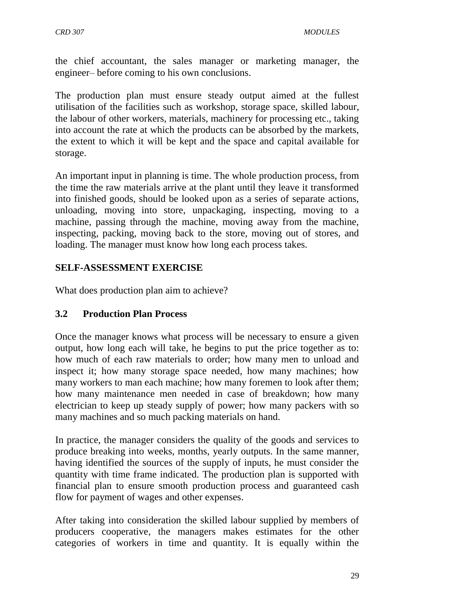the chief accountant, the sales manager or marketing manager, the engineer– before coming to his own conclusions.

The production plan must ensure steady output aimed at the fullest utilisation of the facilities such as workshop, storage space, skilled labour, the labour of other workers, materials, machinery for processing etc., taking into account the rate at which the products can be absorbed by the markets, the extent to which it will be kept and the space and capital available for storage.

An important input in planning is time. The whole production process, from the time the raw materials arrive at the plant until they leave it transformed into finished goods, should be looked upon as a series of separate actions, unloading, moving into store, unpackaging, inspecting, moving to a machine, passing through the machine, moving away from the machine, inspecting, packing, moving back to the store, moving out of stores, and loading. The manager must know how long each process takes.

#### **SELF-ASSESSMENT EXERCISE**

What does production plan aim to achieve?

#### **3.2 Production Plan Process**

Once the manager knows what process will be necessary to ensure a given output, how long each will take, he begins to put the price together as to: how much of each raw materials to order; how many men to unload and inspect it; how many storage space needed, how many machines; how many workers to man each machine; how many foremen to look after them; how many maintenance men needed in case of breakdown; how many electrician to keep up steady supply of power; how many packers with so many machines and so much packing materials on hand.

In practice, the manager considers the quality of the goods and services to produce breaking into weeks, months, yearly outputs. In the same manner, having identified the sources of the supply of inputs, he must consider the quantity with time frame indicated. The production plan is supported with financial plan to ensure smooth production process and guaranteed cash flow for payment of wages and other expenses.

After taking into consideration the skilled labour supplied by members of producers cooperative, the managers makes estimates for the other categories of workers in time and quantity. It is equally within the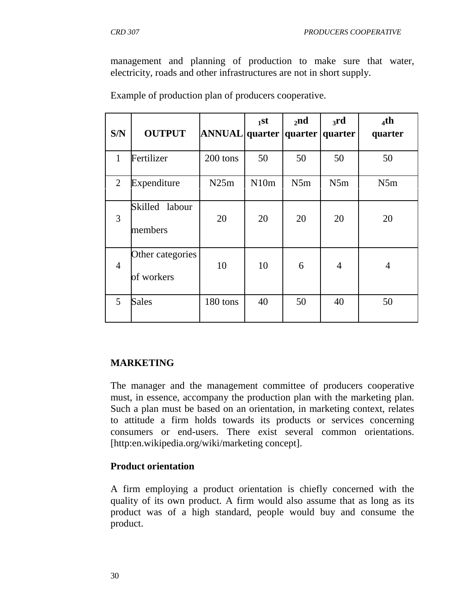management and planning of production to make sure that water, electricity, roads and other infrastructures are not in short supply.

| S/N            | <b>OUTPUT</b>                  | <b>ANNUAL</b> quarter quarter | 1st  | 2nd | 3rd<br>quarter | $_4$ th<br>quarter |
|----------------|--------------------------------|-------------------------------|------|-----|----------------|--------------------|
| $\mathbf{1}$   | Fertilizer                     | 200 tons                      | 50   | 50  | 50             | 50                 |
| 2              | Expenditure                    | N25m                          | N10m | N5m | N5m            | N5m                |
| 3              | Skilled labour<br>members      | 20                            | 20   | 20  | 20             | 20                 |
| $\overline{4}$ | Other categories<br>of workers | 10                            | 10   | 6   | $\overline{4}$ | 4                  |
| 5              | Sales                          | 180 tons                      | 40   | 50  | 40             | 50                 |

Example of production plan of producers cooperative.

#### **MARKETING**

The manager and the management committee of producers cooperative must, in essence, accompany the production plan with the marketing plan. Such a plan must be based on an orientation, in marketing context, relates to attitude a firm holds towards its products or services concerning consumers or end-users. There exist several common orientations. [http:en.wikipedia.org/wiki/marketing concept].

#### **Product orientation**

A firm employing a product orientation is chiefly concerned with the quality of its own product. A firm would also assume that as long as its product was of a high standard, people would buy and consume the product.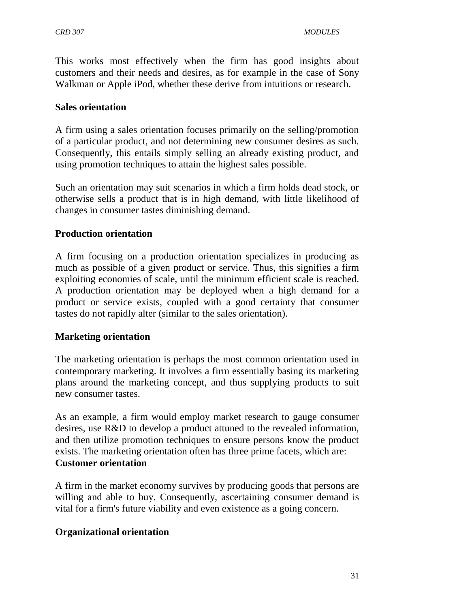This works most effectively when the firm has good insights about customers and their needs and desires, as for example in the case of Sony Walkman or Apple iPod, whether these derive from intuitions or research.

#### **Sales orientation**

A firm using a sales orientation focuses primarily on the selling/promotion of a particular product, and not determining new consumer desires as such. Consequently, this entails simply selling an already existing product, and using promotion techniques to attain the highest sales possible.

Such an orientation may suit scenarios in which a firm holds dead stock, or otherwise sells a product that is in high demand, with little likelihood of changes in consumer tastes diminishing demand.

#### **Production orientation**

A firm focusing on a production orientation specializes in producing as much as possible of a given product or service. Thus, this signifies a firm exploiting [economies of scale, u](http://en.wikipedia.org/wiki/Economies_of_scale)ntil the [minimum efficient scale i](http://en.wikipedia.org/w/index.php?title=Minimum_efficient_scale&action=edit&redlink=1)s reached. A production orientation may be deployed when a high demand for a product or service exists, coupled with a good certainty that consumer tastes do not rapidly alter (similar to the sales orientation).

#### **Marketing orientation**

The marketing orientation is perhaps the most common orientation used in contemporary marketing. It involves a firm essentially basing its marketing plans around the marketing concept, and thus supplying products to suit new consumer tastes.

As an example, a firm would employ market research to gauge consumer desires, use R&D to develop a product attuned to the revealed information, and then utilize promotion techniques to ensure persons know the product exists. The marketing orientation often has three prime facets, which are: **Customer orientation**

A firm in the [market economy s](http://en.wikipedia.org/wiki/Market_economy)urvives by producing [goods t](http://en.wikipedia.org/wiki/Good)hat persons are willing and able to buy. Consequently, ascertaining [consumer demand i](http://en.wikipedia.org/wiki/Consumer_demand)s vital for a [firm's f](http://en.wikipedia.org/wiki/Business_entity)uture viability and even existence as a [going concern.](http://en.wikipedia.org/wiki/Going_concern)

#### **Organizational orientation**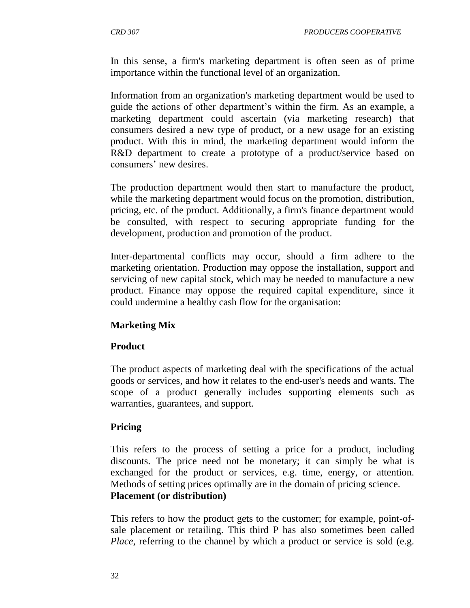In this sense, a firm's marketing department is often seen as of prime importance within the functional level of an organization.

Information from an organization's marketing department would be used to guide the actions of other department's within the firm. As an example, a marketing department could ascertain (via marketing research) that consumers desired a new type of product, or a new usage for an existing product. With this in mind, the marketing department would inform the R&D department to create a prototype of a product/service based on consumers' new desires.

The production department would then start to manufacture the product, while the marketing department would focus on the promotion, distribution, pricing, etc. of the product. Additionally, a firm's finance department would be consulted, with respect to securing appropriate funding for the development, production and promotion of the product.

Inter-departmental conflicts may occur, should a firm adhere to the marketing orientation. Production may oppose the installation, support and servicing of new capital stock, which may be needed to manufacture a new product. Finance may oppose the required capital expenditure, since it could undermine a healthy cash flow for the organisation:

#### **Marketing Mix**

#### **[Product](http://en.wikipedia.org/wiki/Product_%28business%29)**

The product aspects of marketing deal with the specifications of the actual goods or services, and how it relates to the [end-user's n](http://en.wikipedia.org/wiki/End-user)eeds and wants. The scope of a product generally includes supporting elements such as warranties, guarantees, and support.

#### **[Pricing](http://en.wikipedia.org/wiki/Pricing)**

This refers to the process of setting a [price f](http://en.wikipedia.org/wiki/Price)or a product, including discounts. The price need not be monetary; it can simply be what is exchanged for the product or services, e.g. time, energy, or attention. Methods of setting prices optimally are in the domain of [pricing](http://en.wikipedia.org/wiki/Pricing_science) [science.](http://en.wikipedia.org/wiki/Pricing_science) **[Placement \(](http://en.wikipedia.org/wiki/Placement)or [distribution\)](http://en.wikipedia.org/wiki/Distribution_%28business%29)**

This refers to how the product gets to the customer; for example, point-ofsale placement or [retailing. T](http://en.wikipedia.org/wiki/Retailer)his third P has also sometimes been called *Place*, referring to the channel by which a product or service is sold (e.g.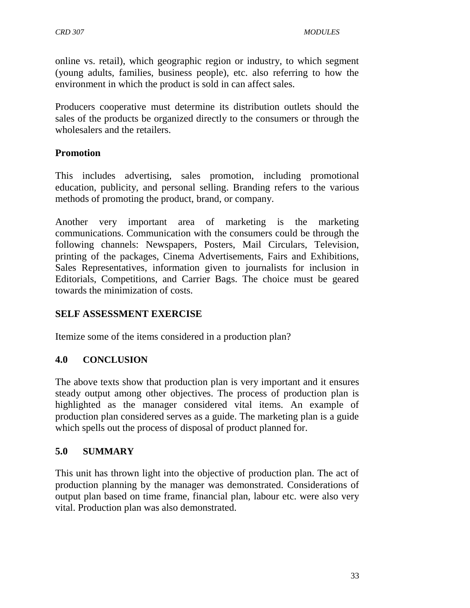online vs. retail), which geographic region or industry, to which segment (young adults, families, business people), etc. also referring to how the environment in which the product is sold in can affect sales.

Producers cooperative must determine its distribution outlets should the sales of the products be organized directly to the consumers or through the wholesalers and the retailers.

#### **Promotion**

This includes [advertising, sales promotion, i](http://en.wikipedia.org/wiki/Advertising)ncluding [promotional](http://en.wikipedia.org/wiki/Promotional_education) [education, publicity, a](http://en.wikipedia.org/wiki/Promotional_education)nd [personal selling. Branding r](http://en.wikipedia.org/wiki/Sales)efers to the various methods of promoting the product, [brand, o](http://en.wikipedia.org/wiki/Brand)r company.

Another very important area of marketing is the marketing communications. Communication with the consumers could be through the following channels: Newspapers, Posters, Mail Circulars, Television, printing of the packages, Cinema Advertisements, Fairs and Exhibitions, Sales Representatives, information given to journalists for inclusion in Editorials, Competitions, and Carrier Bags. The choice must be geared towards the minimization of costs.

#### **SELF ASSESSMENT EXERCISE**

Itemize some of the items considered in a production plan?

#### **4.0 CONCLUSION**

The above texts show that production plan is very important and it ensures steady output among other objectives. The process of production plan is highlighted as the manager considered vital items. An example of production plan considered serves as a guide. The marketing plan is a guide which spells out the process of disposal of product planned for.

#### **5.0 SUMMARY**

This unit has thrown light into the objective of production plan. The act of production planning by the manager was demonstrated. Considerations of output plan based on time frame, financial plan, labour etc. were also very vital. Production plan was also demonstrated.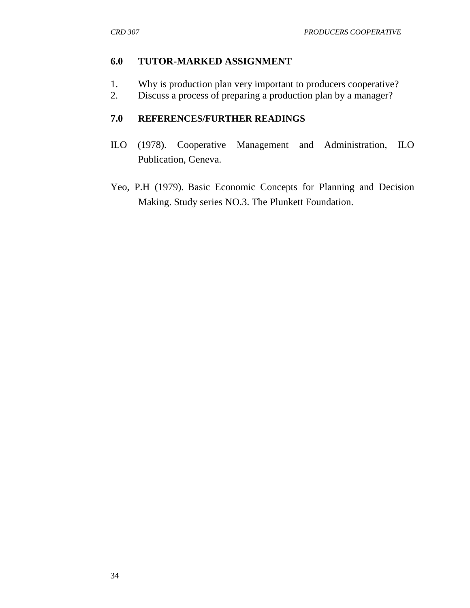#### **6.0 TUTOR-MARKED ASSIGNMENT**

- 1. Why is production plan very important to producers cooperative?
- 2. Discuss a process of preparing a production plan by a manager?

#### **7.0 REFERENCES/FURTHER READINGS**

- ILO (1978). Cooperative Management and Administration, ILO Publication, Geneva.
- Yeo, P.H (1979). Basic Economic Concepts for Planning and Decision Making. Study series NO.3. The Plunkett Foundation.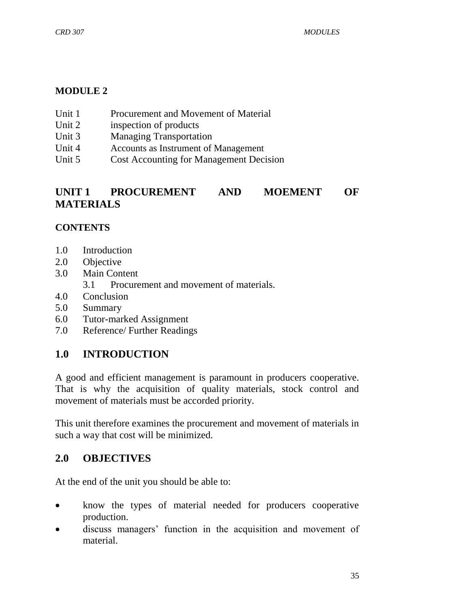## **MODULE 2**

- Unit 1 Procurement and Movement of Material
- Unit 2 inspection of products
- Unit 3 Managing Transportation
- Unit 4 Accounts as Instrument of Management
- Unit 5 Cost Accounting for Management Decision

## **UNIT 1 PROCUREMENT AND MOEMENT OF MATERIALS**

#### **CONTENTS**

- 1.0 Introduction
- 2.0 Objective
- 3.0 Main Content
	- 3.1 Procurement and movement of materials.
- 4.0 Conclusion
- 5.0 Summary
- 6.0 Tutor-marked Assignment
- 7.0 Reference/ Further Readings

## **1.0 INTRODUCTION**

A good and efficient management is paramount in producers cooperative. That is why the acquisition of quality materials, stock control and movement of materials must be accorded priority.

This unit therefore examines the procurement and movement of materials in such a way that cost will be minimized.

#### **2.0 OBJECTIVES**

At the end of the unit you should be able to:

- know the types of material needed for producers cooperative production.
- discuss managers' function in the acquisition and movement of material.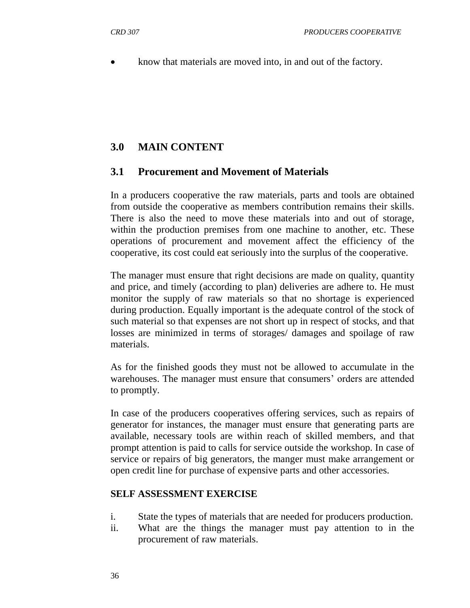know that materials are moved into, in and out of the factory.

## **3.0 MAIN CONTENT**

#### **3.1 Procurement and Movement of Materials**

In a producers cooperative the raw materials, parts and tools are obtained from outside the cooperative as members contribution remains their skills. There is also the need to move these materials into and out of storage, within the production premises from one machine to another, etc. These operations of procurement and movement affect the efficiency of the cooperative, its cost could eat seriously into the surplus of the cooperative.

The manager must ensure that right decisions are made on quality, quantity and price, and timely (according to plan) deliveries are adhere to. He must monitor the supply of raw materials so that no shortage is experienced during production. Equally important is the adequate control of the stock of such material so that expenses are not short up in respect of stocks, and that losses are minimized in terms of storages/ damages and spoilage of raw materials.

As for the finished goods they must not be allowed to accumulate in the warehouses. The manager must ensure that consumers' orders are attended to promptly.

In case of the producers cooperatives offering services, such as repairs of generator for instances, the manager must ensure that generating parts are available, necessary tools are within reach of skilled members, and that prompt attention is paid to calls for service outside the workshop. In case of service or repairs of big generators, the manger must make arrangement or open credit line for purchase of expensive parts and other accessories.

#### **SELF ASSESSMENT EXERCISE**

- i. State the types of materials that are needed for producers production.
- ii. What are the things the manager must pay attention to in the procurement of raw materials.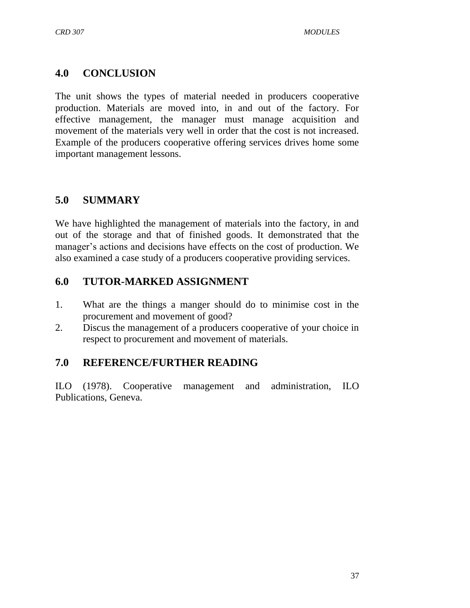## **4.0 CONCLUSION**

The unit shows the types of material needed in producers cooperative production. Materials are moved into, in and out of the factory. For effective management, the manager must manage acquisition and movement of the materials very well in order that the cost is not increased. Example of the producers cooperative offering services drives home some important management lessons.

## **5.0 SUMMARY**

We have highlighted the management of materials into the factory, in and out of the storage and that of finished goods. It demonstrated that the manager's actions and decisions have effects on the cost of production. We also examined a case study of a producers cooperative providing services.

## **6.0 TUTOR-MARKED ASSIGNMENT**

- 1. What are the things a manger should do to minimise cost in the procurement and movement of good?
- 2. Discus the management of a producers cooperative of your choice in respect to procurement and movement of materials.

## **7.0 REFERENCE/FURTHER READING**

ILO (1978). Cooperative management and administration, ILO Publications, Geneva.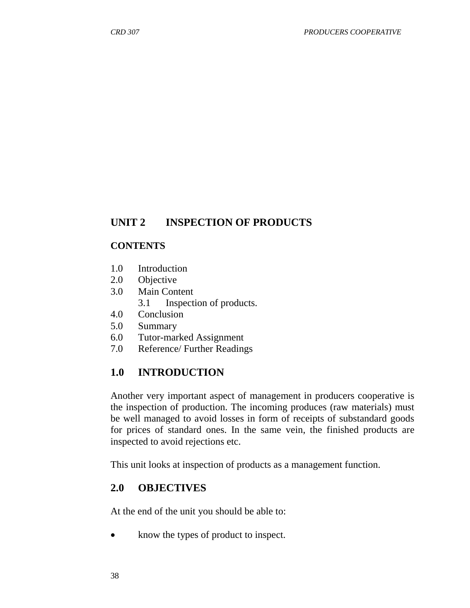## **UNIT 2 INSPECTION OF PRODUCTS**

#### **CONTENTS**

- 1.0 Introduction
- 2.0 Objective
- 3.0 Main Content
	- 3.1 Inspection of products.
- 4.0 Conclusion
- 5.0 Summary
- 6.0 Tutor-marked Assignment
- 7.0 Reference/ Further Readings

## **1.0 INTRODUCTION**

Another very important aspect of management in producers cooperative is the inspection of production. The incoming produces (raw materials) must be well managed to avoid losses in form of receipts of substandard goods for prices of standard ones. In the same vein, the finished products are inspected to avoid rejections etc.

This unit looks at inspection of products as a management function.

#### **2.0 OBJECTIVES**

At the end of the unit you should be able to:

• know the types of product to inspect.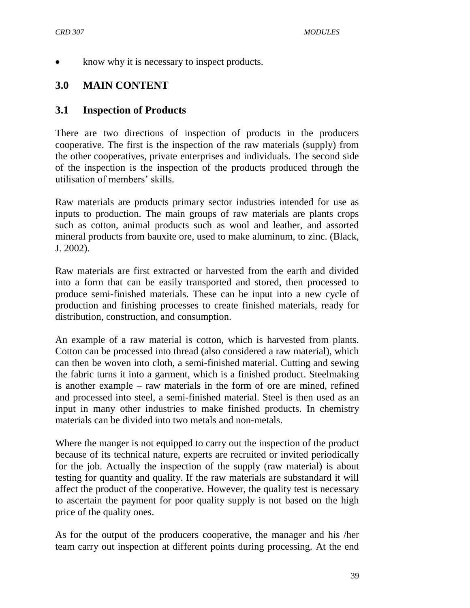know why it is necessary to inspect products.

## **3.0 MAIN CONTENT**

#### **3.1 Inspection of Products**

There are two directions of inspection of products in the producers cooperative. The first is the inspection of the raw materials (supply) from the other cooperatives, private enterprises and individuals. The second side of the inspection is the inspection of the products produced through the utilisation of members" skills.

Raw materials are products primary sector industries intended for use as inputs to production. The main groups of raw materials are plants crops such as cotton, animal products such as wool and leather, and assorted mineral products from bauxite ore, used to make aluminum, to zinc. (Black, J. 2002).

Raw materials are first extracted or harvested from the earth and divided into a form that can be easily transported and stored, then processed to produce semi-finished materials. These can be input into a new cycle of production and [finishing p](http://en.wikipedia.org/wiki/Finishing_%28disambiguation%29)rocesses to create finished materials, ready for [distribution, construction, a](http://en.wikipedia.org/wiki/Distribution_%28business%29)nd [consumption.](http://en.wikipedia.org/wiki/Consumption_%28economics%29)

An example of a raw material is [cotton, w](http://en.wikipedia.org/wiki/Cotton)hich is harvested from plants. Cotton can be processed into thread (also considered a raw material), which can then be woven into [cloth, a](http://en.wikipedia.org/wiki/Textile) semi-finished material. Cutting and sewing the fabric turns it into a [garment, w](http://en.wikipedia.org/wiki/Clothing)hich is a finished product. [Steelmaking](http://en.wikipedia.org/wiki/Steelmaking) is another example – raw materials in the form of [ore a](http://en.wikipedia.org/wiki/Ore)re mined, refined and processed into [steel, a](http://en.wikipedia.org/wiki/Steel) semi-finished material. Steel is then used as an input in many other industries to make finished products. In chemistry materials can be divided into two [metals a](http://en.wikipedia.org/wiki/Metals)nd [non-metals.](http://en.wikipedia.org/wiki/Non-metals)

Where the manger is not equipped to carry out the inspection of the product because of its technical nature, experts are recruited or invited periodically for the job. Actually the inspection of the supply (raw material) is about testing for quantity and quality. If the raw materials are substandard it will affect the product of the cooperative. However, the quality test is necessary to ascertain the payment for poor quality supply is not based on the high price of the quality ones.

As for the output of the producers cooperative, the manager and his /her team carry out inspection at different points during processing. At the end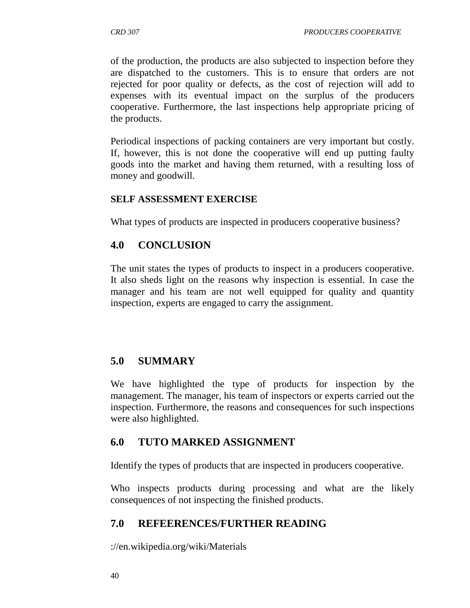of the production, the products are also subjected to inspection before they are dispatched to the customers. This is to ensure that orders are not rejected for poor quality or defects, as the cost of rejection will add to expenses with its eventual impact on the surplus of the producers cooperative. Furthermore, the last inspections help appropriate pricing of the products.

Periodical inspections of packing containers are very important but costly. If, however, this is not done the cooperative will end up putting faulty goods into the market and having them returned, with a resulting loss of money and goodwill.

#### **SELF ASSESSMENT EXERCISE**

What types of products are inspected in producers cooperative business?

#### **4.0 CONCLUSION**

The unit states the types of products to inspect in a producers cooperative. It also sheds light on the reasons why inspection is essential. In case the manager and his team are not well equipped for quality and quantity inspection, experts are engaged to carry the assignment.

#### **5.0 SUMMARY**

We have highlighted the type of products for inspection by the management. The manager, his team of inspectors or experts carried out the inspection. Furthermore, the reasons and consequences for such inspections were also highlighted.

#### **6.0 TUTO MARKED ASSIGNMENT**

Identify the types of products that are inspected in producers cooperative.

Who inspects products during processing and what are the likely consequences of not inspecting the finished products.

## **7.0 REFEERENCES/FURTHER READING**

[://en.wikipedia.org/wiki/Materials](http://en.wikipedia.org/wiki/Materials)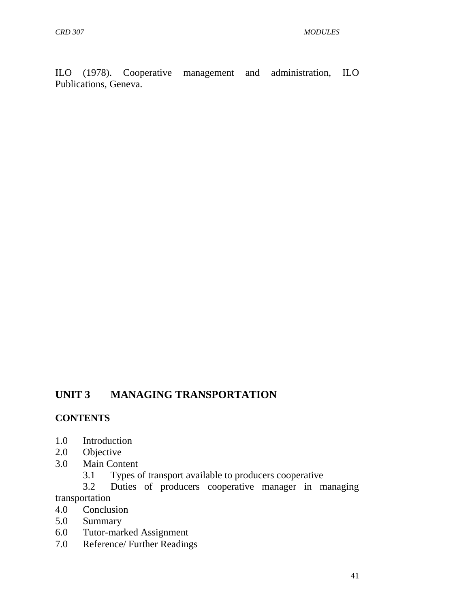ILO (1978). Cooperative management and administration, ILO Publications, Geneva.

# **UNIT 3 MANAGING TRANSPORTATION**

#### **CONTENTS**

- 1.0 Introduction
- 2.0 Objective
- 3.0 Main Content
	- 3.1 Types of transport available to producers cooperative

3.2 Duties of producers cooperative manager in managing transportation

- 4.0 Conclusion
- 5.0 Summary
- 6.0 Tutor-marked Assignment
- 7.0 Reference/ Further Readings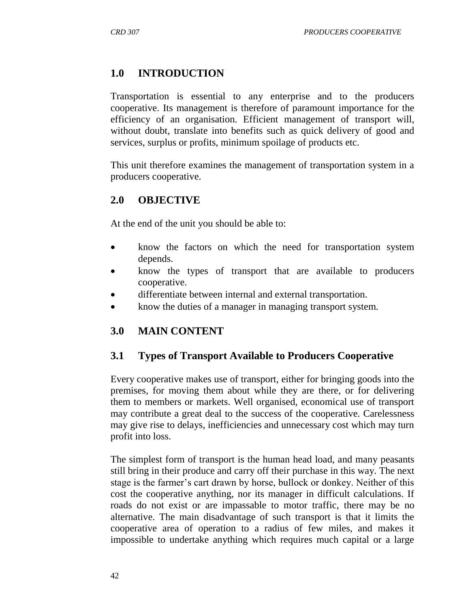# **1.0 INTRODUCTION**

Transportation is essential to any enterprise and to the producers cooperative. Its management is therefore of paramount importance for the efficiency of an organisation. Efficient management of transport will, without doubt, translate into benefits such as quick delivery of good and services, surplus or profits, minimum spoilage of products etc.

This unit therefore examines the management of transportation system in a producers cooperative.

## **2.0 OBJECTIVE**

At the end of the unit you should be able to:

- In know the factors on which the need for transportation system depends.
- know the types of transport that are available to producers cooperative.
- differentiate between internal and external transportation.
- know the duties of a manager in managing transport system.

#### **3.0 MAIN CONTENT**

#### **3.1 Types of Transport Available to Producers Cooperative**

Every cooperative makes use of transport, either for bringing goods into the premises, for moving them about while they are there, or for delivering them to members or markets. Well organised, economical use of transport may contribute a great deal to the success of the cooperative. Carelessness may give rise to delays, inefficiencies and unnecessary cost which may turn profit into loss.

The simplest form of transport is the human head load, and many peasants still bring in their produce and carry off their purchase in this way. The next stage is the farmer"s cart drawn by horse, bullock or donkey. Neither of this cost the cooperative anything, nor its manager in difficult calculations. If roads do not exist or are impassable to motor traffic, there may be no alternative. The main disadvantage of such transport is that it limits the cooperative area of operation to a radius of few miles, and makes it impossible to undertake anything which requires much capital or a large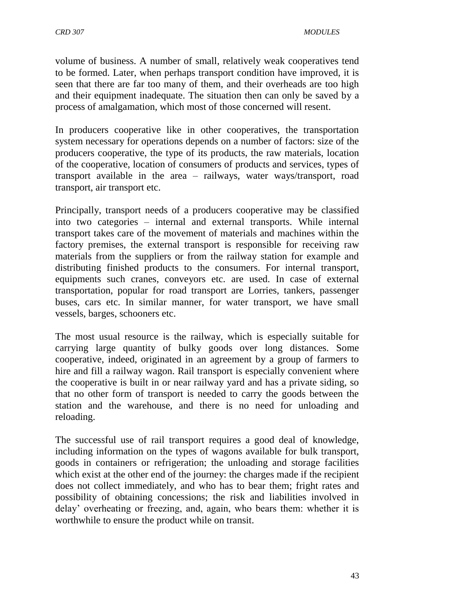volume of business. A number of small, relatively weak cooperatives tend to be formed. Later, when perhaps transport condition have improved, it is seen that there are far too many of them, and their overheads are too high and their equipment inadequate. The situation then can only be saved by a process of amalgamation, which most of those concerned will resent.

In producers cooperative like in other cooperatives, the transportation system necessary for operations depends on a number of factors: size of the producers cooperative, the type of its products, the raw materials, location of the cooperative, location of consumers of products and services, types of transport available in the area – railways, water ways/transport, road transport, air transport etc.

Principally, transport needs of a producers cooperative may be classified into two categories – internal and external transports. While internal transport takes care of the movement of materials and machines within the factory premises, the external transport is responsible for receiving raw materials from the suppliers or from the railway station for example and distributing finished products to the consumers. For internal transport, equipments such cranes, conveyors etc. are used. In case of external transportation, popular for road transport are Lorries, tankers, passenger buses, cars etc. In similar manner, for water transport, we have small vessels, barges, schooners etc.

The most usual resource is the railway, which is especially suitable for carrying large quantity of bulky goods over long distances. Some cooperative, indeed, originated in an agreement by a group of farmers to hire and fill a railway wagon. Rail transport is especially convenient where the cooperative is built in or near railway yard and has a private siding, so that no other form of transport is needed to carry the goods between the station and the warehouse, and there is no need for unloading and reloading.

The successful use of rail transport requires a good deal of knowledge, including information on the types of wagons available for bulk transport, goods in containers or refrigeration; the unloading and storage facilities which exist at the other end of the journey: the charges made if the recipient does not collect immediately, and who has to bear them; fright rates and possibility of obtaining concessions; the risk and liabilities involved in delay" overheating or freezing, and, again, who bears them: whether it is worthwhile to ensure the product while on transit.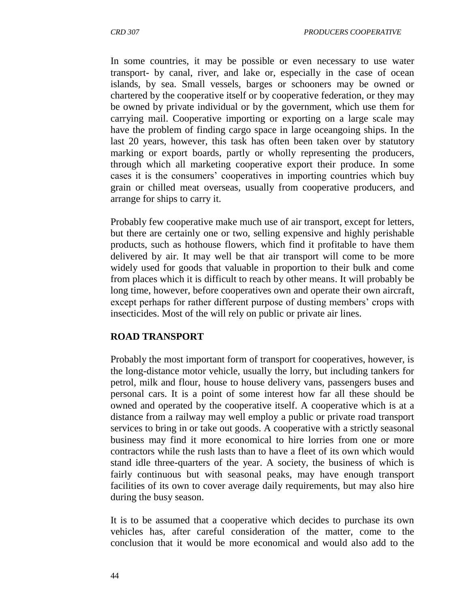In some countries, it may be possible or even necessary to use water transport- by canal, river, and lake or, especially in the case of ocean islands, by sea. Small vessels, barges or schooners may be owned or chartered by the cooperative itself or by cooperative federation, or they may be owned by private individual or by the government, which use them for carrying mail. Cooperative importing or exporting on a large scale may have the problem of finding cargo space in large oceangoing ships. In the last 20 years, however, this task has often been taken over by statutory marking or export boards, partly or wholly representing the producers, through which all marketing cooperative export their produce. In some cases it is the consumers" cooperatives in importing countries which buy grain or chilled meat overseas, usually from cooperative producers, and arrange for ships to carry it.

Probably few cooperative make much use of air transport, except for letters, but there are certainly one or two, selling expensive and highly perishable products, such as hothouse flowers, which find it profitable to have them delivered by air. It may well be that air transport will come to be more widely used for goods that valuable in proportion to their bulk and come from places which it is difficult to reach by other means. It will probably be long time, however, before cooperatives own and operate their own aircraft, except perhaps for rather different purpose of dusting members' crops with insecticides. Most of the will rely on public or private air lines.

#### **ROAD TRANSPORT**

Probably the most important form of transport for cooperatives, however, is the long-distance motor vehicle, usually the lorry, but including tankers for petrol, milk and flour, house to house delivery vans, passengers buses and personal cars. It is a point of some interest how far all these should be owned and operated by the cooperative itself. A cooperative which is at a distance from a railway may well employ a public or private road transport services to bring in or take out goods. A cooperative with a strictly seasonal business may find it more economical to hire lorries from one or more contractors while the rush lasts than to have a fleet of its own which would stand idle three-quarters of the year. A society, the business of which is fairly continuous but with seasonal peaks, may have enough transport facilities of its own to cover average daily requirements, but may also hire during the busy season.

It is to be assumed that a cooperative which decides to purchase its own vehicles has, after careful consideration of the matter, come to the conclusion that it would be more economical and would also add to the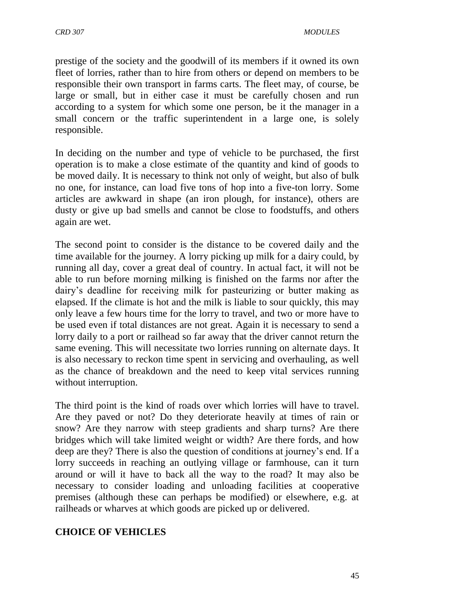prestige of the society and the goodwill of its members if it owned its own fleet of lorries, rather than to hire from others or depend on members to be responsible their own transport in farms carts. The fleet may, of course, be large or small, but in either case it must be carefully chosen and run according to a system for which some one person, be it the manager in a small concern or the traffic superintendent in a large one, is solely responsible.

In deciding on the number and type of vehicle to be purchased, the first operation is to make a close estimate of the quantity and kind of goods to be moved daily. It is necessary to think not only of weight, but also of bulk no one, for instance, can load five tons of hop into a five-ton lorry. Some articles are awkward in shape (an iron plough, for instance), others are dusty or give up bad smells and cannot be close to foodstuffs, and others again are wet.

The second point to consider is the distance to be covered daily and the time available for the journey. A lorry picking up milk for a dairy could, by running all day, cover a great deal of country. In actual fact, it will not be able to run before morning milking is finished on the farms nor after the dairy"s deadline for receiving milk for pasteurizing or butter making as elapsed. If the climate is hot and the milk is liable to sour quickly, this may only leave a few hours time for the lorry to travel, and two or more have to be used even if total distances are not great. Again it is necessary to send a lorry daily to a port or railhead so far away that the driver cannot return the same evening. This will necessitate two lorries running on alternate days. It is also necessary to reckon time spent in servicing and overhauling, as well as the chance of breakdown and the need to keep vital services running without interruption.

The third point is the kind of roads over which lorries will have to travel. Are they paved or not? Do they deteriorate heavily at times of rain or snow? Are they narrow with steep gradients and sharp turns? Are there bridges which will take limited weight or width? Are there fords, and how deep are they? There is also the question of conditions at journey's end. If a lorry succeeds in reaching an outlying village or farmhouse, can it turn around or will it have to back all the way to the road? It may also be necessary to consider loading and unloading facilities at cooperative premises (although these can perhaps be modified) or elsewhere, e.g. at railheads or wharves at which goods are picked up or delivered.

#### **CHOICE OF VEHICLES**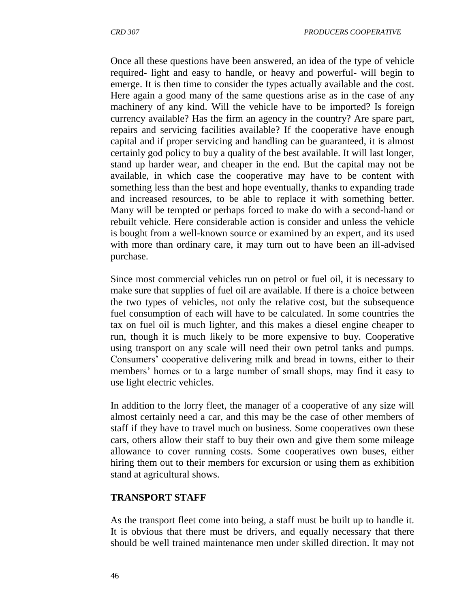Once all these questions have been answered, an idea of the type of vehicle required- light and easy to handle, or heavy and powerful- will begin to emerge. It is then time to consider the types actually available and the cost. Here again a good many of the same questions arise as in the case of any machinery of any kind. Will the vehicle have to be imported? Is foreign currency available? Has the firm an agency in the country? Are spare part, repairs and servicing facilities available? If the cooperative have enough capital and if proper servicing and handling can be guaranteed, it is almost certainly god policy to buy a quality of the best available. It will last longer, stand up harder wear, and cheaper in the end. But the capital may not be available, in which case the cooperative may have to be content with something less than the best and hope eventually, thanks to expanding trade and increased resources, to be able to replace it with something better. Many will be tempted or perhaps forced to make do with a second-hand or rebuilt vehicle. Here considerable action is consider and unless the vehicle is bought from a well-known source or examined by an expert, and its used with more than ordinary care, it may turn out to have been an ill-advised purchase.

Since most commercial vehicles run on petrol or fuel oil, it is necessary to make sure that supplies of fuel oil are available. If there is a choice between the two types of vehicles, not only the relative cost, but the subsequence fuel consumption of each will have to be calculated. In some countries the tax on fuel oil is much lighter, and this makes a diesel engine cheaper to run, though it is much likely to be more expensive to buy. Cooperative using transport on any scale will need their own petrol tanks and pumps. Consumers' cooperative delivering milk and bread in towns, either to their members' homes or to a large number of small shops, may find it easy to use light electric vehicles.

In addition to the lorry fleet, the manager of a cooperative of any size will almost certainly need a car, and this may be the case of other members of staff if they have to travel much on business. Some cooperatives own these cars, others allow their staff to buy their own and give them some mileage allowance to cover running costs. Some cooperatives own buses, either hiring them out to their members for excursion or using them as exhibition stand at agricultural shows.

#### **TRANSPORT STAFF**

As the transport fleet come into being, a staff must be built up to handle it. It is obvious that there must be drivers, and equally necessary that there should be well trained maintenance men under skilled direction. It may not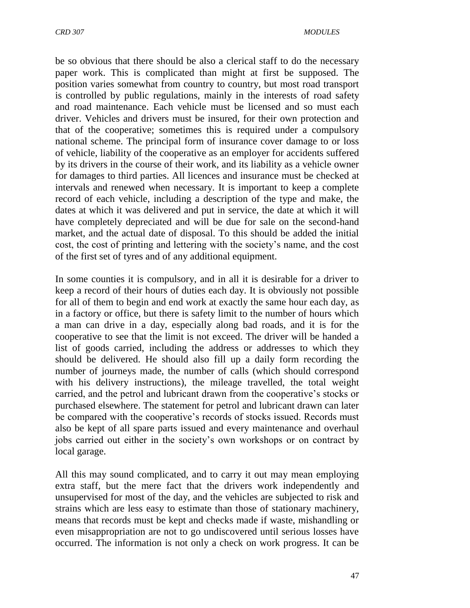be so obvious that there should be also a clerical staff to do the necessary paper work. This is complicated than might at first be supposed. The position varies somewhat from country to country, but most road transport is controlled by public regulations, mainly in the interests of road safety and road maintenance. Each vehicle must be licensed and so must each driver. Vehicles and drivers must be insured, for their own protection and that of the cooperative; sometimes this is required under a compulsory national scheme. The principal form of insurance cover damage to or loss of vehicle, liability of the cooperative as an employer for accidents suffered by its drivers in the course of their work, and its liability as a vehicle owner for damages to third parties. All licences and insurance must be checked at intervals and renewed when necessary. It is important to keep a complete record of each vehicle, including a description of the type and make, the dates at which it was delivered and put in service, the date at which it will have completely depreciated and will be due for sale on the second-hand market, and the actual date of disposal. To this should be added the initial cost, the cost of printing and lettering with the society"s name, and the cost of the first set of tyres and of any additional equipment.

In some counties it is compulsory, and in all it is desirable for a driver to keep a record of their hours of duties each day. It is obviously not possible for all of them to begin and end work at exactly the same hour each day, as in a factory or office, but there is safety limit to the number of hours which a man can drive in a day, especially along bad roads, and it is for the cooperative to see that the limit is not exceed. The driver will be handed a list of goods carried, including the address or addresses to which they should be delivered. He should also fill up a daily form recording the number of journeys made, the number of calls (which should correspond with his delivery instructions), the mileage travelled, the total weight carried, and the petrol and lubricant drawn from the cooperative"s stocks or purchased elsewhere. The statement for petrol and lubricant drawn can later be compared with the cooperative's records of stocks issued. Records must also be kept of all spare parts issued and every maintenance and overhaul jobs carried out either in the society"s own workshops or on contract by local garage.

All this may sound complicated, and to carry it out may mean employing extra staff, but the mere fact that the drivers work independently and unsupervised for most of the day, and the vehicles are subjected to risk and strains which are less easy to estimate than those of stationary machinery, means that records must be kept and checks made if waste, mishandling or even misappropriation are not to go undiscovered until serious losses have occurred. The information is not only a check on work progress. It can be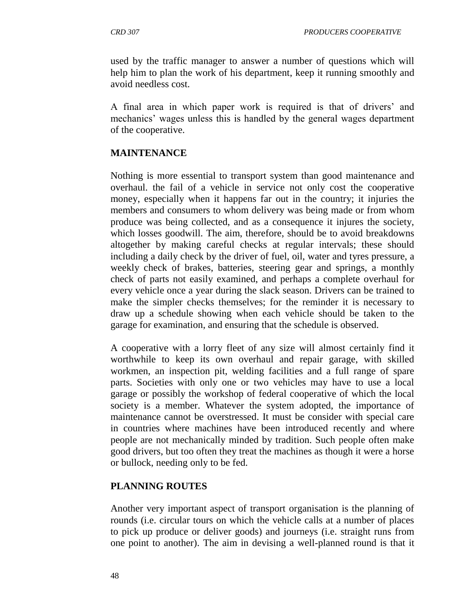used by the traffic manager to answer a number of questions which will help him to plan the work of his department, keep it running smoothly and avoid needless cost.

A final area in which paper work is required is that of drivers" and mechanics" wages unless this is handled by the general wages department of the cooperative.

## **MAINTENANCE**

Nothing is more essential to transport system than good maintenance and overhaul. the fail of a vehicle in service not only cost the cooperative money, especially when it happens far out in the country; it injuries the members and consumers to whom delivery was being made or from whom produce was being collected, and as a consequence it injures the society, which losses goodwill. The aim, therefore, should be to avoid breakdowns altogether by making careful checks at regular intervals; these should including a daily check by the driver of fuel, oil, water and tyres pressure, a weekly check of brakes, batteries, steering gear and springs, a monthly check of parts not easily examined, and perhaps a complete overhaul for every vehicle once a year during the slack season. Drivers can be trained to make the simpler checks themselves; for the reminder it is necessary to draw up a schedule showing when each vehicle should be taken to the garage for examination, and ensuring that the schedule is observed.

A cooperative with a lorry fleet of any size will almost certainly find it worthwhile to keep its own overhaul and repair garage, with skilled workmen, an inspection pit, welding facilities and a full range of spare parts. Societies with only one or two vehicles may have to use a local garage or possibly the workshop of federal cooperative of which the local society is a member. Whatever the system adopted, the importance of maintenance cannot be overstressed. It must be consider with special care in countries where machines have been introduced recently and where people are not mechanically minded by tradition. Such people often make good drivers, but too often they treat the machines as though it were a horse or bullock, needing only to be fed.

#### **PLANNING ROUTES**

Another very important aspect of transport organisation is the planning of rounds (i.e. circular tours on which the vehicle calls at a number of places to pick up produce or deliver goods) and journeys (i.e. straight runs from one point to another). The aim in devising a well-planned round is that it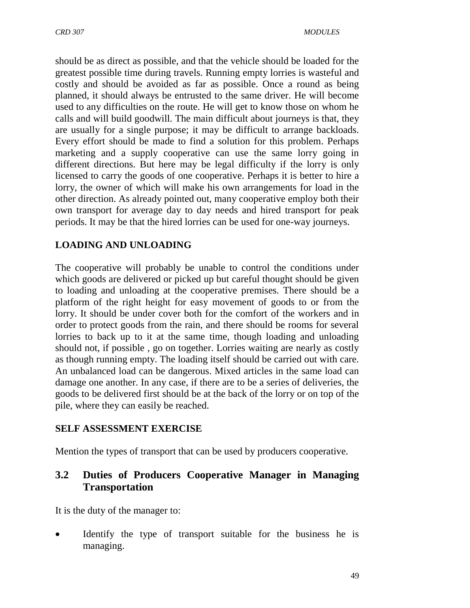should be as direct as possible, and that the vehicle should be loaded for the greatest possible time during travels. Running empty lorries is wasteful and costly and should be avoided as far as possible. Once a round as being planned, it should always be entrusted to the same driver. He will become used to any difficulties on the route. He will get to know those on whom he calls and will build goodwill. The main difficult about journeys is that, they are usually for a single purpose; it may be difficult to arrange backloads. Every effort should be made to find a solution for this problem. Perhaps marketing and a supply cooperative can use the same lorry going in different directions. But here may be legal difficulty if the lorry is only licensed to carry the goods of one cooperative. Perhaps it is better to hire a lorry, the owner of which will make his own arrangements for load in the other direction. As already pointed out, many cooperative employ both their own transport for average day to day needs and hired transport for peak periods. It may be that the hired lorries can be used for one-way journeys.

#### **LOADING AND UNLOADING**

The cooperative will probably be unable to control the conditions under which goods are delivered or picked up but careful thought should be given to loading and unloading at the cooperative premises. There should be a platform of the right height for easy movement of goods to or from the lorry. It should be under cover both for the comfort of the workers and in order to protect goods from the rain, and there should be rooms for several lorries to back up to it at the same time, though loading and unloading should not, if possible , go on together. Lorries waiting are nearly as costly as though running empty. The loading itself should be carried out with care. An unbalanced load can be dangerous. Mixed articles in the same load can damage one another. In any case, if there are to be a series of deliveries, the goods to be delivered first should be at the back of the lorry or on top of the pile, where they can easily be reached.

#### **SELF ASSESSMENT EXERCISE**

Mention the types of transport that can be used by producers cooperative.

## **3.2 Duties of Producers Cooperative Manager in Managing Transportation**

It is the duty of the manager to:

 Identify the type of transport suitable for the business he is managing.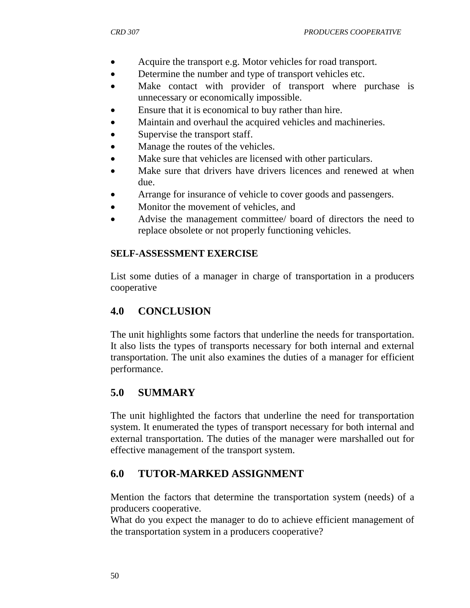- Acquire the transport e.g. Motor vehicles for road transport.
- Determine the number and type of transport vehicles etc.
- Make contact with provider of transport where purchase is unnecessary or economically impossible.
- Ensure that it is economical to buy rather than hire.
- Maintain and overhaul the acquired vehicles and machineries.
- Supervise the transport staff.
- Manage the routes of the vehicles.
- Make sure that vehicles are licensed with other particulars.
- Make sure that drivers have drivers licences and renewed at when due.
- Arrange for insurance of vehicle to cover goods and passengers.
- Monitor the movement of vehicles, and
- Advise the management committee/ board of directors the need to replace obsolete or not properly functioning vehicles.

## **SELF-ASSESSMENT EXERCISE**

List some duties of a manager in charge of transportation in a producers cooperative

# **4.0 CONCLUSION**

The unit highlights some factors that underline the needs for transportation. It also lists the types of transports necessary for both internal and external transportation. The unit also examines the duties of a manager for efficient performance.

# **5.0 SUMMARY**

The unit highlighted the factors that underline the need for transportation system. It enumerated the types of transport necessary for both internal and external transportation. The duties of the manager were marshalled out for effective management of the transport system.

# **6.0 TUTOR-MARKED ASSIGNMENT**

Mention the factors that determine the transportation system (needs) of a producers cooperative.

What do you expect the manager to do to achieve efficient management of the transportation system in a producers cooperative?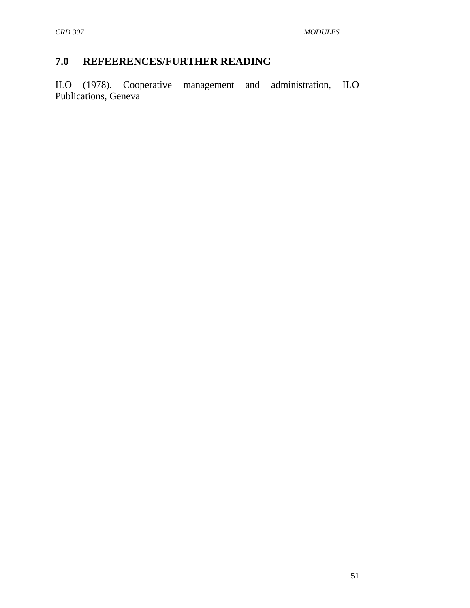# **7.0 REFEERENCES/FURTHER READING**

ILO (1978). Cooperative management and administration, ILO Publications, Geneva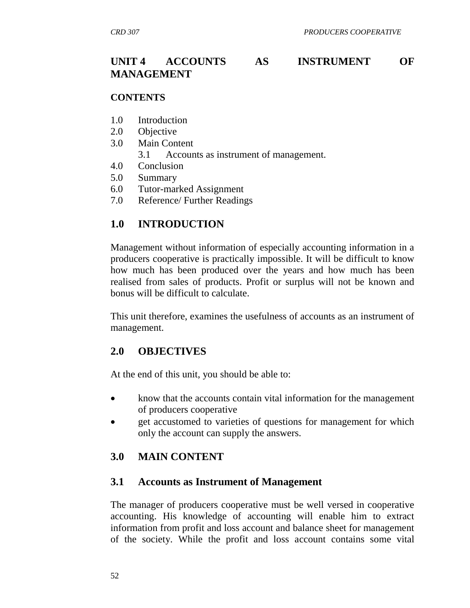#### **UNIT 4 ACCOUNTS AS INSTRUMENT OF MANAGEMENT**

#### **CONTENTS**

- 1.0 Introduction
- 2.0 Objective
- 3.0 Main Content
	- 3.1 Accounts as instrument of management.
- 4.0 Conclusion
- 5.0 Summary
- 6.0 Tutor-marked Assignment
- 7.0 Reference/ Further Readings

#### **1.0 INTRODUCTION**

Management without information of especially accounting information in a producers cooperative is practically impossible. It will be difficult to know how much has been produced over the years and how much has been realised from sales of products. Profit or surplus will not be known and bonus will be difficult to calculate.

This unit therefore, examines the usefulness of accounts as an instrument of management.

#### **2.0 OBJECTIVES**

At the end of this unit, you should be able to:

- know that the accounts contain vital information for the management of producers cooperative
- get accustomed to varieties of questions for management for which only the account can supply the answers.

#### **3.0 MAIN CONTENT**

#### **3.1 Accounts as Instrument of Management**

The manager of producers cooperative must be well versed in cooperative accounting. His knowledge of accounting will enable him to extract information from profit and loss account and balance sheet for management of the society. While the profit and loss account contains some vital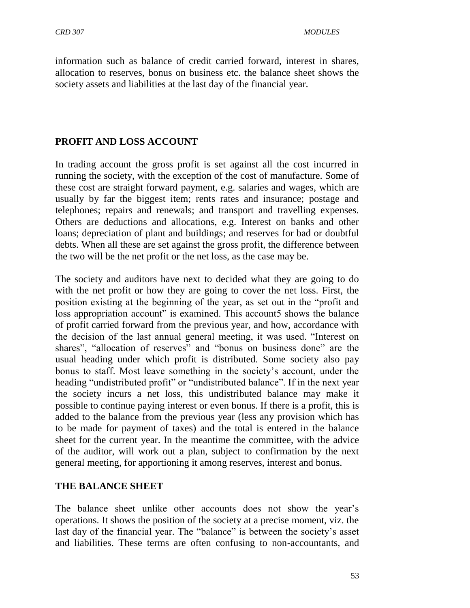information such as balance of credit carried forward, interest in shares, allocation to reserves, bonus on business etc. the balance sheet shows the society assets and liabilities at the last day of the financial year.

#### **PROFIT AND LOSS ACCOUNT**

In trading account the gross profit is set against all the cost incurred in running the society, with the exception of the cost of manufacture. Some of these cost are straight forward payment, e.g. salaries and wages, which are usually by far the biggest item; rents rates and insurance; postage and telephones; repairs and renewals; and transport and travelling expenses. Others are deductions and allocations, e.g. Interest on banks and other loans; depreciation of plant and buildings; and reserves for bad or doubtful debts. When all these are set against the gross profit, the difference between the two will be the net profit or the net loss, as the case may be.

The society and auditors have next to decided what they are going to do with the net profit or how they are going to cover the net loss. First, the position existing at the beginning of the year, as set out in the "profit and loss appropriation account" is examined. This account the balance shows the balance of profit carried forward from the previous year, and how, accordance with the decision of the last annual general meeting, it was used. "Interest on shares", "allocation of reserves" and "bonus on business done" are the usual heading under which profit is distributed. Some society also pay bonus to staff. Most leave something in the society"s account, under the heading "undistributed profit" or "undistributed balance". If in the next year the society incurs a net loss, this undistributed balance may make it possible to continue paying interest or even bonus. If there is a profit, this is added to the balance from the previous year (less any provision which has to be made for payment of taxes) and the total is entered in the balance sheet for the current year. In the meantime the committee, with the advice of the auditor, will work out a plan, subject to confirmation by the next general meeting, for apportioning it among reserves, interest and bonus.

#### **THE BALANCE SHEET**

The balance sheet unlike other accounts does not show the year"s operations. It shows the position of the society at a precise moment, viz. the last day of the financial year. The "balance" is between the society's asset and liabilities. These terms are often confusing to non-accountants, and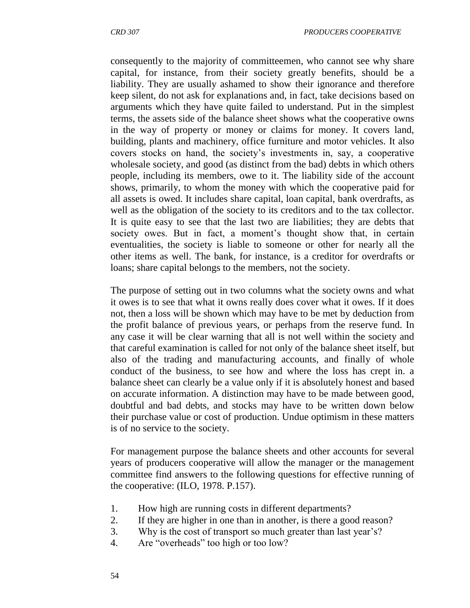consequently to the majority of committeemen, who cannot see why share capital, for instance, from their society greatly benefits, should be a liability. They are usually ashamed to show their ignorance and therefore keep silent, do not ask for explanations and, in fact, take decisions based on arguments which they have quite failed to understand. Put in the simplest terms, the assets side of the balance sheet shows what the cooperative owns in the way of property or money or claims for money. It covers land, building, plants and machinery, office furniture and motor vehicles. It also covers stocks on hand, the society"s investments in, say, a cooperative wholesale society, and good (as distinct from the bad) debts in which others people, including its members, owe to it. The liability side of the account shows, primarily, to whom the money with which the cooperative paid for all assets is owed. It includes share capital, loan capital, bank overdrafts, as well as the obligation of the society to its creditors and to the tax collector. It is quite easy to see that the last two are liabilities; they are debts that society owes. But in fact, a moment's thought show that, in certain eventualities, the society is liable to someone or other for nearly all the other items as well. The bank, for instance, is a creditor for overdrafts or loans; share capital belongs to the members, not the society.

The purpose of setting out in two columns what the society owns and what it owes is to see that what it owns really does cover what it owes. If it does not, then a loss will be shown which may have to be met by deduction from the profit balance of previous years, or perhaps from the reserve fund. In any case it will be clear warning that all is not well within the society and that careful examination is called for not only of the balance sheet itself, but also of the trading and manufacturing accounts, and finally of whole conduct of the business, to see how and where the loss has crept in. a balance sheet can clearly be a value only if it is absolutely honest and based on accurate information. A distinction may have to be made between good, doubtful and bad debts, and stocks may have to be written down below their purchase value or cost of production. Undue optimism in these matters is of no service to the society.

For management purpose the balance sheets and other accounts for several years of producers cooperative will allow the manager or the management committee find answers to the following questions for effective running of the cooperative: (ILO, 1978. P.157).

- 1. How high are running costs in different departments?
- 2. If they are higher in one than in another, is there a good reason?
- 3. Why is the cost of transport so much greater than last year"s?
- 4. Are "overheads" too high or too low?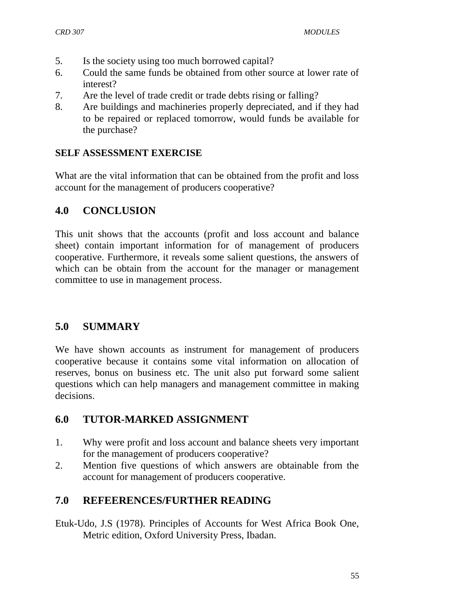- 5. Is the society using too much borrowed capital?
- 6. Could the same funds be obtained from other source at lower rate of interest?
- 7. Are the level of trade credit or trade debts rising or falling?
- 8. Are buildings and machineries properly depreciated, and if they had to be repaired or replaced tomorrow, would funds be available for the purchase?

#### **SELF ASSESSMENT EXERCISE**

What are the vital information that can be obtained from the profit and loss account for the management of producers cooperative?

## **4.0 CONCLUSION**

This unit shows that the accounts (profit and loss account and balance sheet) contain important information for of management of producers cooperative. Furthermore, it reveals some salient questions, the answers of which can be obtain from the account for the manager or management committee to use in management process.

## **5.0 SUMMARY**

We have shown accounts as instrument for management of producers cooperative because it contains some vital information on allocation of reserves, bonus on business etc. The unit also put forward some salient questions which can help managers and management committee in making decisions.

#### **6.0 TUTOR-MARKED ASSIGNMENT**

- 1. Why were profit and loss account and balance sheets very important for the management of producers cooperative?
- 2. Mention five questions of which answers are obtainable from the account for management of producers cooperative.

## **7.0 REFEERENCES/FURTHER READING**

Etuk-Udo, J.S (1978). Principles of Accounts for West Africa Book One, Metric edition, Oxford University Press, Ibadan.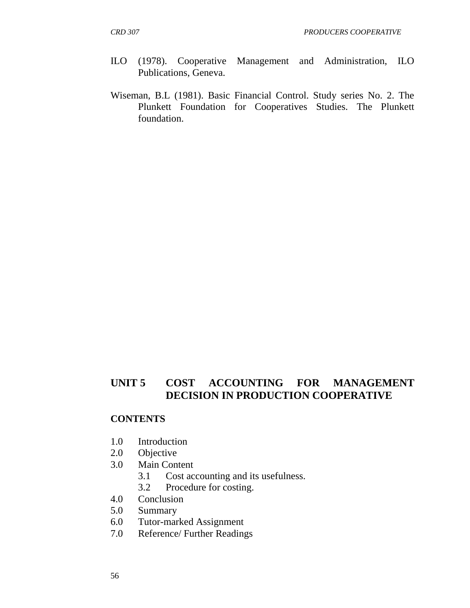- ILO (1978). Cooperative Management and Administration, ILO Publications, Geneva.
- Wiseman, B.L (1981). Basic Financial Control. Study series No. 2. The Plunkett Foundation for Cooperatives Studies. The Plunkett foundation.

## **UNIT 5 COST ACCOUNTING FOR MANAGEMENT DECISION IN PRODUCTION COOPERATIVE**

#### **CONTENTS**

- 1.0 Introduction
- 2.0 Objective
- 3.0 Main Content
	- 3.1 Cost accounting and its usefulness.
	- 3.2 Procedure for costing.
- 4.0 Conclusion
- 5.0 Summary
- 6.0 Tutor-marked Assignment
- 7.0 Reference/ Further Readings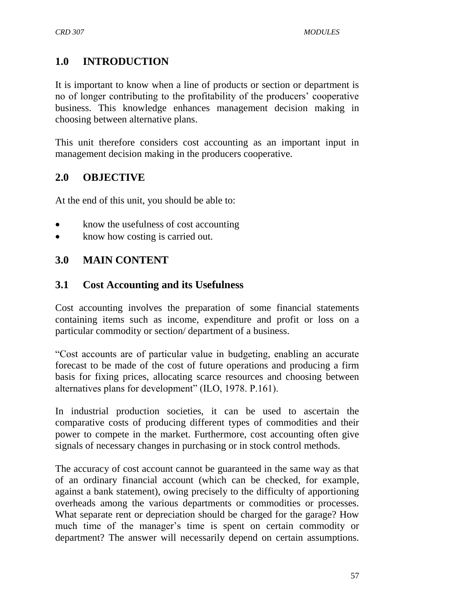# **1.0 INTRODUCTION**

It is important to know when a line of products or section or department is no of longer contributing to the profitability of the producers' cooperative business. This knowledge enhances management decision making in choosing between alternative plans.

This unit therefore considers cost accounting as an important input in management decision making in the producers cooperative.

## **2.0 OBJECTIVE**

At the end of this unit, you should be able to:

- know the usefulness of cost accounting
- know how costing is carried out.

## **3.0 MAIN CONTENT**

#### **3.1 Cost Accounting and its Usefulness**

Cost accounting involves the preparation of some financial statements containing items such as income, expenditure and profit or loss on a particular commodity or section/ department of a business.

"Cost accounts are of particular value in budgeting, enabling an accurate forecast to be made of the cost of future operations and producing a firm basis for fixing prices, allocating scarce resources and choosing between alternatives plans for development" (ILO, 1978. P.161).

In industrial production societies, it can be used to ascertain the comparative costs of producing different types of commodities and their power to compete in the market. Furthermore, cost accounting often give signals of necessary changes in purchasing or in stock control methods.

The accuracy of cost account cannot be guaranteed in the same way as that of an ordinary financial account (which can be checked, for example, against a bank statement), owing precisely to the difficulty of apportioning overheads among the various departments or commodities or processes. What separate rent or depreciation should be charged for the garage? How much time of the manager's time is spent on certain commodity or department? The answer will necessarily depend on certain assumptions.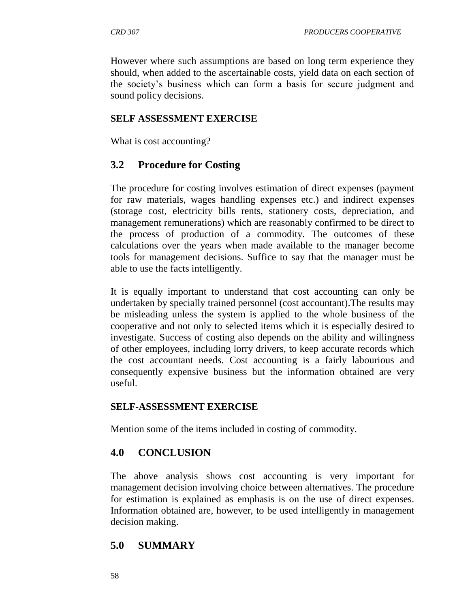However where such assumptions are based on long term experience they should, when added to the ascertainable costs, yield data on each section of the society"s business which can form a basis for secure judgment and sound policy decisions.

#### **SELF ASSESSMENT EXERCISE**

What is cost accounting?

## **3.2 Procedure for Costing**

The procedure for costing involves estimation of direct expenses (payment for raw materials, wages handling expenses etc.) and indirect expenses (storage cost, electricity bills rents, stationery costs, depreciation, and management remunerations) which are reasonably confirmed to be direct to the process of production of a commodity. The outcomes of these calculations over the years when made available to the manager become tools for management decisions. Suffice to say that the manager must be able to use the facts intelligently.

It is equally important to understand that cost accounting can only be undertaken by specially trained personnel (cost accountant).The results may be misleading unless the system is applied to the whole business of the cooperative and not only to selected items which it is especially desired to investigate. Success of costing also depends on the ability and willingness of other employees, including lorry drivers, to keep accurate records which the cost accountant needs. Cost accounting is a fairly labourious and consequently expensive business but the information obtained are very useful.

#### **SELF-ASSESSMENT EXERCISE**

Mention some of the items included in costing of commodity.

## **4.0 CONCLUSION**

The above analysis shows cost accounting is very important for management decision involving choice between alternatives. The procedure for estimation is explained as emphasis is on the use of direct expenses. Information obtained are, however, to be used intelligently in management decision making.

## **5.0 SUMMARY**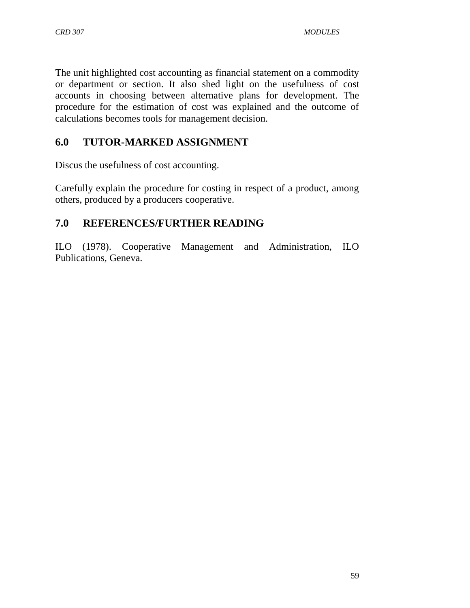The unit highlighted cost accounting as financial statement on a commodity or department or section. It also shed light on the usefulness of cost accounts in choosing between alternative plans for development. The procedure for the estimation of cost was explained and the outcome of calculations becomes tools for management decision.

## **6.0 TUTOR-MARKED ASSIGNMENT**

Discus the usefulness of cost accounting.

Carefully explain the procedure for costing in respect of a product, among others, produced by a producers cooperative.

## **7.0 REFERENCES/FURTHER READING**

ILO (1978). Cooperative Management and Administration, ILO Publications, Geneva.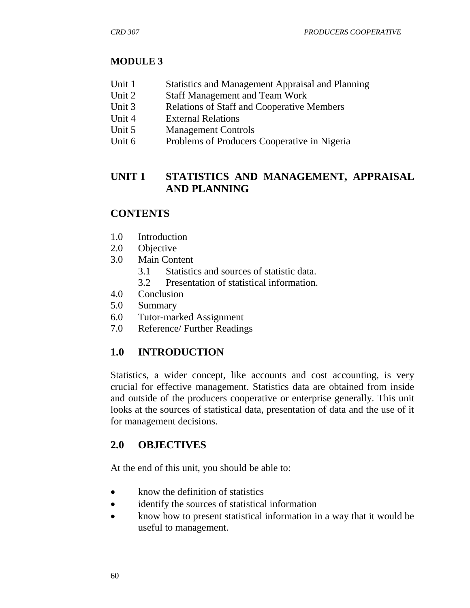## **MODULE 3**

- Unit 1 Statistics and Management Appraisal and Planning
- Unit 2 Staff Management and Team Work
- Unit 3 Relations of Staff and Cooperative Members
- Unit 4 External Relations
- Unit 5 Management Controls
- Unit 6 Problems of Producers Cooperative in Nigeria

# **UNIT 1 STATISTICS AND MANAGEMENT, APPRAISAL AND PLANNING**

# **CONTENTS**

- 1.0 Introduction
- 2.0 Objective
- 3.0 Main Content
	- 3.1 Statistics and sources of statistic data.
	- 3.2 Presentation of statistical information.
- 4.0 Conclusion
- 5.0 Summary
- 6.0 Tutor-marked Assignment
- 7.0 Reference/ Further Readings

# **1.0 INTRODUCTION**

Statistics, a wider concept, like accounts and cost accounting, is very crucial for effective management. Statistics data are obtained from inside and outside of the producers cooperative or enterprise generally. This unit looks at the sources of statistical data, presentation of data and the use of it for management decisions.

# **2.0 OBJECTIVES**

At the end of this unit, you should be able to:

- know the definition of statistics
- identify the sources of statistical information
- know how to present statistical information in a way that it would be useful to management.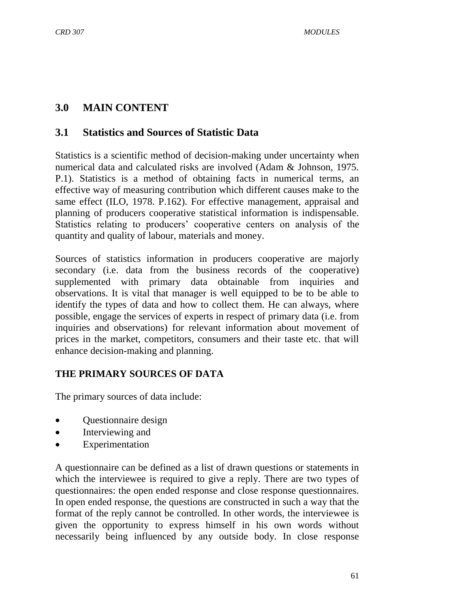# **3.0 MAIN CONTENT**

## **3.1 Statistics and Sources of Statistic Data**

Statistics is a scientific method of decision-making under uncertainty when numerical data and calculated risks are involved (Adam & Johnson, 1975. P.1). Statistics is a method of obtaining facts in numerical terms, an effective way of measuring contribution which different causes make to the same effect (ILO, 1978. P.162). For effective management, appraisal and planning of producers cooperative statistical information is indispensable. Statistics relating to producers' cooperative centers on analysis of the quantity and quality of labour, materials and money.

Sources of statistics information in producers cooperative are majorly secondary (i.e. data from the business records of the cooperative) supplemented with primary data obtainable from inquiries and observations. It is vital that manager is well equipped to be to be able to identify the types of data and how to collect them. He can always, where possible, engage the services of experts in respect of primary data (i.e. from inquiries and observations) for relevant information about movement of prices in the market, competitors, consumers and their taste etc. that will enhance decision-making and planning.

## **THE PRIMARY SOURCES OF DATA**

The primary sources of data include:

- Questionnaire design
- Interviewing and
- Experimentation

A questionnaire can be defined as a list of drawn questions or statements in which the interviewee is required to give a reply. There are two types of questionnaires: the open ended response and close response questionnaires. In open ended response, the questions are constructed in such a way that the format of the reply cannot be controlled. In other words, the interviewee is given the opportunity to express himself in his own words without necessarily being influenced by any outside body. In close response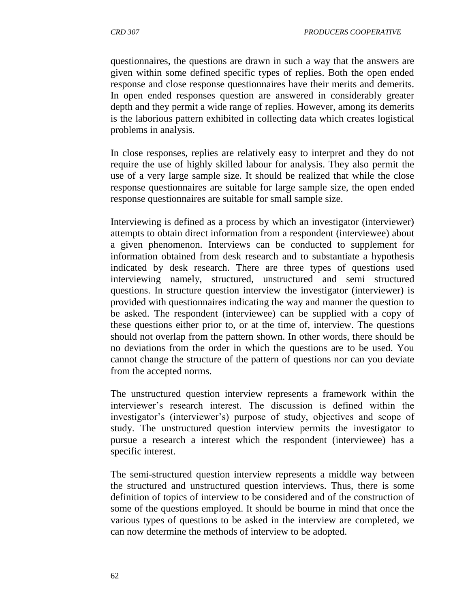questionnaires, the questions are drawn in such a way that the answers are given within some defined specific types of replies. Both the open ended response and close response questionnaires have their merits and demerits. In open ended responses question are answered in considerably greater depth and they permit a wide range of replies. However, among its demerits is the laborious pattern exhibited in collecting data which creates logistical problems in analysis.

In close responses, replies are relatively easy to interpret and they do not require the use of highly skilled labour for analysis. They also permit the use of a very large sample size. It should be realized that while the close response questionnaires are suitable for large sample size, the open ended response questionnaires are suitable for small sample size.

Interviewing is defined as a process by which an investigator (interviewer) attempts to obtain direct information from a respondent (interviewee) about a given phenomenon. Interviews can be conducted to supplement for information obtained from desk research and to substantiate a hypothesis indicated by desk research. There are three types of questions used interviewing namely, structured, unstructured and semi structured questions. In structure question interview the investigator (interviewer) is provided with questionnaires indicating the way and manner the question to be asked. The respondent (interviewee) can be supplied with a copy of these questions either prior to, or at the time of, interview. The questions should not overlap from the pattern shown. In other words, there should be no deviations from the order in which the questions are to be used. You cannot change the structure of the pattern of questions nor can you deviate from the accepted norms.

The unstructured question interview represents a framework within the interviewer"s research interest. The discussion is defined within the investigator's (interviewer's) purpose of study, objectives and scope of study. The unstructured question interview permits the investigator to pursue a research a interest which the respondent (interviewee) has a specific interest.

The semi-structured question interview represents a middle way between the structured and unstructured question interviews. Thus, there is some definition of topics of interview to be considered and of the construction of some of the questions employed. It should be bourne in mind that once the various types of questions to be asked in the interview are completed, we can now determine the methods of interview to be adopted.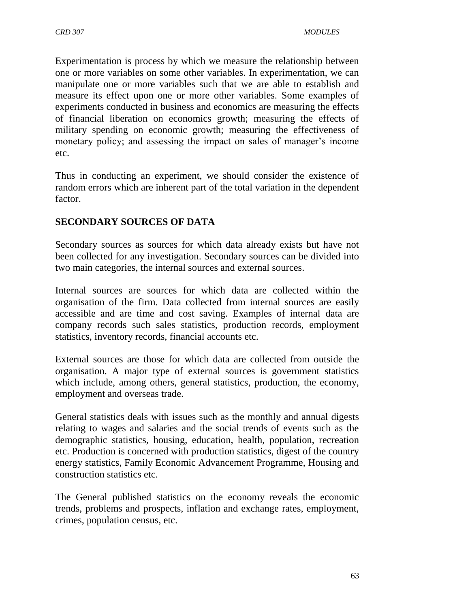Experimentation is process by which we measure the relationship between one or more variables on some other variables. In experimentation, we can manipulate one or more variables such that we are able to establish and measure its effect upon one or more other variables. Some examples of experiments conducted in business and economics are measuring the effects of financial liberation on economics growth; measuring the effects of military spending on economic growth; measuring the effectiveness of monetary policy; and assessing the impact on sales of manager's income etc.

Thus in conducting an experiment, we should consider the existence of random errors which are inherent part of the total variation in the dependent factor.

## **SECONDARY SOURCES OF DATA**

Secondary sources as sources for which data already exists but have not been collected for any investigation. Secondary sources can be divided into two main categories, the internal sources and external sources.

Internal sources are sources for which data are collected within the organisation of the firm. Data collected from internal sources are easily accessible and are time and cost saving. Examples of internal data are company records such sales statistics, production records, employment statistics, inventory records, financial accounts etc.

External sources are those for which data are collected from outside the organisation. A major type of external sources is government statistics which include, among others, general statistics, production, the economy, employment and overseas trade.

General statistics deals with issues such as the monthly and annual digests relating to wages and salaries and the social trends of events such as the demographic statistics, housing, education, health, population, recreation etc. Production is concerned with production statistics, digest of the country energy statistics, Family Economic Advancement Programme, Housing and construction statistics etc.

The General published statistics on the economy reveals the economic trends, problems and prospects, inflation and exchange rates, employment, crimes, population census, etc.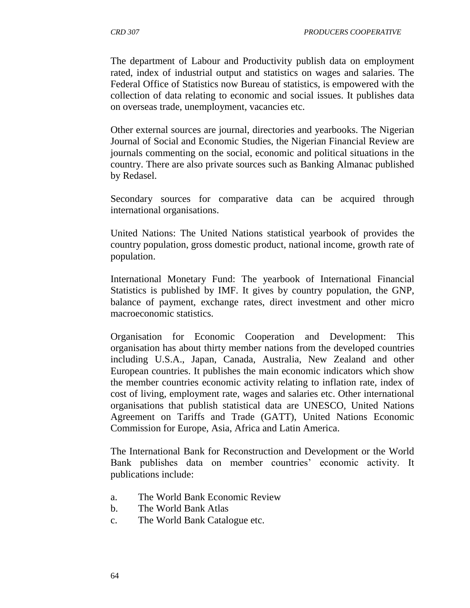The department of Labour and Productivity publish data on employment rated, index of industrial output and statistics on wages and salaries. The Federal Office of Statistics now Bureau of statistics, is empowered with the collection of data relating to economic and social issues. It publishes data on overseas trade, unemployment, vacancies etc.

Other external sources are journal, directories and yearbooks. The Nigerian Journal of Social and Economic Studies, the Nigerian Financial Review are journals commenting on the social, economic and political situations in the country. There are also private sources such as Banking Almanac published by Redasel.

Secondary sources for comparative data can be acquired through international organisations.

United Nations: The United Nations statistical yearbook of provides the country population, gross domestic product, national income, growth rate of population.

International Monetary Fund: The yearbook of International Financial Statistics is published by IMF. It gives by country population, the GNP, balance of payment, exchange rates, direct investment and other micro macroeconomic statistics.

Organisation for Economic Cooperation and Development: This organisation has about thirty member nations from the developed countries including U.S.A., Japan, Canada, Australia, New Zealand and other European countries. It publishes the main economic indicators which show the member countries economic activity relating to inflation rate, index of cost of living, employment rate, wages and salaries etc. Other international organisations that publish statistical data are UNESCO, United Nations Agreement on Tariffs and Trade (GATT), United Nations Economic Commission for Europe, Asia, Africa and Latin America.

The International Bank for Reconstruction and Development or the World Bank publishes data on member countries' economic activity. It publications include:

- a. The World Bank Economic Review
- b. The World Bank Atlas
- c. The World Bank Catalogue etc.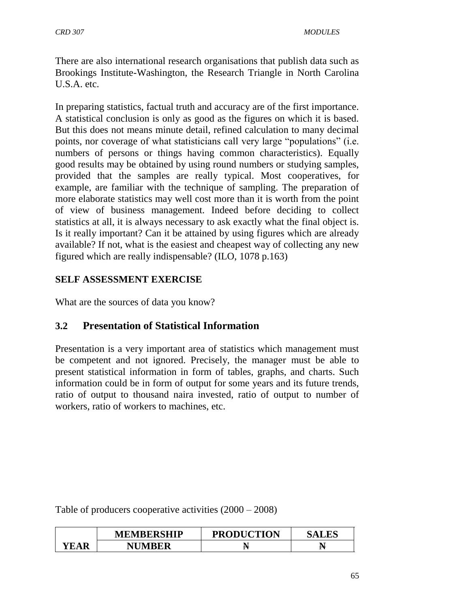There are also international research organisations that publish data such as Brookings Institute-Washington, the Research Triangle in North Carolina U.S.A. etc.

In preparing statistics, factual truth and accuracy are of the first importance. A statistical conclusion is only as good as the figures on which it is based. But this does not means minute detail, refined calculation to many decimal points, nor coverage of what statisticians call very large "populations" (i.e. numbers of persons or things having common characteristics). Equally good results may be obtained by using round numbers or studying samples, provided that the samples are really typical. Most cooperatives, for example, are familiar with the technique of sampling. The preparation of more elaborate statistics may well cost more than it is worth from the point of view of business management. Indeed before deciding to collect statistics at all, it is always necessary to ask exactly what the final object is. Is it really important? Can it be attained by using figures which are already available? If not, what is the easiest and cheapest way of collecting any new figured which are really indispensable? (ILO, 1078 p.163)

## **SELF ASSESSMENT EXERCISE**

What are the sources of data you know?

# **3.2 Presentation of Statistical Information**

Presentation is a very important area of statistics which management must be competent and not ignored. Precisely, the manager must be able to present statistical information in form of tables, graphs, and charts. Such information could be in form of output for some years and its future trends, ratio of output to thousand naira invested, ratio of output to number of workers, ratio of workers to machines, etc.

Table of producers cooperative activities (2000 – 2008)

|            | <b>MEMBERSHIP</b>  | <b>PRODUCTION</b> | ALES<br>iД |
|------------|--------------------|-------------------|------------|
| . EAP $\,$ | <b>UMBER</b><br>NI |                   |            |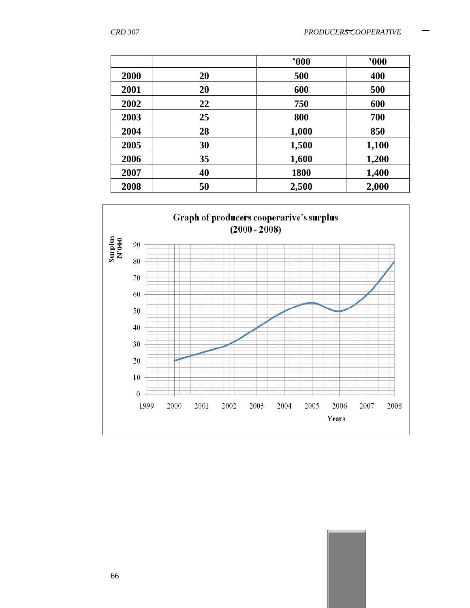|      |    | 900   | 900   |
|------|----|-------|-------|
| 2000 | 20 | 500   | 400   |
| 2001 | 20 | 600   | 500   |
| 2002 | 22 | 750   | 600   |
| 2003 | 25 | 800   | 700   |
| 2004 | 28 | 1,000 | 850   |
| 2005 | 30 | 1,500 | 1,100 |
| 2006 | 35 | 1,600 | 1,200 |
| 2007 | 40 | 1800  | 1,400 |
| 2008 | 50 | 2,500 | 2,000 |

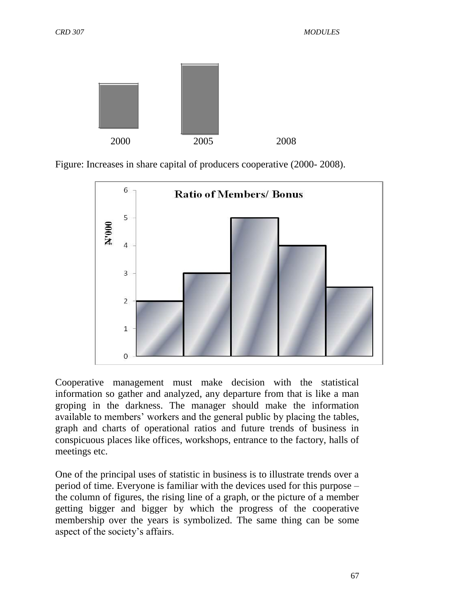

Figure: Increases in share capital of producers cooperative (2000- 2008).



Cooperative management must make decision with the statistical information so gather and analyzed, any departure from that is like a man groping in the darkness. The manager should make the information available to members' workers and the general public by placing the tables, graph and charts of operational ratios and future trends of business in conspicuous places like offices, workshops, entrance to the factory, halls of meetings etc.

One of the principal uses of statistic in business is to illustrate trends over a period of time. Everyone is familiar with the devices used for this purpose – the column of figures, the rising line of a graph, or the picture of a member getting bigger and bigger by which the progress of the cooperative membership over the years is symbolized. The same thing can be some aspect of the society's affairs.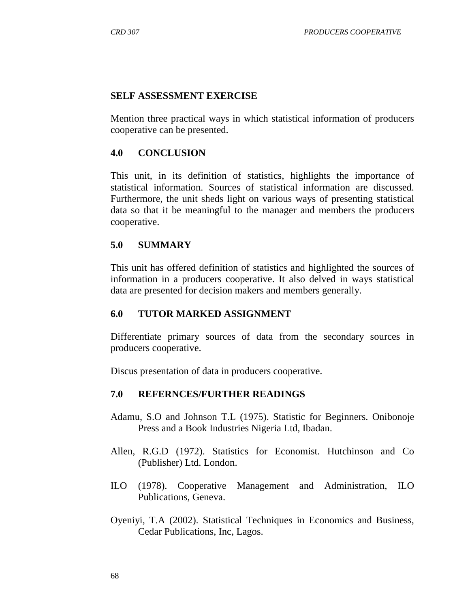#### **SELF ASSESSMENT EXERCISE**

Mention three practical ways in which statistical information of producers cooperative can be presented.

#### **4.0 CONCLUSION**

This unit, in its definition of statistics, highlights the importance of statistical information. Sources of statistical information are discussed. Furthermore, the unit sheds light on various ways of presenting statistical data so that it be meaningful to the manager and members the producers cooperative.

#### **5.0 SUMMARY**

This unit has offered definition of statistics and highlighted the sources of information in a producers cooperative. It also delved in ways statistical data are presented for decision makers and members generally.

### **6.0 TUTOR MARKED ASSIGNMENT**

Differentiate primary sources of data from the secondary sources in producers cooperative.

Discus presentation of data in producers cooperative.

### **7.0 REFERNCES/FURTHER READINGS**

- Adamu, S.O and Johnson T.L (1975). Statistic for Beginners. Onibonoje Press and a Book Industries Nigeria Ltd, Ibadan.
- Allen, R.G.D (1972). Statistics for Economist. Hutchinson and Co (Publisher) Ltd. London.
- ILO (1978). Cooperative Management and Administration, ILO Publications, Geneva.
- Oyeniyi, T.A (2002). Statistical Techniques in Economics and Business, Cedar Publications, Inc, Lagos.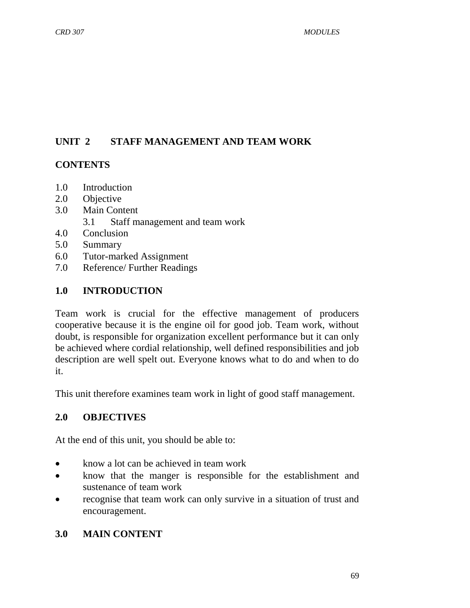# **UNIT 2 STAFF MANAGEMENT AND TEAM WORK**

## **CONTENTS**

- 1.0 Introduction
- 2.0 Objective
- 3.0 Main Content
	- 3.1 Staff management and team work
- 4.0 Conclusion
- 5.0 Summary
- 6.0 Tutor-marked Assignment
- 7.0 Reference/ Further Readings

### **1.0 INTRODUCTION**

Team work is crucial for the effective management of producers cooperative because it is the engine oil for good job. Team work, without doubt, is responsible for organization excellent performance but it can only be achieved where cordial relationship, well defined responsibilities and job description are well spelt out. Everyone knows what to do and when to do it.

This unit therefore examines team work in light of good staff management.

### **2.0 OBJECTIVES**

At the end of this unit, you should be able to:

- know a lot can be achieved in team work
- know that the manger is responsible for the establishment and sustenance of team work
- recognise that team work can only survive in a situation of trust and encouragement.

### **3.0 MAIN CONTENT**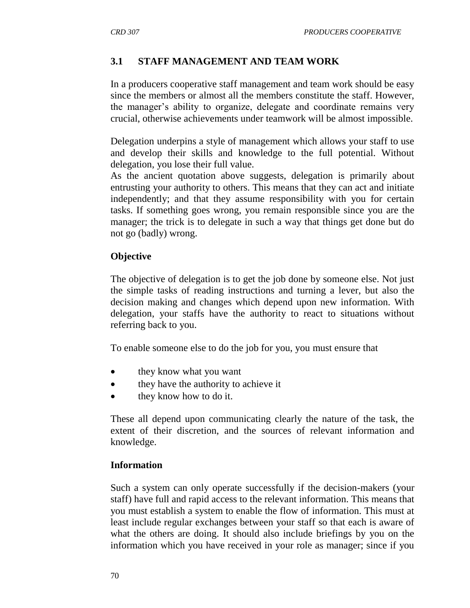## **3.1 STAFF MANAGEMENT AND TEAM WORK**

In a producers cooperative staff management and team work should be easy since the members or almost all the members constitute the staff. However, the manager"s ability to organize, delegate and coordinate remains very crucial, otherwise achievements under teamwork will be almost impossible.

Delegation underpins a style of management which allows your staff to use and develop their skills and knowledge to the full potential. Without delegation, you lose their full value.

As the ancient quotation above suggests, delegation is primarily about entrusting your authority to others. This means that they can act and initiate independently; and that they assume responsibility with you for certain tasks. If something goes wrong, you remain responsible since you are the manager; the trick is to delegate in such a way that things get done but do not go (badly) wrong.

# **Objective**

The objective of delegation is to get the job done by someone else. Not just the simple tasks of reading instructions and turning a lever, but also the decision making and changes which depend upon new information. With delegation, your staffs have the authority to react to situations without referring back to you.

To enable someone else to do the job for you, you must ensure that

- they know what you want
- they have the authority to achieve it
- they know how to do it.

These all depend upon communicating clearly the nature of the task, the extent of their discretion, and the sources of relevant information and knowledge.

## **Information**

Such a system can only operate successfully if the decision-makers (your staff) have full and rapid access to the relevant information. This means that you must establish a system to enable the flow of information. This must at least include regular exchanges between your staff so that each is aware of what the others are doing. It should also include briefings by you on the information which you have received in your role as manager; since if you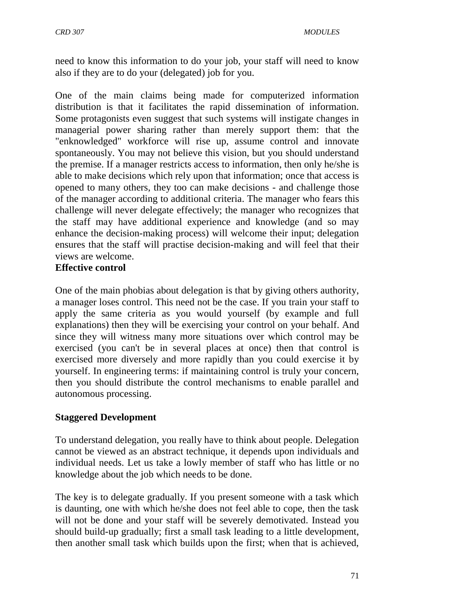need to know this information to do your job, your staff will need to know also if they are to do your (delegated) job for you.

One of the main claims being made for computerized information distribution is that it facilitates the rapid dissemination of information. Some protagonists even suggest that such systems will instigate changes in managerial power sharing rather than merely support them: that the "enknowledged" workforce will rise up, assume control and innovate spontaneously. You may not believe this vision, but you should understand the premise. If a manager restricts access to information, then only he/she is able to make decisions which rely upon that information; once that access is opened to many others, they too can make decisions - and challenge those of the manager according to additional criteria. The manager who fears this challenge will never delegate effectively; the manager who recognizes that the staff may have additional experience and knowledge (and so may enhance the decision-making process) will welcome their input; delegation ensures that the staff will practise decision-making and will feel that their views are welcome.

#### **Effective control**

One of the main phobias about delegation is that by giving others authority, a manager loses control. This need not be the case. If you train your staff to apply the same criteria as you would yourself (by example and full explanations) then they will be exercising your control on your behalf. And since they will witness many more situations over which control may be exercised (you can't be in several places at once) then that control is exercised more diversely and more rapidly than you could exercise it by yourself. In engineering terms: if maintaining control is truly your concern, then you should distribute the control mechanisms to enable parallel and autonomous processing.

### **Staggered Development**

To understand delegation, you really have to think about people. Delegation cannot be viewed as an abstract technique, it depends upon individuals and individual needs. Let us take a lowly member of staff who has little or no knowledge about the job which needs to be done.

The key is to delegate gradually. If you present someone with a task which is daunting, one with which he/she does not feel able to cope, then the task will not be done and your staff will be severely demotivated. Instead you should build-up gradually; first a small task leading to a little development, then another small task which builds upon the first; when that is achieved,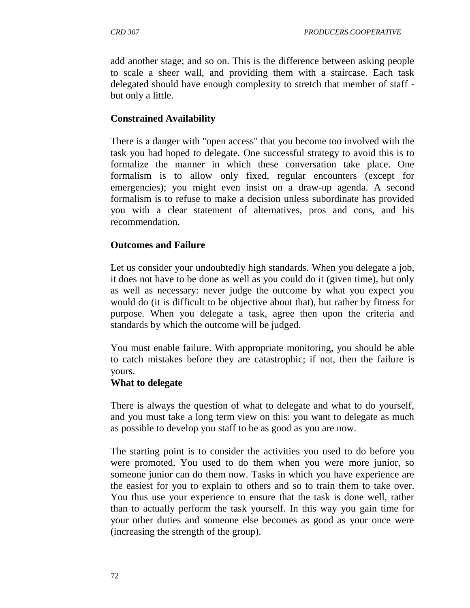add another stage; and so on. This is the difference between asking people to scale a sheer wall, and providing them with a staircase. Each task delegated should have enough complexity to stretch that member of staff but only a little.

### **Constrained Availability**

There is a danger with "open access" that you become too involved with the task you had hoped to delegate. One successful strategy to avoid this is to formalize the manner in which these conversation take place. One formalism is to allow only fixed, regular encounters (except for emergencies); you might even insist on a draw-up agenda. A second formalism is to refuse to make a decision unless subordinate has provided you with a clear statement of alternatives, pros and cons, and his recommendation.

## **Outcomes and Failure**

Let us consider your undoubtedly high standards. When you delegate a job, it does not have to be done as well as you could do it (given time), but only as well as necessary: never judge the outcome by what you expect you would do (it is difficult to be objective about that), but rather by fitness for purpose. When you delegate a task, agree then upon the criteria and standards by which the outcome will be judged.

You must enable failure. With appropriate monitoring, you should be able to catch mistakes before they are catastrophic; if not, then the failure is yours.

### **What to delegate**

There is always the question of what to delegate and what to do yourself, and you must take a long term view on this: you want to delegate as much as possible to develop you staff to be as good as you are now.

The starting point is to consider the activities you used to do before you were promoted. You used to do them when you were more junior, so someone junior can do them now. Tasks in which you have experience are the easiest for you to explain to others and so to train them to take over. You thus use your experience to ensure that the task is done well, rather than to actually perform the task yourself. In this way you gain time for your other duties and someone else becomes as good as your once were (increasing the strength of the group).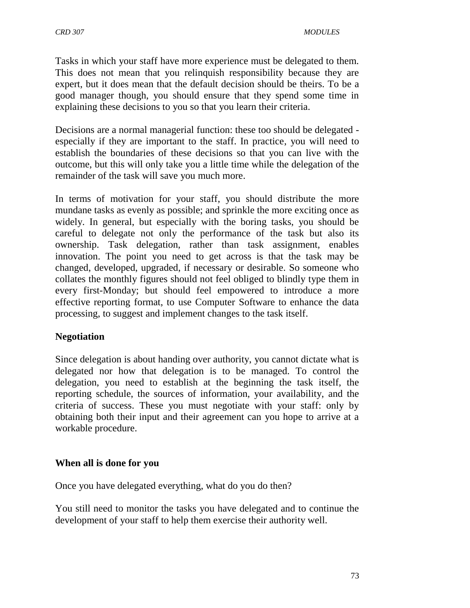Tasks in which your staff have more experience must be delegated to them. This does not mean that you relinquish responsibility because they are expert, but it does mean that the default decision should be theirs. To be a good manager though, you should ensure that they spend some time in explaining these decisions to you so that you learn their criteria.

Decisions are a normal managerial function: these too should be delegated especially if they are important to the staff. In practice, you will need to establish the boundaries of these decisions so that you can live with the outcome, but this will only take you a little time while the delegation of the remainder of the task will save you much more.

In terms of motivation for your staff, you should distribute the more mundane tasks as evenly as possible; and sprinkle the more exciting once as widely. In general, but especially with the boring tasks, you should be careful to delegate not only the performance of the task but also its ownership. Task delegation, rather than task assignment, enables innovation. The point you need to get across is that the task may be changed, developed, upgraded, if necessary or desirable. So someone who collates the monthly figures should not feel obliged to blindly type them in every first-Monday; but should feel empowered to introduce a more effective reporting format, to use Computer Software to enhance the data processing, to suggest and implement changes to the task itself.

### **Negotiation**

Since delegation is about handing over authority, you cannot dictate what is delegated nor how that delegation is to be managed. To control the delegation, you need to establish at the beginning the task itself, the reporting schedule, the sources of information, your availability, and the criteria of success. These you must negotiate with your staff: only by obtaining both their input and their agreement can you hope to arrive at a workable procedure.

### **When all is done for you**

Once you have delegated everything, what do you do then?

You still need to monitor the tasks you have delegated and to continue the development of your staff to help them exercise their authority well.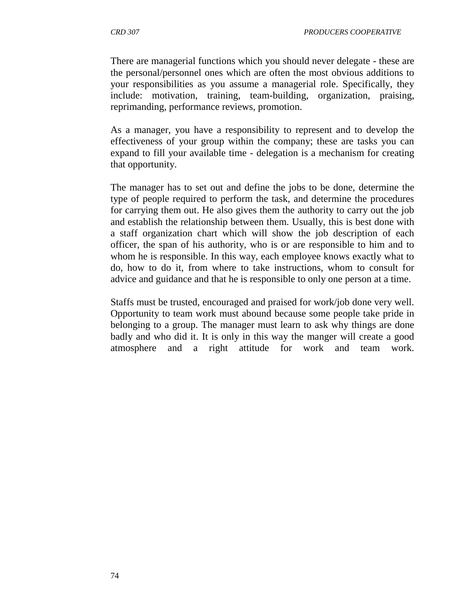There are managerial functions which you should never delegate - these are the personal/personnel ones which are often the most obvious additions to your responsibilities as you assume a managerial role. Specifically, they include: motivation, training, team-building, organization, praising, reprimanding, performance reviews, promotion.

As a manager, you have a responsibility to represent and to develop the effectiveness of your group within the company; these are tasks you can expand to fill your available time - delegation is a mechanism for creating that opportunity.

The manager has to set out and define the jobs to be done, determine the type of people required to perform the task, and determine the procedures for carrying them out. He also gives them the authority to carry out the job and establish the relationship between them. Usually, this is best done with a staff organization chart which will show the job description of each officer, the span of his authority, who is or are responsible to him and to whom he is responsible. In this way, each employee knows exactly what to do, how to do it, from where to take instructions, whom to consult for advice and guidance and that he is responsible to only one person at a time.

Staffs must be trusted, encouraged and praised for work/job done very well. Opportunity to team work must abound because some people take pride in belonging to a group. The manager must learn to ask why things are done badly and who did it. It is only in this way the manger will create a good atmosphere and a right attitude for work and team work.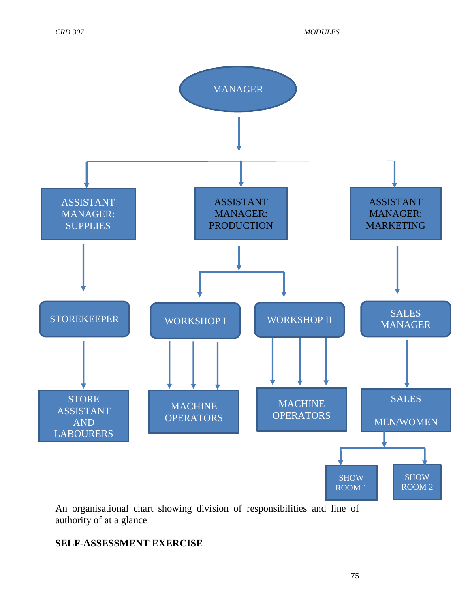

An organisational chart showing division of responsibilities and line of authority of at a glance

## **SELF-ASSESSMENT EXERCISE**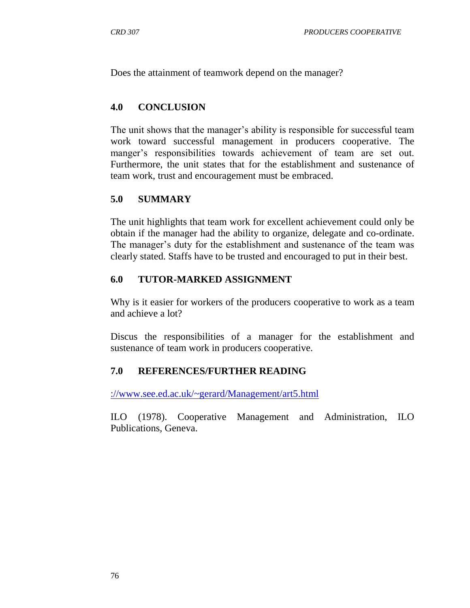Does the attainment of teamwork depend on the manager?

## **4.0 CONCLUSION**

The unit shows that the manager's ability is responsible for successful team work toward successful management in producers cooperative. The manger's responsibilities towards achievement of team are set out. Furthermore, the unit states that for the establishment and sustenance of team work, trust and encouragement must be embraced.

## **5.0 SUMMARY**

The unit highlights that team work for excellent achievement could only be obtain if the manager had the ability to organize, delegate and co-ordinate. The manager's duty for the establishment and sustenance of the team was clearly stated. Staffs have to be trusted and encouraged to put in their best.

## **6.0 TUTOR-MARKED ASSIGNMENT**

Why is it easier for workers of the producers cooperative to work as a team and achieve a lot?

Discus the responsibilities of a manager for the establishment and sustenance of team work in producers cooperative.

## **7.0 REFERENCES/FURTHER READING**

[://www.see.ed.ac.uk/~gerard/Management/art5.html](http://www.see.ed.ac.uk/~gerard/Management/art5.html)

ILO (1978). Cooperative Management and Administration, ILO Publications, Geneva.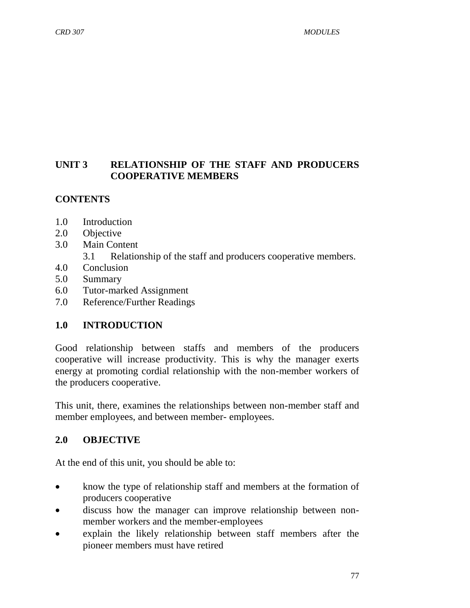## **UNIT 3 RELATIONSHIP OF THE STAFF AND PRODUCERS COOPERATIVE MEMBERS**

## **CONTENTS**

- 1.0 Introduction
- 2.0 Objective
- 3.0 Main Content
	- 3.1 Relationship of the staff and producers cooperative members.
- 4.0 Conclusion
- 5.0 Summary
- 6.0 Tutor-marked Assignment
- 7.0 Reference/Further Readings

## **1.0 INTRODUCTION**

Good relationship between staffs and members of the producers cooperative will increase productivity. This is why the manager exerts energy at promoting cordial relationship with the non-member workers of the producers cooperative.

This unit, there, examines the relationships between non-member staff and member employees, and between member- employees.

## **2.0 OBJECTIVE**

At the end of this unit, you should be able to:

- know the type of relationship staff and members at the formation of producers cooperative
- discuss how the manager can improve relationship between nonmember workers and the member-employees
- explain the likely relationship between staff members after the pioneer members must have retired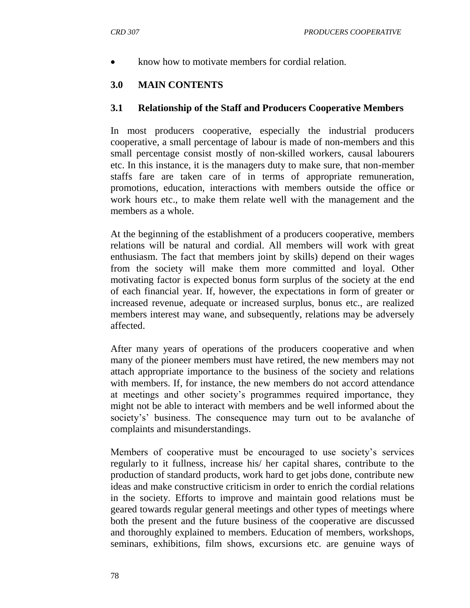know how to motivate members for cordial relation.

# **3.0 MAIN CONTENTS**

## **3.1 Relationship of the Staff and Producers Cooperative Members**

In most producers cooperative, especially the industrial producers cooperative, a small percentage of labour is made of non-members and this small percentage consist mostly of non-skilled workers, causal labourers etc. In this instance, it is the managers duty to make sure, that non-member staffs fare are taken care of in terms of appropriate remuneration, promotions, education, interactions with members outside the office or work hours etc., to make them relate well with the management and the members as a whole.

At the beginning of the establishment of a producers cooperative, members relations will be natural and cordial. All members will work with great enthusiasm. The fact that members joint by skills) depend on their wages from the society will make them more committed and loyal. Other motivating factor is expected bonus form surplus of the society at the end of each financial year. If, however, the expectations in form of greater or increased revenue, adequate or increased surplus, bonus etc., are realized members interest may wane, and subsequently, relations may be adversely affected.

After many years of operations of the producers cooperative and when many of the pioneer members must have retired, the new members may not attach appropriate importance to the business of the society and relations with members. If, for instance, the new members do not accord attendance at meetings and other society"s programmes required importance, they might not be able to interact with members and be well informed about the society's' business. The consequence may turn out to be avalanche of complaints and misunderstandings.

Members of cooperative must be encouraged to use society"s services regularly to it fullness, increase his/ her capital shares, contribute to the production of standard products, work hard to get jobs done, contribute new ideas and make constructive criticism in order to enrich the cordial relations in the society. Efforts to improve and maintain good relations must be geared towards regular general meetings and other types of meetings where both the present and the future business of the cooperative are discussed and thoroughly explained to members. Education of members, workshops, seminars, exhibitions, film shows, excursions etc. are genuine ways of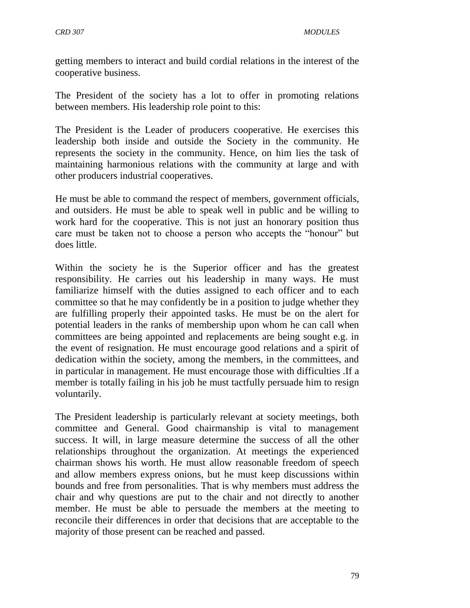getting members to interact and build cordial relations in the interest of the cooperative business.

The President of the society has a lot to offer in promoting relations between members. His leadership role point to this:

The President is the Leader of producers cooperative. He exercises this leadership both inside and outside the Society in the community. He represents the society in the community. Hence, on him lies the task of maintaining harmonious relations with the community at large and with other producers industrial cooperatives.

He must be able to command the respect of members, government officials, and outsiders. He must be able to speak well in public and be willing to work hard for the cooperative. This is not just an honorary position thus care must be taken not to choose a person who accepts the "honour" but does little.

Within the society he is the Superior officer and has the greatest responsibility. He carries out his leadership in many ways. He must familiarize himself with the duties assigned to each officer and to each committee so that he may confidently be in a position to judge whether they are fulfilling properly their appointed tasks. He must be on the alert for potential leaders in the ranks of membership upon whom he can call when committees are being appointed and replacements are being sought e.g. in the event of resignation. He must encourage good relations and a spirit of dedication within the society, among the members, in the committees, and in particular in management. He must encourage those with difficulties .If a member is totally failing in his job he must tactfully persuade him to resign voluntarily.

The President leadership is particularly relevant at society meetings, both committee and General. Good chairmanship is vital to management success. It will, in large measure determine the success of all the other relationships throughout the organization. At meetings the experienced chairman shows his worth. He must allow reasonable freedom of speech and allow members express onions, but he must keep discussions within bounds and free from personalities. That is why members must address the chair and why questions are put to the chair and not directly to another member. He must be able to persuade the members at the meeting to reconcile their differences in order that decisions that are acceptable to the majority of those present can be reached and passed.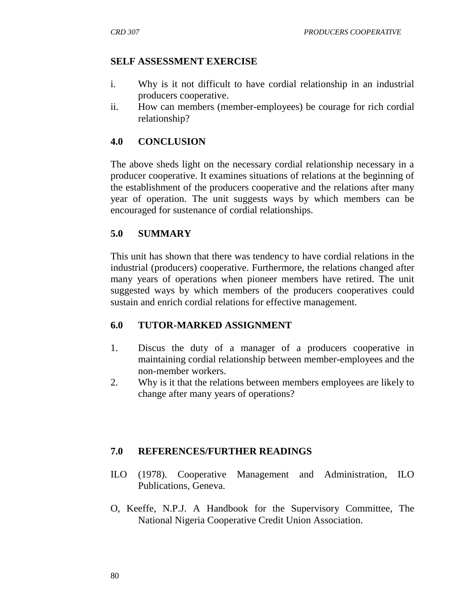### **SELF ASSESSMENT EXERCISE**

- i. Why is it not difficult to have cordial relationship in an industrial producers cooperative.
- ii. How can members (member-employees) be courage for rich cordial relationship?

## **4.0 CONCLUSION**

The above sheds light on the necessary cordial relationship necessary in a producer cooperative. It examines situations of relations at the beginning of the establishment of the producers cooperative and the relations after many year of operation. The unit suggests ways by which members can be encouraged for sustenance of cordial relationships.

## **5.0 SUMMARY**

This unit has shown that there was tendency to have cordial relations in the industrial (producers) cooperative. Furthermore, the relations changed after many years of operations when pioneer members have retired. The unit suggested ways by which members of the producers cooperatives could sustain and enrich cordial relations for effective management.

## **6.0 TUTOR-MARKED ASSIGNMENT**

- 1. Discus the duty of a manager of a producers cooperative in maintaining cordial relationship between member-employees and the non-member workers.
- 2. Why is it that the relations between members employees are likely to change after many years of operations?

## **7.0 REFERENCES/FURTHER READINGS**

- ILO (1978). Cooperative Management and Administration, ILO Publications, Geneva.
- O, Keeffe, N.P.J. A Handbook for the Supervisory Committee, The National Nigeria Cooperative Credit Union Association.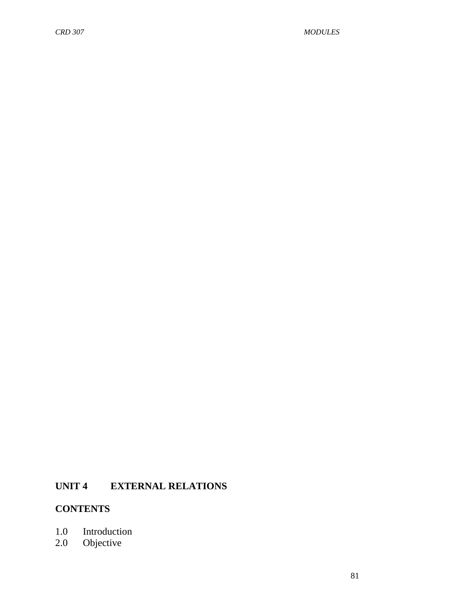## **UNIT 4 EXTERNAL RELATIONS**

# **CONTENTS**

- 1.0 Introduction<br>2.0 Objective
- Objective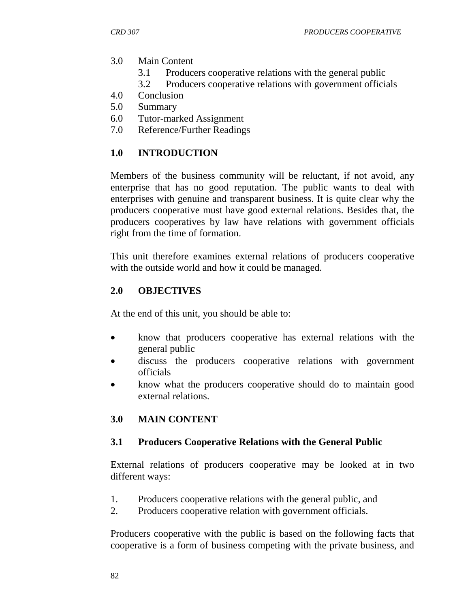- 3.0 Main Content
	- 3.1 Producers cooperative relations with the general public
	- 3.2 Producers cooperative relations with government officials
- 4.0 Conclusion
- 5.0 Summary
- 6.0 Tutor-marked Assignment
- 7.0 Reference/Further Readings

# **1.0 INTRODUCTION**

Members of the business community will be reluctant, if not avoid, any enterprise that has no good reputation. The public wants to deal with enterprises with genuine and transparent business. It is quite clear why the producers cooperative must have good external relations. Besides that, the producers cooperatives by law have relations with government officials right from the time of formation.

This unit therefore examines external relations of producers cooperative with the outside world and how it could be managed.

# **2.0 OBJECTIVES**

At the end of this unit, you should be able to:

- know that producers cooperative has external relations with the general public
- discuss the producers cooperative relations with government officials
- know what the producers cooperative should do to maintain good external relations.

# **3.0 MAIN CONTENT**

## **3.1 Producers Cooperative Relations with the General Public**

External relations of producers cooperative may be looked at in two different ways:

- 1. Producers cooperative relations with the general public, and
- 2. Producers cooperative relation with government officials.

Producers cooperative with the public is based on the following facts that cooperative is a form of business competing with the private business, and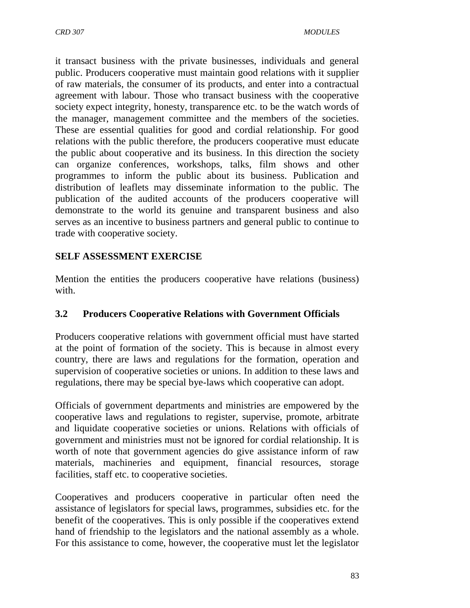it transact business with the private businesses, individuals and general public. Producers cooperative must maintain good relations with it supplier of raw materials, the consumer of its products, and enter into a contractual agreement with labour. Those who transact business with the cooperative society expect integrity, honesty, transparence etc. to be the watch words of the manager, management committee and the members of the societies. These are essential qualities for good and cordial relationship. For good relations with the public therefore, the producers cooperative must educate the public about cooperative and its business. In this direction the society can organize conferences, workshops, talks, film shows and other programmes to inform the public about its business. Publication and distribution of leaflets may disseminate information to the public. The publication of the audited accounts of the producers cooperative will demonstrate to the world its genuine and transparent business and also serves as an incentive to business partners and general public to continue to trade with cooperative society.

## **SELF ASSESSMENT EXERCISE**

Mention the entities the producers cooperative have relations (business) with.

### **3.2 Producers Cooperative Relations with Government Officials**

Producers cooperative relations with government official must have started at the point of formation of the society. This is because in almost every country, there are laws and regulations for the formation, operation and supervision of cooperative societies or unions. In addition to these laws and regulations, there may be special bye-laws which cooperative can adopt.

Officials of government departments and ministries are empowered by the cooperative laws and regulations to register, supervise, promote, arbitrate and liquidate cooperative societies or unions. Relations with officials of government and ministries must not be ignored for cordial relationship. It is worth of note that government agencies do give assistance inform of raw materials, machineries and equipment, financial resources, storage facilities, staff etc. to cooperative societies.

Cooperatives and producers cooperative in particular often need the assistance of legislators for special laws, programmes, subsidies etc. for the benefit of the cooperatives. This is only possible if the cooperatives extend hand of friendship to the legislators and the national assembly as a whole. For this assistance to come, however, the cooperative must let the legislator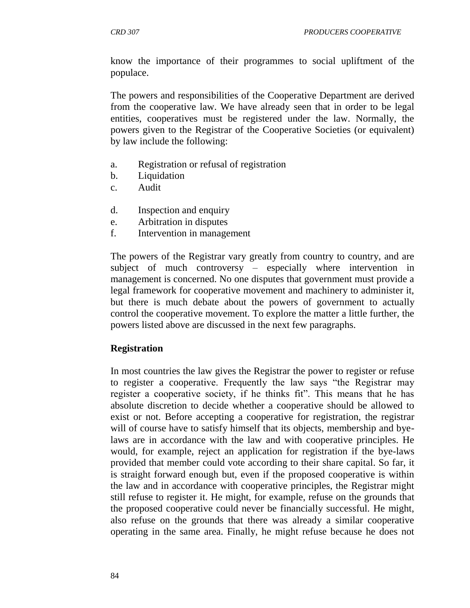know the importance of their programmes to social upliftment of the populace.

The powers and responsibilities of the Cooperative Department are derived from the cooperative law. We have already seen that in order to be legal entities, cooperatives must be registered under the law. Normally, the powers given to the Registrar of the Cooperative Societies (or equivalent) by law include the following:

- a. Registration or refusal of registration
- b. Liquidation
- c. Audit
- d. Inspection and enquiry
- e. Arbitration in disputes
- f. Intervention in management

The powers of the Registrar vary greatly from country to country, and are subject of much controversy – especially where intervention in management is concerned. No one disputes that government must provide a legal framework for cooperative movement and machinery to administer it, but there is much debate about the powers of government to actually control the cooperative movement. To explore the matter a little further, the powers listed above are discussed in the next few paragraphs.

### **Registration**

In most countries the law gives the Registrar the power to register or refuse to register a cooperative. Frequently the law says "the Registrar may register a cooperative society, if he thinks fit". This means that he has absolute discretion to decide whether a cooperative should be allowed to exist or not. Before accepting a cooperative for registration, the registrar will of course have to satisfy himself that its objects, membership and byelaws are in accordance with the law and with cooperative principles. He would, for example, reject an application for registration if the bye-laws provided that member could vote according to their share capital. So far, it is straight forward enough but, even if the proposed cooperative is within the law and in accordance with cooperative principles, the Registrar might still refuse to register it. He might, for example, refuse on the grounds that the proposed cooperative could never be financially successful. He might, also refuse on the grounds that there was already a similar cooperative operating in the same area. Finally, he might refuse because he does not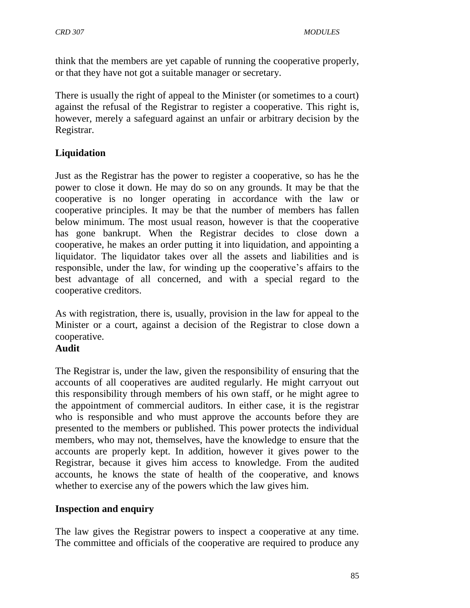think that the members are yet capable of running the cooperative properly, or that they have not got a suitable manager or secretary.

There is usually the right of appeal to the Minister (or sometimes to a court) against the refusal of the Registrar to register a cooperative. This right is, however, merely a safeguard against an unfair or arbitrary decision by the Registrar.

# **Liquidation**

Just as the Registrar has the power to register a cooperative, so has he the power to close it down. He may do so on any grounds. It may be that the cooperative is no longer operating in accordance with the law or cooperative principles. It may be that the number of members has fallen below minimum. The most usual reason, however is that the cooperative has gone bankrupt. When the Registrar decides to close down a cooperative, he makes an order putting it into liquidation, and appointing a liquidator. The liquidator takes over all the assets and liabilities and is responsible, under the law, for winding up the cooperative's affairs to the best advantage of all concerned, and with a special regard to the cooperative creditors.

As with registration, there is, usually, provision in the law for appeal to the Minister or a court, against a decision of the Registrar to close down a cooperative.

### **Audit**

The Registrar is, under the law, given the responsibility of ensuring that the accounts of all cooperatives are audited regularly. He might carryout out this responsibility through members of his own staff, or he might agree to the appointment of commercial auditors. In either case, it is the registrar who is responsible and who must approve the accounts before they are presented to the members or published. This power protects the individual members, who may not, themselves, have the knowledge to ensure that the accounts are properly kept. In addition, however it gives power to the Registrar, because it gives him access to knowledge. From the audited accounts, he knows the state of health of the cooperative, and knows whether to exercise any of the powers which the law gives him.

### **Inspection and enquiry**

The law gives the Registrar powers to inspect a cooperative at any time. The committee and officials of the cooperative are required to produce any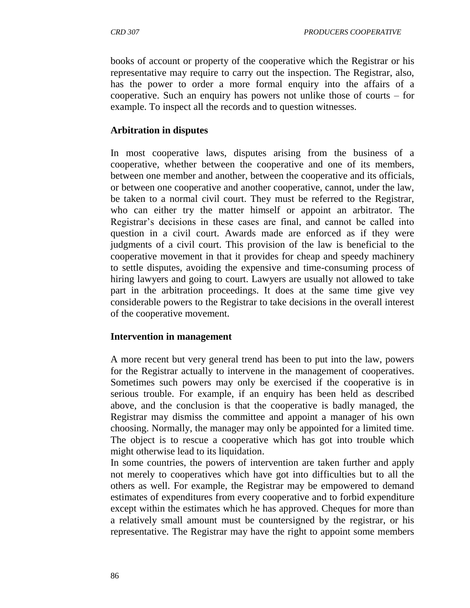books of account or property of the cooperative which the Registrar or his representative may require to carry out the inspection. The Registrar, also, has the power to order a more formal enquiry into the affairs of a cooperative. Such an enquiry has powers not unlike those of courts – for example. To inspect all the records and to question witnesses.

### **Arbitration in disputes**

In most cooperative laws, disputes arising from the business of a cooperative, whether between the cooperative and one of its members, between one member and another, between the cooperative and its officials, or between one cooperative and another cooperative, cannot, under the law, be taken to a normal civil court. They must be referred to the Registrar, who can either try the matter himself or appoint an arbitrator. The Registrar"s decisions in these cases are final, and cannot be called into question in a civil court. Awards made are enforced as if they were judgments of a civil court. This provision of the law is beneficial to the cooperative movement in that it provides for cheap and speedy machinery to settle disputes, avoiding the expensive and time-consuming process of hiring lawyers and going to court. Lawyers are usually not allowed to take part in the arbitration proceedings. It does at the same time give vey considerable powers to the Registrar to take decisions in the overall interest of the cooperative movement.

### **Intervention in management**

A more recent but very general trend has been to put into the law, powers for the Registrar actually to intervene in the management of cooperatives. Sometimes such powers may only be exercised if the cooperative is in serious trouble. For example, if an enquiry has been held as described above, and the conclusion is that the cooperative is badly managed, the Registrar may dismiss the committee and appoint a manager of his own choosing. Normally, the manager may only be appointed for a limited time. The object is to rescue a cooperative which has got into trouble which might otherwise lead to its liquidation.

In some countries, the powers of intervention are taken further and apply not merely to cooperatives which have got into difficulties but to all the others as well. For example, the Registrar may be empowered to demand estimates of expenditures from every cooperative and to forbid expenditure except within the estimates which he has approved. Cheques for more than a relatively small amount must be countersigned by the registrar, or his representative. The Registrar may have the right to appoint some members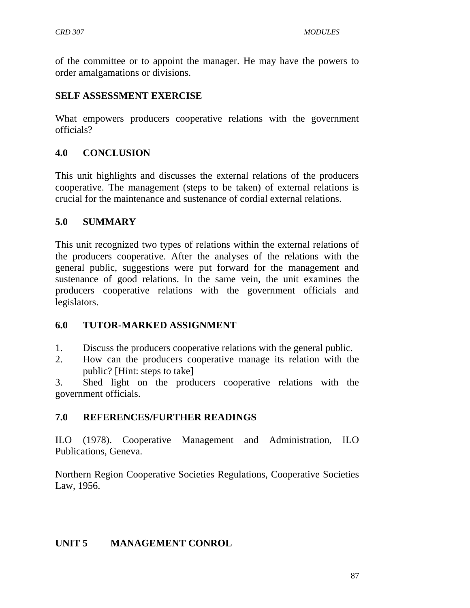of the committee or to appoint the manager. He may have the powers to order amalgamations or divisions.

### **SELF ASSESSMENT EXERCISE**

What empowers producers cooperative relations with the government officials?

## **4.0 CONCLUSION**

This unit highlights and discusses the external relations of the producers cooperative. The management (steps to be taken) of external relations is crucial for the maintenance and sustenance of cordial external relations.

### **5.0 SUMMARY**

This unit recognized two types of relations within the external relations of the producers cooperative. After the analyses of the relations with the general public, suggestions were put forward for the management and sustenance of good relations. In the same vein, the unit examines the producers cooperative relations with the government officials and legislators.

### **6.0 TUTOR-MARKED ASSIGNMENT**

- 1. Discuss the producers cooperative relations with the general public.
- 2. How can the producers cooperative manage its relation with the public? [Hint: steps to take]

3. Shed light on the producers cooperative relations with the government officials.

### **7.0 REFERENCES/FURTHER READINGS**

ILO (1978). Cooperative Management and Administration, ILO Publications, Geneva.

Northern Region Cooperative Societies Regulations, Cooperative Societies Law, 1956.

## **UNIT 5 MANAGEMENT CONROL**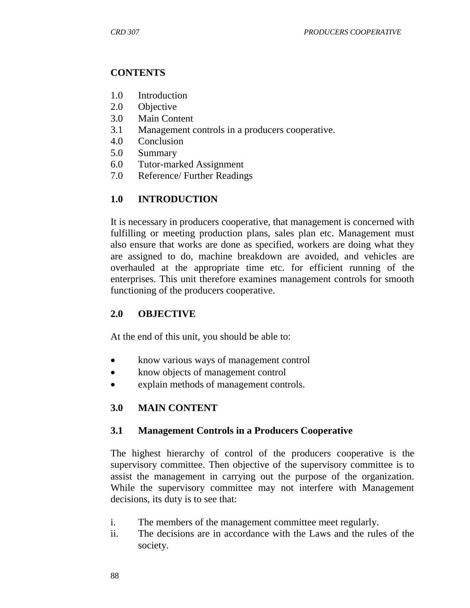### **CONTENTS**

- 1.0 Introduction
- 2.0 Objective
- 3.0 Main Content
- 3.1 Management controls in a producers cooperative.
- 4.0 Conclusion
- 5.0 Summary
- 6.0 Tutor-marked Assignment
- 7.0 Reference/ Further Readings

# **1.0 INTRODUCTION**

It is necessary in producers cooperative, that management is concerned with fulfilling or meeting production plans, sales plan etc. Management must also ensure that works are done as specified, workers are doing what they are assigned to do, machine breakdown are avoided, and vehicles are overhauled at the appropriate time etc. for efficient running of the enterprises. This unit therefore examines management controls for smooth functioning of the producers cooperative.

## **2.0 OBJECTIVE**

At the end of this unit, you should be able to:

- know various ways of management control
- know objects of management control
- explain methods of management controls.

## **3.0 MAIN CONTENT**

## **3.1 Management Controls in a Producers Cooperative**

The highest hierarchy of control of the producers cooperative is the supervisory committee. Then objective of the supervisory committee is to assist the management in carrying out the purpose of the organization. While the supervisory committee may not interfere with Management decisions, its duty is to see that:

- i. The members of the management committee meet regularly.
- ii. The decisions are in accordance with the Laws and the rules of the society.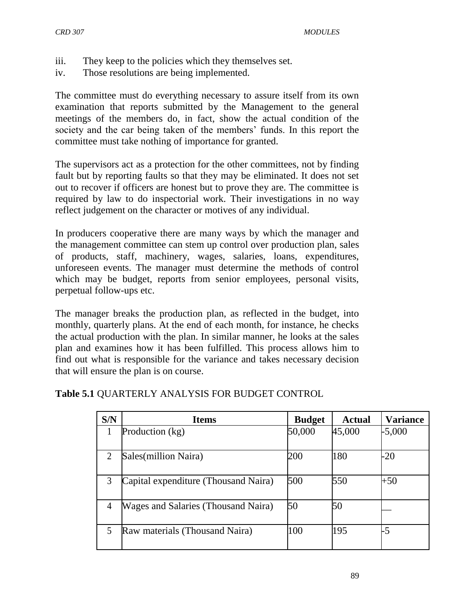- iii. They keep to the policies which they themselves set.
- iv. Those resolutions are being implemented.

The committee must do everything necessary to assure itself from its own examination that reports submitted by the Management to the general meetings of the members do, in fact, show the actual condition of the society and the car being taken of the members' funds. In this report the committee must take nothing of importance for granted.

The supervisors act as a protection for the other committees, not by finding fault but by reporting faults so that they may be eliminated. It does not set out to recover if officers are honest but to prove they are. The committee is required by law to do inspectorial work. Their investigations in no way reflect judgement on the character or motives of any individual.

In producers cooperative there are many ways by which the manager and the management committee can stem up control over production plan, sales of products, staff, machinery, wages, salaries, loans, expenditures, unforeseen events. The manager must determine the methods of control which may be budget, reports from senior employees, personal visits, perpetual follow-ups etc.

The manager breaks the production plan, as reflected in the budget, into monthly, quarterly plans. At the end of each month, for instance, he checks the actual production with the plan. In similar manner, he looks at the sales plan and examines how it has been fulfilled. This process allows him to find out what is responsible for the variance and takes necessary decision that will ensure the plan is on course.

| S/N            | <b>Items</b>                               | <b>Budget</b> | <b>Actual</b> | <b>Variance</b> |
|----------------|--------------------------------------------|---------------|---------------|-----------------|
| 1              | Production (kg)                            | 50,000        | 45,000        | $-5,000$        |
| $\overline{2}$ | Sales(million Naira)                       | 200           | 180           | -20             |
| 3              | Capital expenditure (Thousand Naira)       | 500           | 550           | $+50$           |
| 4              | <b>Wages and Salaries (Thousand Naira)</b> | 50            | 50            |                 |
| 5              | Raw materials (Thousand Naira)             | 100           | 195           | $\cdot 5$       |

### **Table 5.1** QUARTERLY ANALYSIS FOR BUDGET CONTROL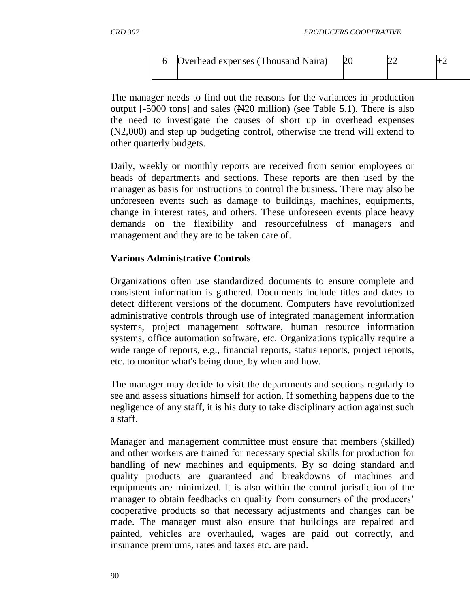|  | 6 Overhead expenses (Thousand Naira) |  |  |
|--|--------------------------------------|--|--|
|  |                                      |  |  |

The manager needs to find out the reasons for the variances in production output [-5000 tons] and sales (N20 million) (see Table 5.1). There is also the need to investigate the causes of short up in overhead expenses (N2,000) and step up budgeting control, otherwise the trend will extend to other quarterly budgets.

Daily, weekly or monthly reports are received from senior employees or heads of departments and sections. These reports are then used by the manager as basis for instructions to control the business. There may also be unforeseen events such as damage to buildings, machines, equipments, change in interest rates, and others. These unforeseen events place heavy demands on the flexibility and resourcefulness of managers and management and they are to be taken care of.

### **Various Administrative Controls**

Organizations often use standardized documents to ensure complete and consistent information is gathered. Documents include titles and dates to detect different versions of the document. Computers have revolutionized administrative controls through use of integrated management information systems, project management software, human resource information systems, office automation software, etc. Organizations typically require a wide range of reports, e.g., financial reports, status reports, project reports, etc. to monitor what's being done, by when and how.

The manager may decide to visit the departments and sections regularly to see and assess situations himself for action. If something happens due to the negligence of any staff, it is his duty to take disciplinary action against such a staff.

Manager and management committee must ensure that members (skilled) and other workers are trained for necessary special skills for production for handling of new machines and equipments. By so doing standard and quality products are guaranteed and breakdowns of machines and equipments are minimized. It is also within the control jurisdiction of the manager to obtain feedbacks on quality from consumers of the producers' cooperative products so that necessary adjustments and changes can be made. The manager must also ensure that buildings are repaired and painted, vehicles are overhauled, wages are paid out correctly, and insurance premiums, rates and taxes etc. are paid.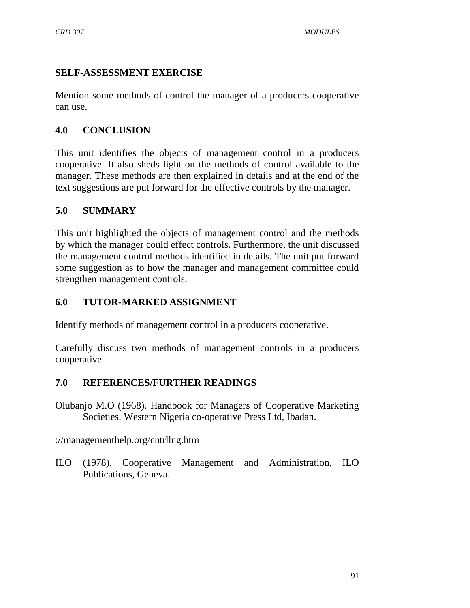## **SELF-ASSESSMENT EXERCISE**

Mention some methods of control the manager of a producers cooperative can use.

### **4.0 CONCLUSION**

This unit identifies the objects of management control in a producers cooperative. It also sheds light on the methods of control available to the manager. These methods are then explained in details and at the end of the text suggestions are put forward for the effective controls by the manager.

## **5.0 SUMMARY**

This unit highlighted the objects of management control and the methods by which the manager could effect controls. Furthermore, the unit discussed the management control methods identified in details. The unit put forward some suggestion as to how the manager and management committee could strengthen management controls.

## **6.0 TUTOR-MARKED ASSIGNMENT**

Identify methods of management control in a producers cooperative.

Carefully discuss two methods of management controls in a producers cooperative.

### **7.0 REFERENCES/FURTHER READINGS**

Olubanjo M.O (1968). Handbook for Managers of Cooperative Marketing Societies. Western Nigeria co-operative Press Ltd, Ibadan.

[://managementhelp.org/cntrllng.htm](http://managementhelp.org/cntrllng.htm)

ILO (1978). Cooperative Management and Administration, ILO Publications, Geneva.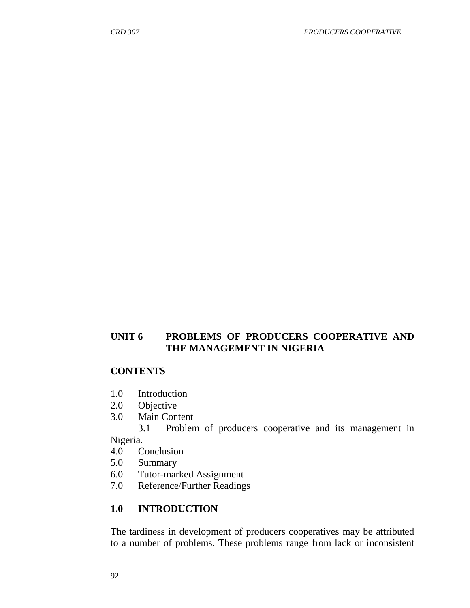### **UNIT 6 PROBLEMS OF PRODUCERS COOPERATIVE AND THE MANAGEMENT IN NIGERIA**

### **CONTENTS**

- 1.0 Introduction
- 2.0 Objective
- 3.0 Main Content
- 3.1 Problem of producers cooperative and its management in Nigeria.
- 4.0 Conclusion
- 5.0 Summary
- 6.0 Tutor-marked Assignment
- 7.0 Reference/Further Readings

#### **1.0 INTRODUCTION**

The tardiness in development of producers cooperatives may be attributed to a number of problems. These problems range from lack or inconsistent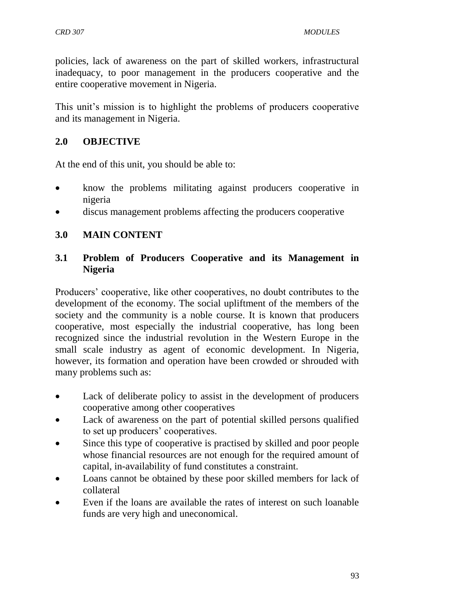policies, lack of awareness on the part of skilled workers, infrastructural inadequacy, to poor management in the producers cooperative and the entire cooperative movement in Nigeria.

This unit's mission is to highlight the problems of producers cooperative and its management in Nigeria.

## **2.0 OBJECTIVE**

At the end of this unit, you should be able to:

- know the problems militating against producers cooperative in nigeria
- discus management problems affecting the producers cooperative

## **3.0 MAIN CONTENT**

### **3.1 Problem of Producers Cooperative and its Management in Nigeria**

Producers' cooperative, like other cooperatives, no doubt contributes to the development of the economy. The social upliftment of the members of the society and the community is a noble course. It is known that producers cooperative, most especially the industrial cooperative, has long been recognized since the industrial revolution in the Western Europe in the small scale industry as agent of economic development. In Nigeria, however, its formation and operation have been crowded or shrouded with many problems such as:

- Lack of deliberate policy to assist in the development of producers cooperative among other cooperatives
- Lack of awareness on the part of potential skilled persons qualified to set up producers' cooperatives.
- Since this type of cooperative is practised by skilled and poor people whose financial resources are not enough for the required amount of capital, in-availability of fund constitutes a constraint.
- Loans cannot be obtained by these poor skilled members for lack of collateral
- Even if the loans are available the rates of interest on such loanable funds are very high and uneconomical.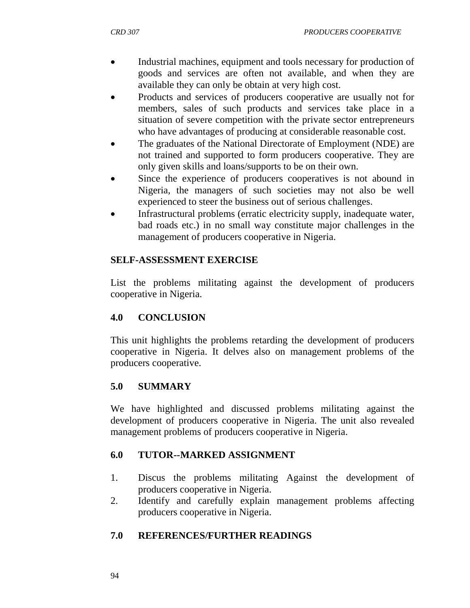- Industrial machines, equipment and tools necessary for production of goods and services are often not available, and when they are available they can only be obtain at very high cost.
- Products and services of producers cooperative are usually not for members, sales of such products and services take place in a situation of severe competition with the private sector entrepreneurs who have advantages of producing at considerable reasonable cost.
- The graduates of the National Directorate of Employment (NDE) are not trained and supported to form producers cooperative. They are only given skills and loans/supports to be on their own.
- Since the experience of producers cooperatives is not abound in Nigeria, the managers of such societies may not also be well experienced to steer the business out of serious challenges.
- Infrastructural problems (erratic electricity supply, inadequate water, bad roads etc.) in no small way constitute major challenges in the management of producers cooperative in Nigeria.

## **SELF-ASSESSMENT EXERCISE**

List the problems militating against the development of producers cooperative in Nigeria.

## **4.0 CONCLUSION**

This unit highlights the problems retarding the development of producers cooperative in Nigeria. It delves also on management problems of the producers cooperative.

# **5.0 SUMMARY**

We have highlighted and discussed problems militating against the development of producers cooperative in Nigeria. The unit also revealed management problems of producers cooperative in Nigeria.

## **6.0 TUTOR--MARKED ASSIGNMENT**

- 1. Discus the problems militating Against the development of producers cooperative in Nigeria.
- 2. Identify and carefully explain management problems affecting producers cooperative in Nigeria.

# **7.0 REFERENCES/FURTHER READINGS**